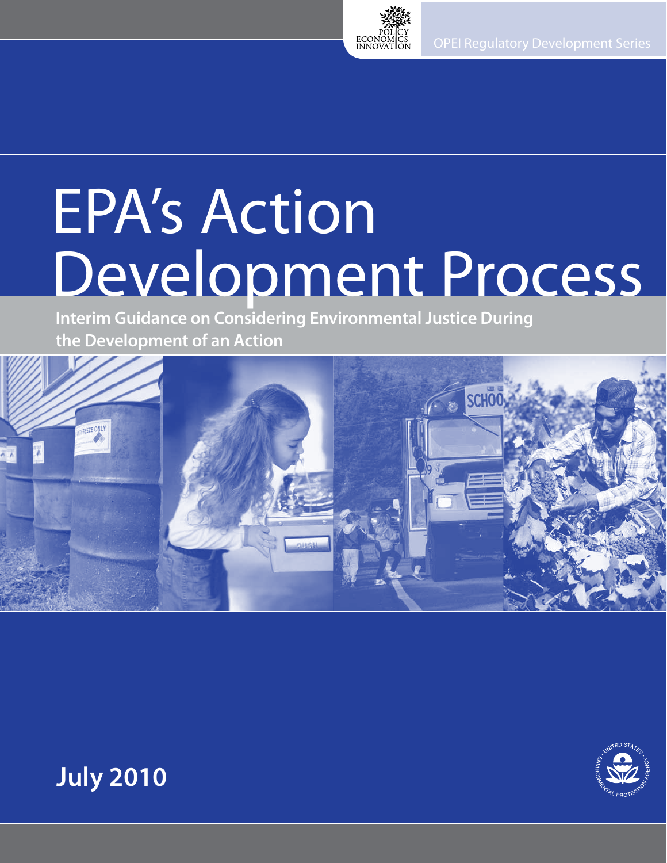# EPA's Action Development Process

ECOI

**Interim Guidance on Considering Environmental Justice During the Development of an Action** 





### **July 2010**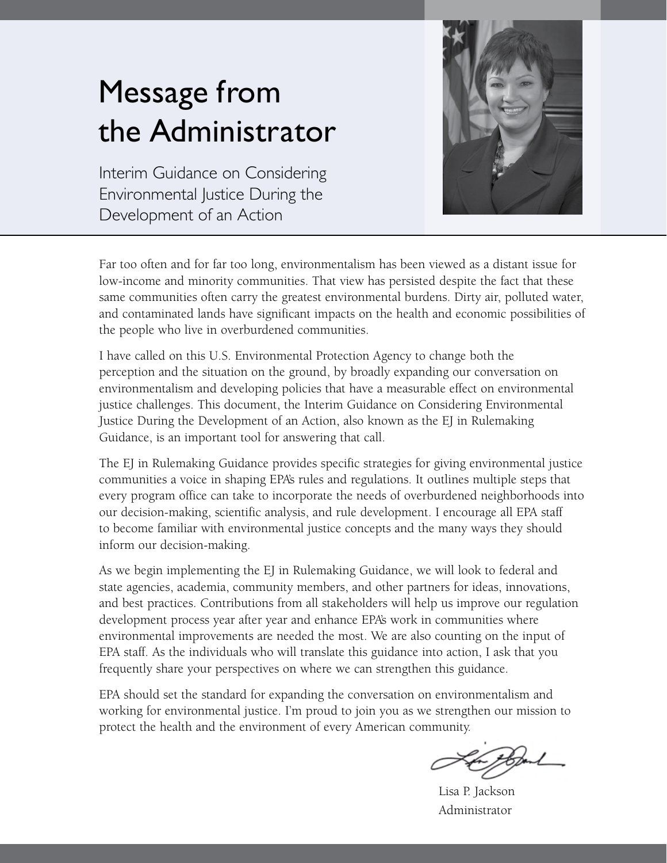## Message from the Administrator



Interim Guidance on Considering Environmental Justice During the Development of an Action

Far too often and for far too long, environmentalism has been viewed as a distant issue for low-income and minority communities. That view has persisted despite the fact that these same communities often carry the greatest environmental burdens. Dirty air, polluted water, and contaminated lands have significant impacts on the health and economic possibilities of the people who live in overburdened communities.

I have called on this U.S. Environmental Protection Agency to change both the perception and the situation on the ground, by broadly expanding our conversation on environmentalism and developing policies that have a measurable effect on environmental justice challenges. This document, the Interim Guidance on Considering Environmental Justice During the Development of an Action, also known as the EJ in Rulemaking Guidance, is an important tool for answering that call.

The EJ in Rulemaking Guidance provides specific strategies for giving environmental justice communities a voice in shaping EPA's rules and regulations. It outlines multiple steps that every program office can take to incorporate the needs of overburdened neighborhoods into our decision-making, scientific analysis, and rule development. I encourage all EPA staff to become familiar with environmental justice concepts and the many ways they should inform our decision-making.

As we begin implementing the EJ in Rulemaking Guidance, we will look to federal and state agencies, academia, community members, and other partners for ideas, innovations, and best practices. Contributions from all stakeholders will help us improve our regulation development process year after year and enhance EPA's work in communities where environmental improvements are needed the most. We are also counting on the input of EPA staff. As the individuals who will translate this guidance into action, I ask that you frequently share your perspectives on where we can strengthen this guidance.

EPA should set the standard for expanding the conversation on environmentalism and working for environmental justice. I'm proud to join you as we strengthen our mission to protect the health and the environment of every American community.

Lisa P. Jackson Administrator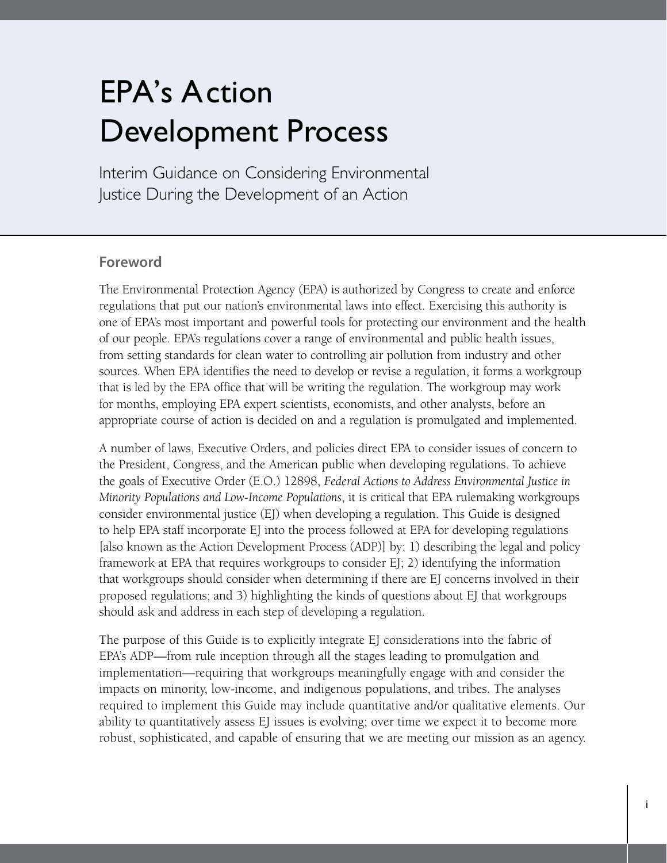## EPA's Action Development Process

Interim Guidance on Considering Environmental Justice During the Development of an Action

#### **Foreword**

 The Environmental Protection Agency (EPA) is authorized by Congress to create and enforce regulations that put our nation's environmental laws into effect. Exercising this authority is one of EPA's most important and powerful tools for protecting our environment and the health of our people. EPA's regulations cover a range of environmental and public health issues, from setting standards for clean water to controlling air pollution from industry and other sources. When EPA identifies the need to develop or revise a regulation, it forms a workgroup that is led by the EPA office that will be writing the regulation. The workgroup may work for months, employing EPA expert scientists, economists, and other analysts, before an appropriate course of action is decided on and a regulation is promulgated and implemented.

 A number of laws, Executive Orders, and policies direct EPA to consider issues of concern to the President, Congress, and the American public when developing regulations. To achieve the goals of Executive Order (E.O.) 12898, *Federal Actions to Address Environmental Justice in Minority Populations and Low-Income Populations*, it is critical that EPA rulemaking workgroups consider environmental justice (EJ) when developing a regulation. This Guide is designed to help EPA staff incorporate EJ into the process followed at EPA for developing regulations [also known as the Action Development Process (ADP)] by: 1) describing the legal and policy framework at EPA that requires workgroups to consider EJ; 2) identifying the information that workgroups should consider when determining if there are EJ concerns involved in their proposed regulations; and 3) highlighting the kinds of questions about EJ that workgroups should ask and address in each step of developing a regulation.

The purpose of this Guide is to explicitly integrate EJ considerations into the fabric of EPA's ADP—from rule inception through all the stages leading to promulgation and implementation—requiring that workgroups meaningfully engage with and consider the impacts on minority, low-income, and indigenous populations, and tribes. The analyses required to implement this Guide may include quantitative and/or qualitative elements. Our ability to quantitatively assess EJ issues is evolving; over time we expect it to become more robust, sophisticated, and capable of ensuring that we are meeting our mission as an agency.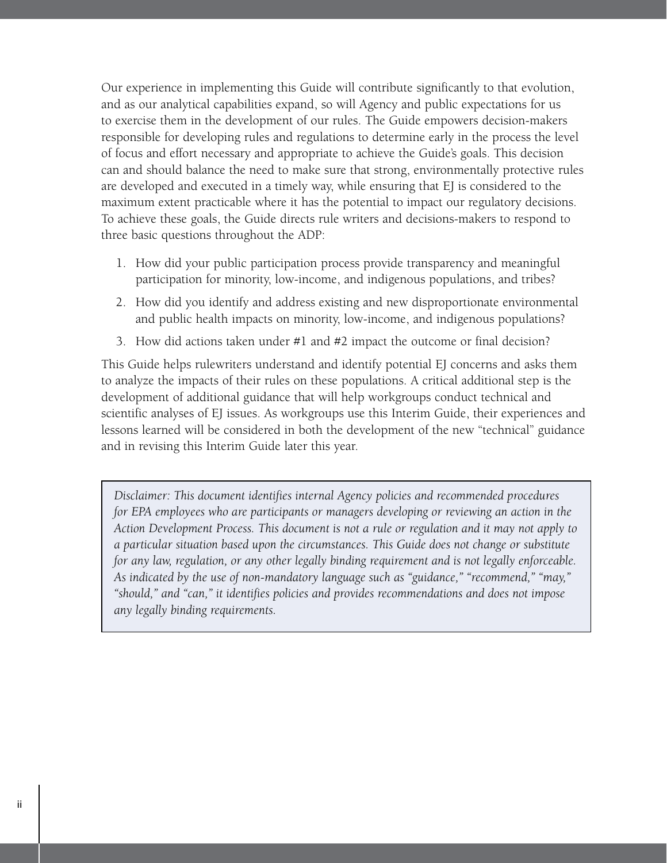Our experience in implementing this Guide will contribute significantly to that evolution, and as our analytical capabilities expand, so will Agency and public expectations for us to exercise them in the development of our rules. The Guide empowers decision-makers responsible for developing rules and regulations to determine early in the process the level of focus and effort necessary and appropriate to achieve the Guide's goals. This decision can and should balance the need to make sure that strong, environmentally protective rules are developed and executed in a timely way, while ensuring that EJ is considered to the maximum extent practicable where it has the potential to impact our regulatory decisions. To achieve these goals, the Guide directs rule writers and decisions-makers to respond to three basic questions throughout the ADP:

- 1. How did your public participation process provide transparency and meaningful participation for minority, low-income, and indigenous populations, and tribes?
- 2. How did you identify and address existing and new disproportionate environmental and public health impacts on minority, low-income, and indigenous populations?
- 3. How did actions taken under #1 and #2 impact the outcome or final decision?

This Guide helps rulewriters understand and identify potential EJ concerns and asks them to analyze the impacts of their rules on these populations. A critical additional step is the development of additional guidance that will help workgroups conduct technical and scientific analyses of EJ issues. As workgroups use this Interim Guide, their experiences and lessons learned will be considered in both the development of the new "technical" guidance and in revising this Interim Guide later this year.

*Disclaimer: This document identifies internal Agency policies and recommended procedures for EPA employees who are participants or managers developing or reviewing an action in the Action Development Process. This document is not a rule or regulation and it may not apply to a particular situation based upon the circumstances. This Guide does not change or substitute for any law, regulation, or any other legally binding requirement and is not legally enforceable. As indicated by the use of non-mandatory language such as "guidance," "recommend," "may," "should," and "can," it identifies policies and provides recommendations and does not impose any legally binding requirements.*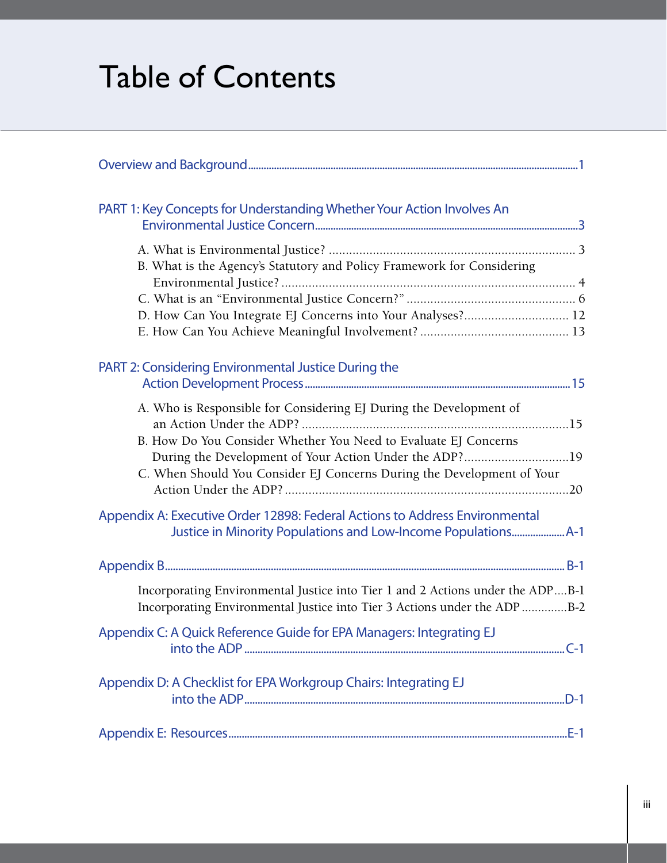### Table of Contents

| PART 1: Key Concepts for Understanding Whether Your Action Involves An                                                                                                                                                                                                    |
|---------------------------------------------------------------------------------------------------------------------------------------------------------------------------------------------------------------------------------------------------------------------------|
| B. What is the Agency's Statutory and Policy Framework for Considering                                                                                                                                                                                                    |
| PART 2: Considering Environmental Justice During the                                                                                                                                                                                                                      |
| A. Who is Responsible for Considering EJ During the Development of<br>B. How Do You Consider Whether You Need to Evaluate EJ Concerns<br>During the Development of Your Action Under the ADP?19<br>C. When Should You Consider EJ Concerns During the Development of Your |
| Appendix A: Executive Order 12898: Federal Actions to Address Environmental                                                                                                                                                                                               |
|                                                                                                                                                                                                                                                                           |
| Incorporating Environmental Justice into Tier 1 and 2 Actions under the ADPB-1<br>Incorporating Environmental Justice into Tier 3 Actions under the ADP B-2                                                                                                               |
| Appendix C: A Quick Reference Guide for EPA Managers: Integrating EJ                                                                                                                                                                                                      |
| Appendix D: A Checklist for EPA Workgroup Chairs: Integrating EJ                                                                                                                                                                                                          |
|                                                                                                                                                                                                                                                                           |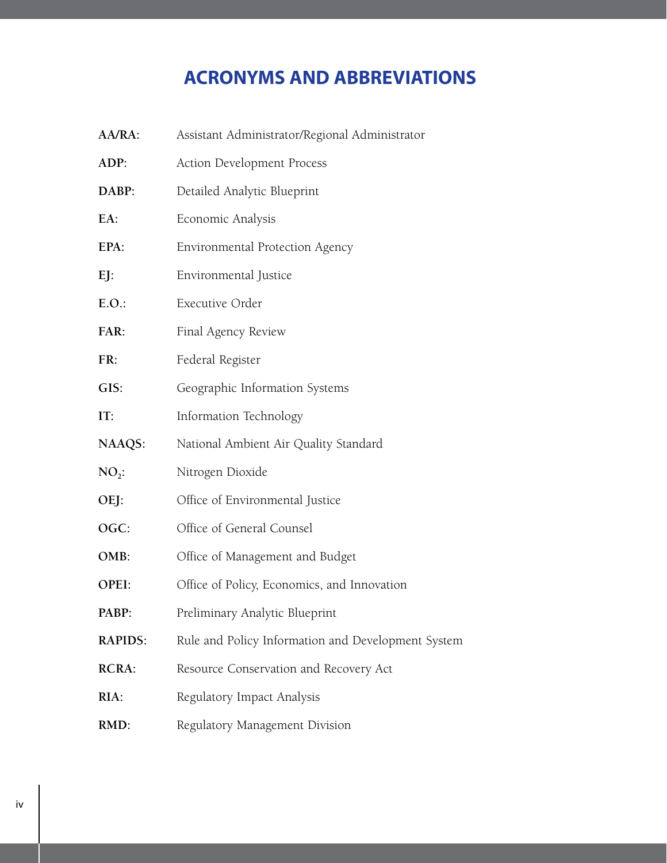### **ACRONYMS AND ABBREVIATIONS**

| AA/RA:         | Assistant Administrator/Regional Administrator     |
|----------------|----------------------------------------------------|
| ADP:           | <b>Action Development Process</b>                  |
| DABP:          | Detailed Analytic Blueprint                        |
| EA:            | Economic Analysis                                  |
| EPA:           | Environmental Protection Agency                    |
| EJ:            | Environmental Justice                              |
| $E.O.$ :       | <b>Executive Order</b>                             |
| FAR:           | Final Agency Review                                |
| FR:            | Federal Register                                   |
| GIS:           | Geographic Information Systems                     |
| IT:            | Information Technology                             |
| <b>NAAQS:</b>  | National Ambient Air Quality Standard              |
| $NO2$ :        | Nitrogen Dioxide                                   |
| OEJ:           | Office of Environmental Justice                    |
| OGC:           | Office of General Counsel                          |
| OMB:           | Office of Management and Budget                    |
| OPEI:          | Office of Policy, Economics, and Innovation        |
| PABP:          | Preliminary Analytic Blueprint                     |
| <b>RAPIDS:</b> | Rule and Policy Information and Development System |
| <b>RCRA:</b>   | Resource Conservation and Recovery Act             |
| RIA:           | Regulatory Impact Analysis                         |
| RMD:           | Regulatory Management Division                     |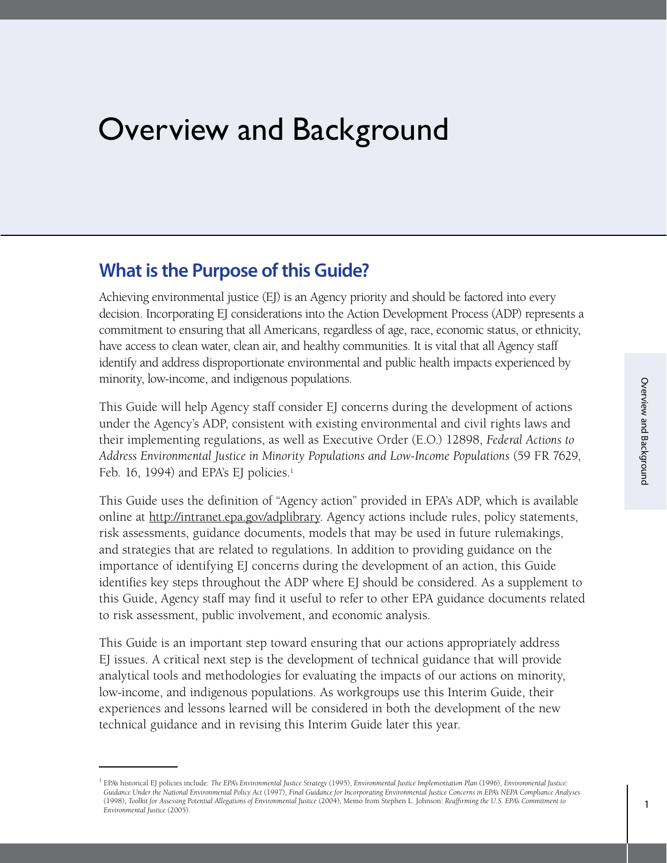### Overview and Background

#### **What is the Purpose of this Guide?**

 Achieving environmental justice (EJ) is an Agency priority and should be factored into every decision. Incorporating EJ considerations into the Action Development Process (ADP) represents a commitment to ensuring that all Americans, regardless of age, race, economic status, or ethnicity, have access to clean water, clean air, and healthy communities. It is vital that all Agency staff identify and address disproportionate environmental and public health impacts experienced by minority, low-income, and indigenous populations.

This Guide will help Agency staff consider EJ concerns during the development of actions under the Agency's ADP, consistent with existing environmental and civil rights laws and their implementing regulations, as well as Executive Order (E.O.) 12898, *Federal Actions to Address Environmental Justice in Minority Populations and Low-Income Populations* (59 FR 7629, Feb. 16, 1994) and EPA's EJ policies.<sup>1</sup>

This Guide uses the definition of "Agency action" provided in EPA's ADP, which is available online at [http://intranet.epa.gov/adplibrary.](http://intranet.epa.gov/adplibrary) Agency actions include rules, policy statements, risk assessments, guidance documents, models that may be used in future rulemakings, and strategies that are related to regulations. In addition to providing guidance on the importance of identifying EJ concerns during the development of an action, this Guide identifies key steps throughout the ADP where EJ should be considered. As a supplement to this Guide, Agency staff may find it useful to refer to other EPA guidance documents related to risk assessment, public involvement, and economic analysis.

This Guide is an important step toward ensuring that our actions appropriately address EJ issues. A critical next step is the development of technical guidance that will provide analytical tools and methodologies for evaluating the impacts of our actions on minority, low-income, and indigenous populations. As workgroups use this Interim Guide, their experiences and lessons learned will be considered in both the development of the new technical guidance and in revising this Interim Guide later this year.

 1 EPA's historical EJ policies include: *The EPA's Environmental Justice Strategy* (1995), *Environmental Justice Implementation Plan* (1996), *Environmental Justice: Guidance Under the National Environmental Policy Act* (1997), *Final Guidance for Incorporating Environmental Justice Concerns in EPA's NEPA Compliance Analyses*  (1998), *Toolkit for Assessing Potential Allegations of Environmental Justice* (2004), Memo from Stephen L. Johnson: *Reaffrming the U.S. EPA's Commitment to Environmental Justice* (2005). 1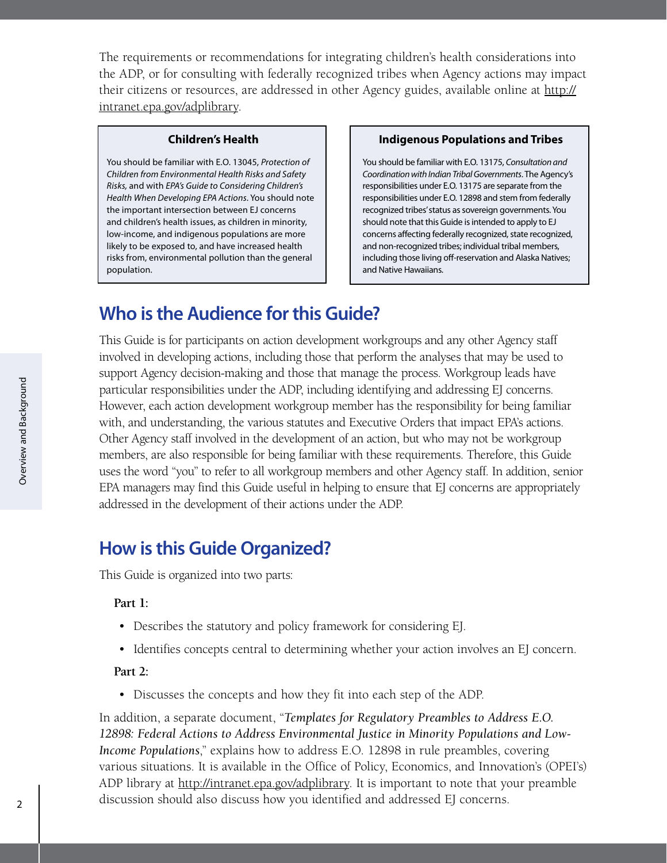The requirements or recommendations for integrating children's health considerations into the ADP, or for consulting with federally recognized tribes when Agency actions may impact their citizens or resources, are addressed in other Agency guides, available online at http:// [intranet.epa.gov/adplibrary.](https://intranet.epa.gov/adplibrary)

#### **Children's Health**

You should be familiar with E.O. 13045, *Protection of Children from Environmental Health Risks and Safety Risks,* and with *EPA's Guide to Considering Children's Health When Developing EPA Actions*. You should note the important intersection between EJ concerns and children's health issues, as children in minority, low-income, and indigenous populations are more likely to be exposed to, and have increased health risks from, environmental pollution than the general population.

#### **Indigenous Populations and Tribes**

You should be familiar with E.O. 13175, *Consultation and Coordination with Indian Tribal Governments*. The Agency's responsibilities under E.O. 13175 are separate from the responsibilities under E.O. 12898 and stem from federally recognized tribes' status as sovereign governments. You should note that this Guide is intended to apply to EJ concerns afecting federally recognized, state recognized, and non-recognized tribes; individual tribal members, including those living off-reservation and Alaska Natives; and Native Hawaiians.

#### **Who is the Audience for this Guide?**

 This Guide is for participants on action development workgroups and any other Agency staff involved in developing actions, including those that perform the analyses that may be used to support Agency decision-making and those that manage the process. Workgroup leads have particular responsibilities under the ADP, including identifying and addressing EJ concerns. However, each action development workgroup member has the responsibility for being familiar with, and understanding, the various statutes and Executive Orders that impact EPA's actions. Other Agency staff involved in the development of an action, but who may not be workgroup members, are also responsible for being familiar with these requirements. Therefore, this Guide uses the word "you" to refer to all workgroup members and other Agency staff. In addition, senior EPA managers may find this Guide useful in helping to ensure that EJ concerns are appropriately addressed in the development of their actions under the ADP.

#### **How is this Guide Organized?**

This Guide is organized into two parts:

#### **Part 1:**

- Describes the statutory and policy framework for considering EJ.
- Identifies concepts central to determining whether your action involves an EJ concern.

#### **Part 2:**

• Discusses the concepts and how they fit into each step of the ADP.

In addition, a separate document, "*Templates for Regulatory Preambles to Address E.O. 12898: Federal Actions to Address Environmental Justice in Minority Populations and Low-Income Populations*," explains how to address E.O. 12898 in rule preambles, covering various situations. It is available in the Office of Policy, Economics, and Innovation's (OPEI's) ADP library at [http://intranet.epa.gov/adplibrary.](http://intranet.epa.gov/adplibrary) It is important to note that your preamble 2 discussion should also discuss how you identified and addressed EJ concerns.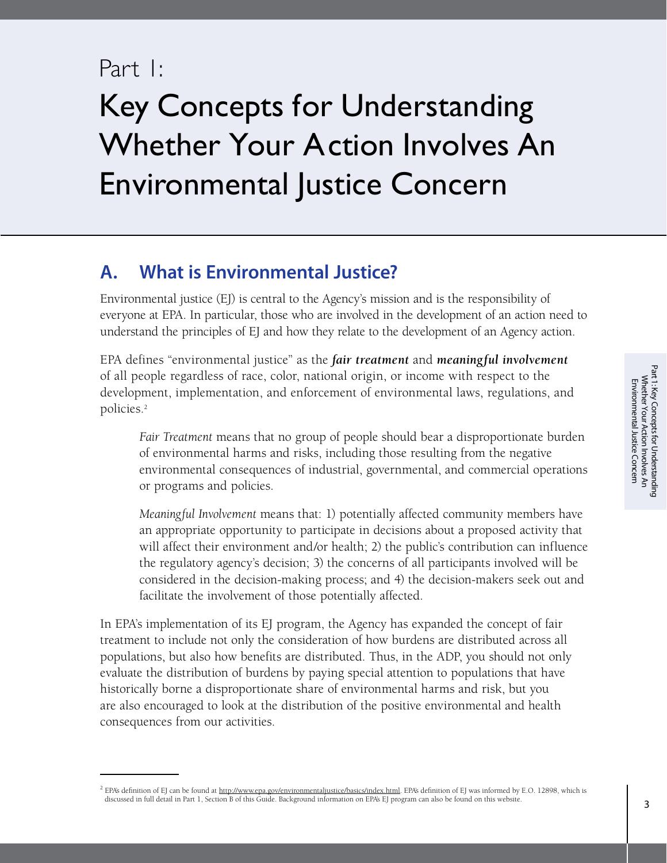### Part 1:

## Key Concepts for Understanding Whether Your Action Involves An Environmental Justice Concern

#### **A. What is Environmental Justice?**

 Environmental justice (EJ) is central to the Agency's mission and is the responsibility of everyone at EPA. In particular, those who are involved in the development of an action need to understand the principles of EJ and how they relate to the development of an Agency action.

 EPA defines "environmental justice" as the *fair treatment* and *meaningful involvement*  of all people regardless of race, color, national origin, or income with respect to the development, implementation, and enforcement of environmental laws, regulations, and policies.2

*Fair Treatment* means that no group of people should bear a disproportionate burden of environmental harms and risks, including those resulting from the negative environmental consequences of industrial, governmental, and commercial operations or programs and policies.

*Meaningful Involvement* means that: 1) potentially affected community members have an appropriate opportunity to participate in decisions about a proposed activity that will affect their environment and/or health; 2) the public's contribution can influence the regulatory agency's decision; 3) the concerns of all participants involved will be considered in the decision-making process; and 4) the decision-makers seek out and facilitate the involvement of those potentially affected.

In EPA's implementation of its EJ program, the Agency has expanded the concept of fair treatment to include not only the consideration of how burdens are distributed across all populations, but also how benefits are distributed. Thus, in the ADP, you should not only evaluate the distribution of burdens by paying special attention to populations that have historically borne a disproportionate share of environmental harms and risk, but you are also encouraged to look at the distribution of the positive environmental and health consequences from our activities.

<sup>&</sup>lt;sup>2</sup> EPA's definition of EJ can be found at <u>http://www.epa.gov/environmentaljustice/basics/index.html</u>. EPA's definition of EJ was informed by E.O. 12898, which is discussed in full detail in Part 1, Section B of this Guide. Background information on EPA's EJ program can also be found on this website.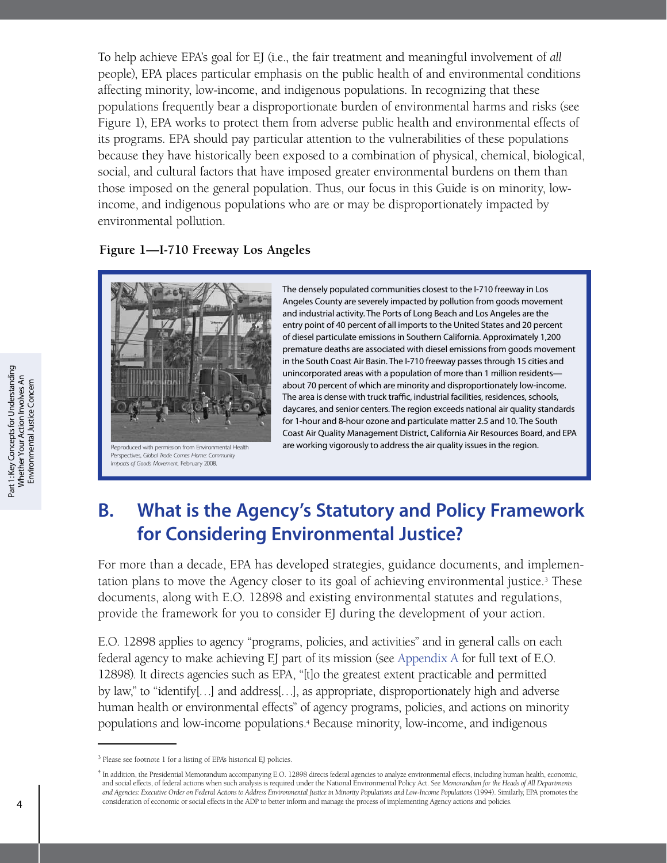To help achieve EPA's goal for EJ (i.e., the fair treatment and meaningful involvement of *all*  people), EPA places particular emphasis on the public health of and environmental conditions affecting minority, low-income, and indigenous populations. In recognizing that these populations frequently bear a disproportionate burden of environmental harms and risks (see Figure 1), EPA works to protect them from adverse public health and environmental effects of its programs. EPA should pay particular attention to the vulnerabilities of these populations because they have historically been exposed to a combination of physical, chemical, biological, social, and cultural factors that have imposed greater environmental burdens on them than those imposed on the general population. Thus, our focus in this Guide is on minority, low- income, and indigenous populations who are or may be disproportionately impacted by environmental pollution.

#### **Figure 1—I-710 Freeway Los Angeles**



 Perspectives, *Global Trade Comes Home: Community Impacts of Goods Movement,* February 2008.Reproduced with permission from Environmental Health

 The densely populated communities closest to the I-710 freeway in Los Angeles County are severely impacted by pollution from goods movement and industrial activity. The Ports of Long Beach and Los Angeles are the entry point of 40 percent of all imports to the United States and 20 percent of diesel particulate emissions in Southern California. Approximately 1,200 premature deaths are associated with diesel emissions from goods movement in the South Coast Air Basin. The I-710 freeway passes through 15 cities and unincorporated areas with a population of more than 1 million residents— about 70 percent of which are minority and disproportionately low-income. The area is dense with truck traffic, industrial facilities, residences, schools, daycares, and senior centers. The region exceeds national air quality standards for 1-hour and 8-hour ozone and particulate matter 2.5 and 10. The South Coast Air Quality Management District, California Air Resources Board, and EPA are working vigorously to address the air quality issues in the region.

#### **B. B. What is the Agency's Statutory and Policy Framework for Considering Environmental Justice?**

For more than a decade, EPA has developed strategies, guidance documents, and implementation plans to move the Agency closer to its goal of achieving environmental justice.<sup>3</sup> These documents, along with E.O. 12898 and existing environmental statutes and regulations, provide the framework for you to consider EJ during the development of your action.

 E.O. 12898 applies to agency "programs, policies, and activities" and in general calls on each federal agency to make achieving EJ part of its mission (see [Appendix A](#page-38-0) for full text of E.O. 12898). It directs agencies such as EPA, "[t]o the greatest extent practicable and permitted by law," to "identify[…] and address[…], as appropriate, disproportionately high and adverse human health or environmental effects" of agency programs, policies, and actions on minority populations and low-income populations.4 Because minority, low-income, and indigenous

<sup>&</sup>lt;sup>3</sup> Please see footnote 1 for a listing of EPA's historical EJ policies.

<sup>&</sup>lt;sup>4</sup> In addition, the Presidential Memorandum accompanying E.O. 12898 directs federal agencies to analyze environmental effects, including human health, economic, and social effects, of federal actions when such analysis is required under the National Environmental Policy Act. See *Memorandum for the Heads of All Departments and Agencies: Executive Order on Federal Actions to Address Environmental Justice in Minority Populations and Low-Income Populations* (1994). Similarly, EPA promotes the consideration of economic or social effects in the ADP to better inform and manage the process of implementing Agency actions and policies.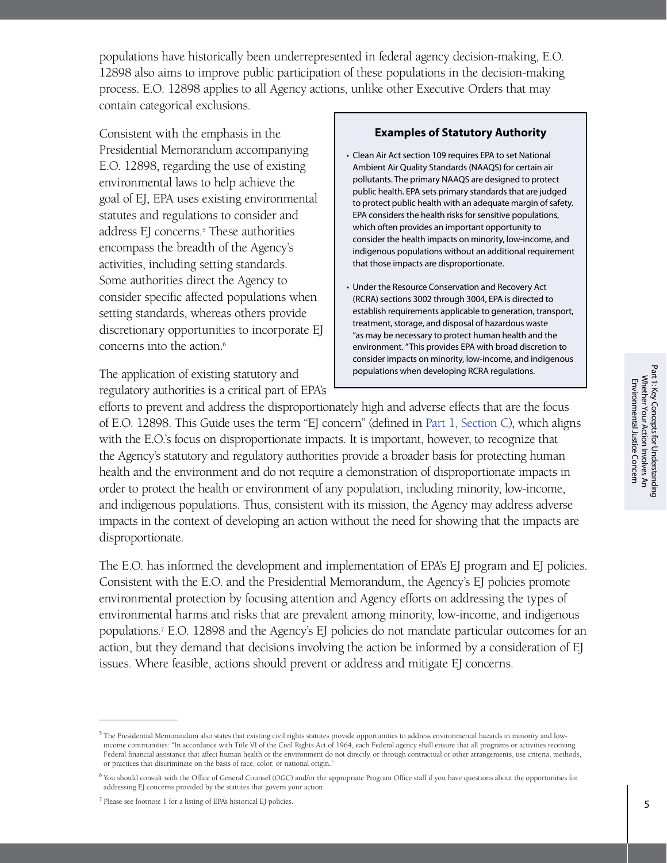populations have historically been underrepresented in federal agency decision-making, E.O. 12898 also aims to improve public participation of these populations in the decision-making process. E.O. 12898 applies to all Agency actions, unlike other Executive Orders that may contain categorical exclusions.

Consistent with the emphasis in the Presidential Memorandum accompanying E.O. 12898, regarding the use of existing environmental laws to help achieve the goal of EJ, EPA uses existing environmental statutes and regulations to consider and address EJ concerns.<sup>5</sup> These authorities encompass the breadth of the Agency's activities, including setting standards. Some authorities direct the Agency to consider specific affected populations when setting standards, whereas others provide discretionary opportunities to incorporate EJ concerns into the action.6

 The application of existing statutory and regulatory authorities is a critical part of EPA's

#### **Examples of Statutory Authority**

- Clean Air Act section 109 requires EPA to set National Ambient Air Quality Standards (NAAQS) for certain air pollutants. The primary NAAQS are designed to protect public health. EPA sets primary standards that are judged to protect public health with an adequate margin of safety. EPA considers the health risks for sensitive populations, which often provides an important opportunity to consider the health impacts on minority, low-income, and indigenous populations without an additional requirement that those impacts are disproportionate.
- Under the Resource Conservation and Recovery Act (RCRA) sections 3002 through 3004, EPA is directed to establish requirements applicable to generation, transport, treatment, storage, and disposal of hazardous waste "as may be necessary to protect human health and the environment. "This provides EPA with broad discretion to consider impacts on minority, low-income, and indigenous populations when developing RCRA regulations.

 efforts to prevent and address the disproportionately high and adverse effects that are the focus of E.O. 12898. This Guide uses the term "EJ concern" (defined in [Part 1, Section C\),](#page-11-0) which aligns with the E.O.'s focus on disproportionate impacts. It is important, however, to recognize that the Agency's statutory and regulatory authorities provide a broader basis for protecting human health and the environment and do not require a demonstration of disproportionate impacts in order to protect the health or environment of any population, including minority, low-income, and indigenous populations. Thus, consistent with its mission, the Agency may address adverse impacts in the context of developing an action without the need for showing that the impacts are disproportionate.

 The E.O. has informed the development and implementation of EPA's EJ program and EJ policies. Consistent with the E.O. and the Presidential Memorandum, the Agency's EJ policies promote environmental protection by focusing attention and Agency efforts on addressing the types of environmental harms and risks that are prevalent among minority, low-income, and indigenous populations.7 E.O. 12898 and the Agency's EJ policies do not mandate particular outcomes for an action, but they demand that decisions involving the action be informed by a consideration of EJ issues. Where feasible, actions should prevent or address and mitigate EJ concerns.

 $^5$  The Presidential Memorandum also states that existing civil rights statutes provide opportunities to address environmental hazards in minority and lowincome communities: "In accordance with Title VI of the Civil Rights Act of 1964, each Federal agency shall ensure that all programs or activities receiving Federal fnancial assistance that affect human health or the environment do not directly, or through contractual or other arrangements, use criteria, methods, or practices that discriminate on the basis of race, color, or national origin."

<sup>&</sup>lt;sup>6</sup> You should consult with the Office of General Counsel (OGC) and/or the appropriate Program Office staff if you have questions about the opportunities for addressing EJ concerns provided by the statutes that govern your action.

<sup>&</sup>lt;sup>7</sup> Please see footnote 1 for a listing of EPA's historical EJ policies.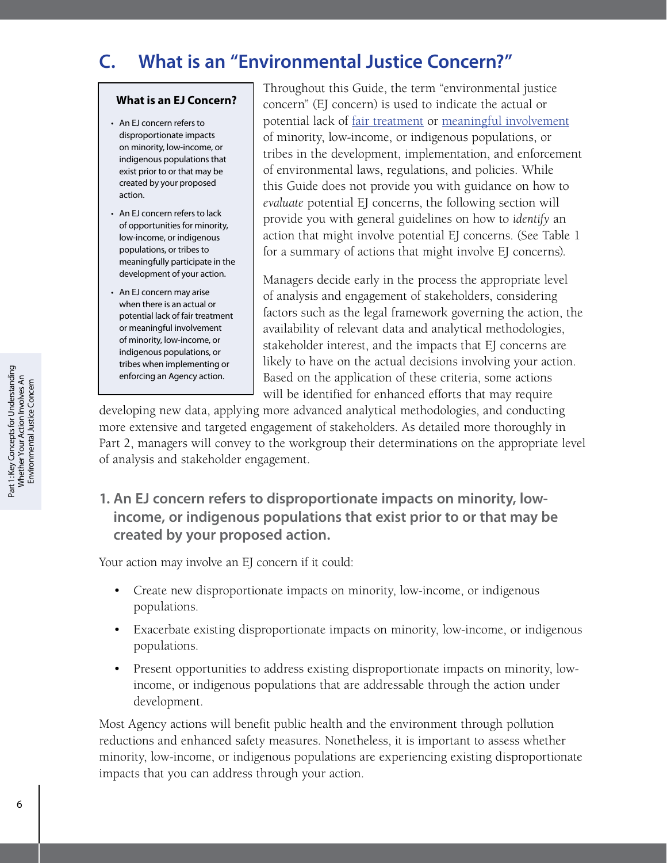### <span id="page-11-0"></span>**C. What is an "Environmental Justice Concern?"**

- An EJ concern refers to disproportionate impacts on minority, low-income, or indigenous populations that exist prior to or that may be created by your proposed action.
- of opportunities for minority, low-income, or indigenous populations, or tribes to meaningfully participate in the development of your action.
- An EJ concern may arise when there is an actual or potential lack of fair treatment or meaningful involvement of minority, low-income, or indigenous populations, or tribes when implementing or enforcing an Agency action.

Throughout this Guide, the term "environmental justice **What is an EJ Concern?** concern" (EJ concern) is used to indicate the actual or potential lack of fair treatment or meaningful involvement of minority, low-income, or indigenous populations, or tribes in the development, implementation, and enforcement of environmental laws, regulations, and policies. While this Guide does not provide you with guidance on how to **evaluate** potential EJ concerns, the following section will • An EJ concerns **An** EJ concern refers to lack provide you with general guidelines on how to *identify* an action that might involve potential EJ concerns. (See Table 1 for a summary of actions that might involve EJ concerns)*.* 

> Managers decide early in the process the appropriate level of analysis and engagement of stakeholders, considering factors such as the legal framework governing the action, the availability of relevant data and analytical methodologies, stakeholder interest, and the impacts that EJ concerns are likely to have on the actual decisions involving your action. Based on the application of these criteria, some actions will be identified for enhanced efforts that may require

developing new data, applying more advanced analytical methodologies, and conducting more extensive and targeted engagement of stakeholders. As detailed more thoroughly in Part 2, managers will convey to the workgroup their determinations on the appropriate level of analysis and stakeholder engagement.

 **1. An EJ concern refers to disproportionate impacts on minority, lowincome, or indigenous populations that exist prior to or that may be created by your proposed action.** 

Your action may involve an EJ concern if it could:

- Create new disproportionate impacts on minority, low-income, or indigenous populations.
- Exacerbate existing disproportionate impacts on minority, low-income, or indigenous populations.
- Present opportunities to address existing disproportionate impacts on minority, lowincome, or indigenous populations that are addressable through the action under development.

Most Agency actions will benefit public health and the environment through pollution reductions and enhanced safety measures. Nonetheless, it is important to assess whether minority, low-income, or indigenous populations are experiencing existing disproportionate impacts that you can address through your action.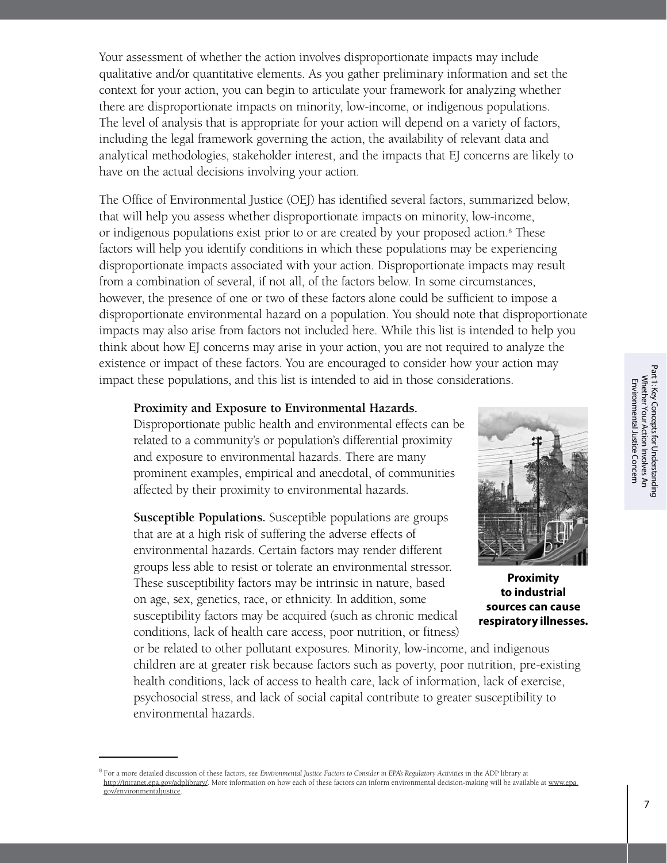Your assessment of whether the action involves disproportionate impacts may include qualitative and/or quantitative elements. As you gather preliminary information and set the context for your action, you can begin to articulate your framework for analyzing whether there are disproportionate impacts on minority, low-income, or indigenous populations. The level of analysis that is appropriate for your action will depend on a variety of factors, including the legal framework governing the action, the availability of relevant data and analytical methodologies, stakeholder interest, and the impacts that EJ concerns are likely to have on the actual decisions involving your action.

 The Office of Environmental Justice (OEJ) has identified several factors, summarized below, that will help you assess whether disproportionate impacts on minority, low-income, or indigenous populations exist prior to or are created by your proposed action.<sup>8</sup> These factors will help you identify conditions in which these populations may be experiencing disproportionate impacts associated with your action. Disproportionate impacts may result from a combination of several, if not all, of the factors below. In some circumstances, however, the presence of one or two of these factors alone could be sufficient to impose a disproportionate environmental hazard on a population. You should note that disproportionate impacts may also arise from factors not included here. While this list is intended to help you think about how EJ concerns may arise in your action, you are not required to analyze the existence or impact of these factors. You are encouraged to consider how your action may impact these populations, and this list is intended to aid in those considerations.

#### **Proximity and Exposure to Environmental Hazards.**

 Disproportionate public health and environmental effects can be related to a community's or population's differential proximity and exposure to environmental hazards. There are many prominent examples, empirical and anecdotal, of communities affected by their proximity to environmental hazards.

 **Susceptible Populations.** Susceptible populations are groups that are at a high risk of suffering the adverse effects of environmental hazards. Certain factors may render different groups less able to resist or tolerate an environmental stressor. These susceptibility factors may be intrinsic in nature, based on age, sex, genetics, race, or ethnicity. In addition, some susceptibility factors may be acquired (such as chronic medical

 conditions, lack of health care access, poor nutrition, or fitness) or be related to other pollutant exposures. Minority, low-income, and indigenous children are at greater risk because factors such as poverty, poor nutrition, pre-existing health conditions, lack of access to health care, lack of information, lack of exercise, psychosocial stress, and lack of social capital contribute to greater susceptibility to environmental hazards.



**Proximity to industrial sources can cause respiratory illnesses.** 

 8 For a more detailed discussion of these factors, see *Environmental Justice Factors to Consider in EPA's Regulatory Activities* in the ADP library at [http://intranet.epa.gov/adplibrary/](http://intranet.epa.gov/adplibrary). More information on how each of these factors can inform environmental decision-making will be available at www.epa. gov/environmentaljustice.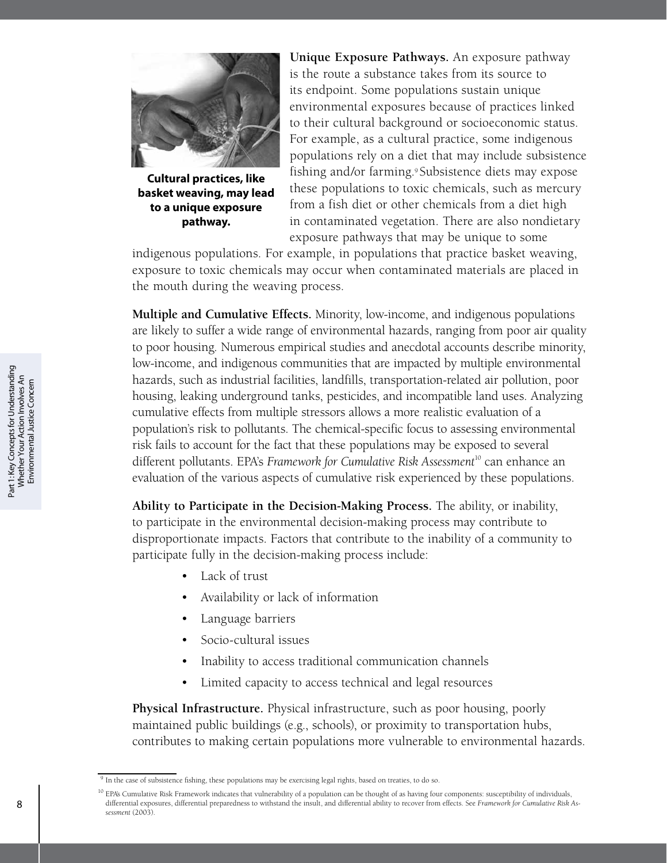

**Cultural practices, like basket weaving, may lead to a unique exposure pathway.** 

 **Unique Exposure Pathways.** An exposure pathway is the route a substance takes from its source to its endpoint. Some populations sustain unique environmental exposures because of practices linked to their cultural background or socioeconomic status. For example, as a cultural practice, some indigenous populations rely on a diet that may include subsistence fishing and/or farming.<sup>9</sup> Subsistence diets may expose these populations to toxic chemicals, such as mercury from a fish diet or other chemicals from a diet high in contaminated vegetation. There are also nondietary exposure pathways that may be unique to some

 indigenous populations. For example, in populations that practice basket weaving, exposure to toxic chemicals may occur when contaminated materials are placed in the mouth during the weaving process.

 **Multiple and Cumulative Effects.** Minority, low-income, and indigenous populations are likely to suffer a wide range of environmental hazards, ranging from poor air quality to poor housing. Numerous empirical studies and anecdotal accounts describe minority, low-income, and indigenous communities that are impacted by multiple environmental hazards, such as industrial facilities, landfills, transportation-related air pollution, poor housing, leaking underground tanks, pesticides, and incompatible land uses. Analyzing cumulative effects from multiple stressors allows a more realistic evaluation of a population's risk to pollutants. The chemical-specific focus to assessing environmental risk fails to account for the fact that these populations may be exposed to several different pollutants. EPA's *Framework for Cumulative Risk Assessment*<sup>10</sup> can enhance an evaluation of the various aspects of cumulative risk experienced by these populations.

**Ability to Participate in the Decision-Making Process.** The ability, or inability, to participate in the environmental decision-making process may contribute to disproportionate impacts. Factors that contribute to the inability of a community to participate fully in the decision-making process include:

- Lack of trust
- Availability or lack of information
- Language barriers
- Socio-cultural issues
- Inability to access traditional communication channels
- Limited capacity to access technical and legal resources

**Physical Infrastructure.** Physical infrastructure, such as poor housing, poorly maintained public buildings (e.g., schools), or proximity to transportation hubs, contributes to making certain populations more vulnerable to environmental hazards.

<sup>&</sup>lt;sup>9</sup> In the case of subsistence fishing, these populations may be exercising legal rights, based on treaties, to do so.

<sup>&</sup>lt;sup>10</sup> EPA's Cumulative Risk Framework indicates that vulnerability of a population can be thought of as having four components: susceptibility of individuals, differential exposures, differential preparedness to withstand the insult, and differential ability to recover from effects. See *Framework for Cumulative Risk Assessment* (2003).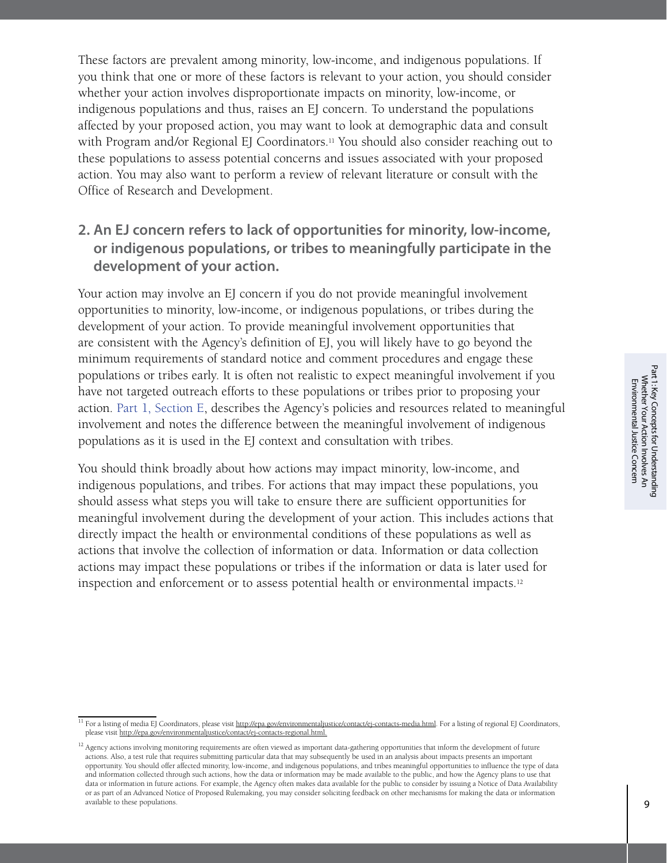These factors are prevalent among minority, low-income, and indigenous populations. If you think that one or more of these factors is relevant to your action, you should consider whether your action involves disproportionate impacts on minority, low-income, or indigenous populations and thus, raises an EJ concern. To understand the populations affected by your proposed action, you may want to look at demographic data and consult with Program and/or Regional EJ Coordinators.<sup>11</sup> You should also consider reaching out to these populations to assess potential concerns and issues associated with your proposed action. You may also want to perform a review of relevant literature or consult with the Office of Research and Development.

#### **2. An EJ concern refers to lack of opportunities for minority, low-income, or indigenous populations, or tribes to meaningfully participate in the development of your action.**

Your action may involve an EJ concern if you do not provide meaningful involvement opportunities to minority, low-income, or indigenous populations, or tribes during the development of your action. To provide meaningful involvement opportunities that are consistent with the Agency's definition of EJ, you will likely have to go beyond the minimum requirements of standard notice and comment procedures and engage these populations or tribes early. It is often not realistic to expect meaningful involvement if you have not targeted outreach efforts to these populations or tribes prior to proposing your action. [Part 1, Section E,](#page-18-0) describes the Agency's policies and resources related to meaningful involvement and notes the difference between the meaningful involvement of indigenous populations as it is used in the EJ context and consultation with tribes.

You should think broadly about how actions may impact minority, low-income, and indigenous populations, and tribes. For actions that may impact these populations, you should assess what steps you will take to ensure there are sufficient opportunities for meaningful involvement during the development of your action. This includes actions that directly impact the health or environmental conditions of these populations as well as actions that involve the collection of information or data. Information or data collection actions may impact these populations or tribes if the information or data is later used for inspection and enforcement or to assess potential health or environmental [impacts.12](https://impacts.12)

<sup>&</sup>lt;sup>11</sup> For a listing of media EJ Coordinators, please visit <http://epa.gov/environmentaljustice/contact/ej-contacts-media.html>. For a listing of regional EJ Coordinators, please visit <http://epa.gov/environmentaljustice/contact/ej-contacts-regional.html>.

<sup>&</sup>lt;sup>12</sup> Agency actions involving monitoring requirements are often viewed as important data-gathering opportunities that inform the development of future actions. Also, a test rule that requires submitting particular data that may subsequently be used in an analysis about impacts presents an important opportunity. You should offer affected minority, low-income, and indigenous populations, and tribes meaningful opportunities to infuence the type of data and information collected through such actions, how the data or information may be made available to the public, and how the Agency plans to use that data or information in future actions. For example, the Agency often makes data available for the public to consider by issuing a Notice of Data Availability or as part of an Advanced Notice of Proposed Rulemaking, you may consider soliciting feedback on other mechanisms for making the data or information available to these populations.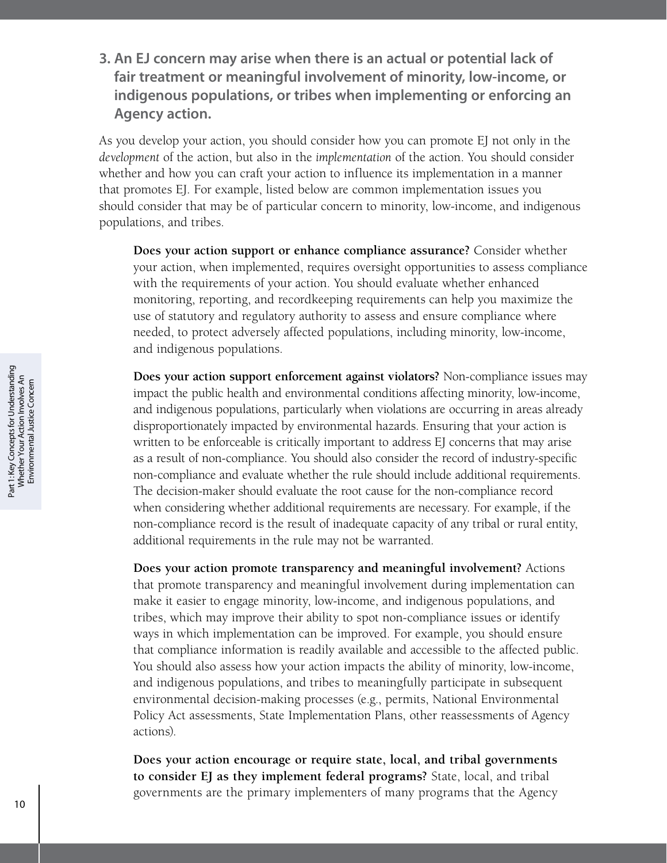**3. An EJ concern may arise when there is an actual or potential lack of fair treatment or meaningful involvement of minority, low-income, or indigenous populations, or tribes when implementing or enforcing an Agency action.** 

As you develop your action, you should consider how you can promote EJ not only in the *development* of the action, but also in the *implementation* of the action. You should consider whether and how you can craft your action to influence its implementation in a manner that promotes EJ. For example, listed below are common implementation issues you should consider that may be of particular concern to minority, low-income, and indigenous populations, and tribes.

**Does your action support or enhance compliance assurance?** Consider whether your action, when implemented, requires oversight opportunities to assess compliance with the requirements of your action. You should evaluate whether enhanced monitoring, reporting, and recordkeeping requirements can help you maximize the use of statutory and regulatory authority to assess and ensure compliance where needed, to protect adversely affected populations, including minority, low-income, and indigenous populations.

 **Does your action support enforcement against violators?** Non-compliance issues may impact the public health and environmental conditions affecting minority, low-income, and indigenous populations, particularly when violations are occurring in areas already disproportionately impacted by environmental hazards. Ensuring that your action is written to be enforceable is critically important to address EJ concerns that may arise as a result of non-compliance. You should also consider the record of industry-specific non-compliance and evaluate whether the rule should include additional requirements. The decision-maker should evaluate the root cause for the non-compliance record when considering whether additional requirements are necessary. For example, if the non-compliance record is the result of inadequate capacity of any tribal or rural entity, additional requirements in the rule may not be warranted.

**Does your action promote transparency and meaningful involvement?** Actions that promote transparency and meaningful involvement during implementation can make it easier to engage minority, low-income, and indigenous populations, and tribes, which may improve their ability to spot non-compliance issues or identify ways in which implementation can be improved. For example, you should ensure that compliance information is readily available and accessible to the affected public. You should also assess how your action impacts the ability of minority, low-income, and indigenous populations, and tribes to meaningfully participate in subsequent environmental decision-making processes (e.g., permits, National Environmental Policy Act assessments, State Implementation Plans, other reassessments of Agency actions).

 **Does your action encourage or require state, local, and tribal governments to consider EJ as they implement federal programs?** State, local, and tribal governments are the primary implementers of many programs that the Agency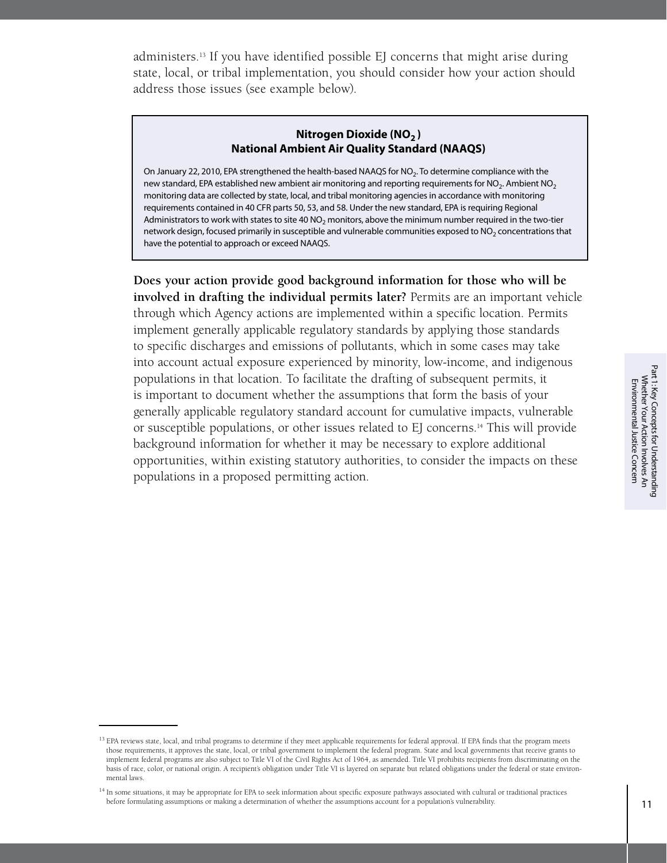[administers.13](https://administers.13) If you have identified possible EJ concerns that might arise during state, local, or tribal implementation, you should consider how your action should address those issues (see example below).

#### **Nitrogen Dioxide (NO<sub>2</sub>) National Ambient Air Quality Standard (NAAQS)**

On January 22, 2010, EPA strengthened the health-based NAAQS for NO $_2$ . To determine compliance with the new standard, EPA established new ambient air monitoring and reporting requirements for NO<sub>2</sub>. Ambient NO<sub>2</sub> monitoring data are collected by state, local, and tribal monitoring agencies in accordance with monitoring requirements contained in 40 CFR parts 50, 53, and 58. Under the new standard, EPA is requiring Regional Administrators to work with states to site 40 NO<sub>2</sub> monitors, above the minimum number required in the two-tier network design, focused primarily in susceptible and vulnerable communities exposed to NO<sub>2</sub> concentrations that have the potential to approach or exceed NAAQS.

**Does your action provide good background information for those who will be involved in drafting the individual permits later?** Permits are an important vehicle through which Agency actions are implemented within a specific location. Permits implement generally applicable regulatory standards by applying those standards to specific discharges and emissions of pollutants, which in some cases may take into account actual exposure experienced by minority, low-income, and indigenous populations in that location. To facilitate the drafting of subsequent permits, it is important to document whether the assumptions that form the basis of your generally applicable regulatory standard account for cumulative impacts, vulnerable or susceptible populations, or other issues related to EJ [concerns.14](https://concerns.14) This will provide background information for whether it may be necessary to explore additional opportunities, within existing statutory authorities, to consider the impacts on these populations in a proposed permitting action.

<sup>&</sup>lt;sup>13</sup> EPA reviews state, local, and tribal programs to determine if they meet applicable requirements for federal approval. If EPA finds that the program meets those requirements, it approves the state, local, or tribal government to implement the federal program. State and local governments that receive grants to implement federal programs are also subject to Title VI of the Civil Rights Act of 1964, as amended. Title VI prohibits recipients from discriminating on the basis of race, color, or national origin. A recipient's obligation under Title VI is layered on separate but related obligations under the federal or state environmental laws.

<sup>&</sup>lt;sup>14</sup> In some situations, it may be appropriate for EPA to seek information about specific exposure pathways associated with cultural or traditional practices before formulating assumptions or making a determination of whether the assumptions account for a population's vulnerability.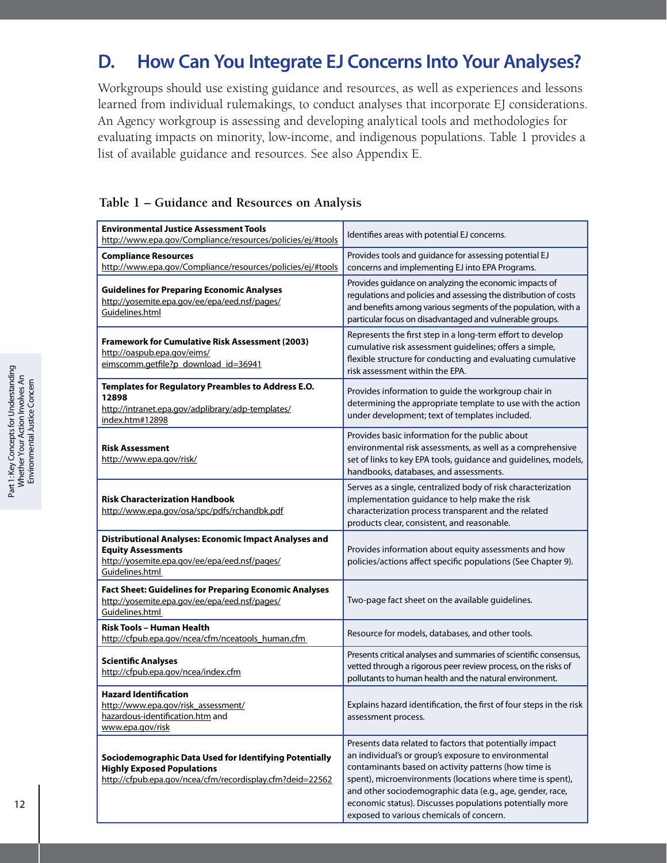#### <span id="page-17-0"></span>**D. How Can You Integrate EJ Concerns Into Your Analyses?**

Workgroups should use existing guidance and resources, as well as experiences and lessons learned from individual rulemakings, to conduct analyses that incorporate EJ considerations. An Agency workgroup is assessing and developing analytical tools and methodologies for evaluating impacts on minority, low-income, and indigenous populations. Table 1 provides a list of available guidance and resources. See also Appendix E.

| <b>Environmental Justice Assessment Tools</b><br>http://www.epa.gov/Compliance/resources/policies/ej/#tools                                                   | Identifies areas with potential EJ concerns.                                                                                                                                                                                                                                                                                                                    |
|---------------------------------------------------------------------------------------------------------------------------------------------------------------|-----------------------------------------------------------------------------------------------------------------------------------------------------------------------------------------------------------------------------------------------------------------------------------------------------------------------------------------------------------------|
| <b>Compliance Resources</b><br>http://www.epa.gov/Compliance/resources/policies/ej/#tools                                                                     | Provides tools and guidance for assessing potential EJ<br>concerns and implementing EJ into EPA Programs.                                                                                                                                                                                                                                                       |
| <b>Guidelines for Preparing Economic Analyses</b><br>http://yosemite.epa.gov/ee/epa/eed.nsf/pages/<br>Guidelines.html                                         | Provides guidance on analyzing the economic impacts of<br>regulations and policies and assessing the distribution of costs<br>and benefits among various segments of the population, with a<br>particular focus on disadvantaged and vulnerable groups.                                                                                                         |
| <b>Framework for Cumulative Risk Assessment (2003)</b><br>http://oaspub.epa.gov/eims/<br>eimscomm.getfile?p_download_id=36941                                 | Represents the first step in a long-term effort to develop<br>cumulative risk assessment guidelines; offers a simple,<br>flexible structure for conducting and evaluating cumulative<br>risk assessment within the EPA.                                                                                                                                         |
| Templates for Regulatory Preambles to Address E.O.<br>12898<br>http://intranet.epa.gov/adplibrary/adp-templates/<br>index.htm#12898                           | Provides information to guide the workgroup chair in<br>determining the appropriate template to use with the action<br>under development; text of templates included.                                                                                                                                                                                           |
| <b>Risk Assessment</b><br>http://www.epa.gov/risk/                                                                                                            | Provides basic information for the public about<br>environmental risk assessments, as well as a comprehensive<br>set of links to key EPA tools, guidance and guidelines, models,<br>handbooks, databases, and assessments.                                                                                                                                      |
| <b>Risk Characterization Handbook</b><br>http://www.epa.gov/osa/spc/pdfs/rchandbk.pdf                                                                         | Serves as a single, centralized body of risk characterization<br>implementation guidance to help make the risk<br>characterization process transparent and the related<br>products clear, consistent, and reasonable.                                                                                                                                           |
| <b>Distributional Analyses: Economic Impact Analyses and</b><br><b>Equity Assessments</b><br>http://yosemite.epa.gov/ee/epa/eed.nsf/pages/<br>Guidelines.html | Provides information about equity assessments and how<br>policies/actions affect specific populations (See Chapter 9).                                                                                                                                                                                                                                          |
| <b>Fact Sheet: Guidelines for Preparing Economic Analyses</b><br>http://yosemite.epa.gov/ee/epa/eed.nsf/pages/<br>Guidelines.html                             | Two-page fact sheet on the available guidelines.                                                                                                                                                                                                                                                                                                                |
| <b>Risk Tools - Human Health</b><br>http://cfpub.epa.gov/ncea/cfm/nceatools_human.cfm                                                                         | Resource for models, databases, and other tools.                                                                                                                                                                                                                                                                                                                |
| <b>Scientific Analyses</b><br>http://cfpub.epa.gov/ncea/index.cfm                                                                                             | Presents critical analyses and summaries of scientific consensus,<br>vetted through a rigorous peer review process, on the risks of<br>pollutants to human health and the natural environment.                                                                                                                                                                  |
| <b>Hazard Identification</b><br>http://www.epa.gov/risk_assessment/<br>hazardous-identification.htm and<br>www.epa.gov/risk                                   | Explains hazard identification, the first of four steps in the risk<br>assessment process.                                                                                                                                                                                                                                                                      |
| Sociodemographic Data Used for Identifying Potentially<br><b>Highly Exposed Populations</b><br>http://cfpub.epa.gov/ncea/cfm/recordisplay.cfm?deid=22562      | Presents data related to factors that potentially impact<br>an individual's or group's exposure to environmental<br>contaminants based on activity patterns (how time is<br>spent), microenvironments (locations where time is spent),<br>and other sociodemographic data (e.g., age, gender, race,<br>economic status). Discusses populations potentially more |

exposed to various chemicals of concern.

#### **Table 1 – Guidance and Resources on Analysis**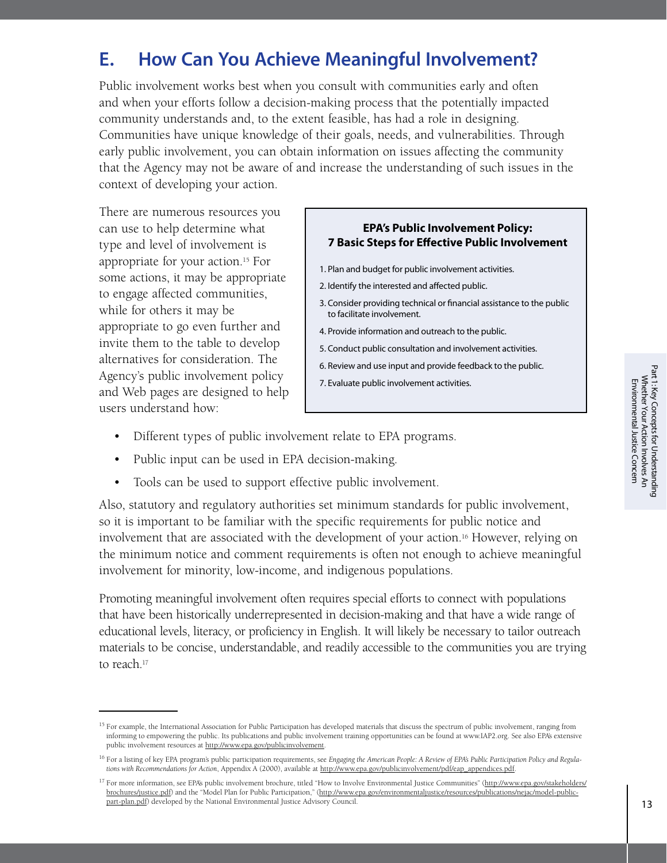### <span id="page-18-0"></span>**E. How Can You Achieve Meaningful Involvement?**

Public involvement works best when you consult with communities early and often and when your efforts follow a decision-making process that the potentially impacted community understands and, to the extent feasible, has had a role in designing. Communities have unique knowledge of their goals, needs, and vulnerabilities. Through early public involvement, you can obtain information on issues affecting the community that the Agency may not be aware of and increase the understanding of such issues in the context of developing your action.

invite them to the table to develop  $\begin{array}{|c|c|} \hline \end{array}$  5. Conduct public consultation and involvement activities. alternatives for consideration. The 6. Review and use input and provide feedback to the public. There are numerous resources you can use to help determine what type and level of involvement is appropriate for your [action.15](https://action.15) For some actions, it may be appropriate<br>to engage affected communities,<br>while for others it may be<br>discussed and affected public.<br>to facilitate involvement. appropriate to go even further and Agency's public involvement policy. and Web pages are designed to help users understand how:

#### **EPA's Public Involvement Policy: 7 Basic Steps for Efective Public Involvement**

- 1. Plan and budget for public involvement activities.
- 2. Identify the interested and affected public.
- $\mathbf$ to facilitate involvement.
- 4. Provide information and outreach to the public.
- 
- 
- 7. Evaluate public involvement activities.
- Different types of public involvement relate to EPA programs.
- Public input can be used in EPA decision-making.
- Tools can be used to support effective public involvement.

Also, statutory and regulatory authorities set minimum standards for public involvement, so it is important to be familiar with the specific requirements for public notice and involvement that are associated with the development of your [action.16](https://action.16) However, relying on the minimum notice and comment requirements is often not enough to achieve meaningful involvement for minority, low-income, and indigenous populations.

 Promoting meaningful involvement often requires special efforts to connect with populations that have been historically underrepresented in decision-making and that have a wide range of educational levels, literacy, or proficiency in English. It will likely be necessary to tailor outreach materials to be concise, understandable, and readily accessible to the communities you are trying to [reach.17](https://reach.17)

<sup>&</sup>lt;sup>15</sup> For example, the International Association for Public Participation has developed materials that discuss the spectrum of public involvement, ranging from informing to empowering the public. Its publications and public involvement training opportunities can be found at <www.IAP2.org>. See also EPA's extensive public involvement resources at [http://www.epa.gov/publicinvolvement.](http://www.epa.gov/publicinvolvement)

<sup>&</sup>lt;sup>16</sup> For a listing of key EPA program's public participation requirements, see Engaging the American People: A Review of EPA's Public Participation Policy and Regula*tions with Recommendations for Action*, Appendix A (2000), available at [http://www.epa.gov/publicinvolvement/pdf/eap\\_appendices.pdf](http://www.epa.gov/publicinvolvement/pdf/eap_appendices.pdf).

<sup>&</sup>lt;sup>17</sup> For more information, see EPA's public involvement brochure, titled "How to Involve Environmental Justice Communities" [\(http://www.epa.gov/stakeholders/](http://www.epa.gov/stakeholders) brochures/justice.pdf) and the "Model Plan for Public Participation," [\(http://www.epa.gov/environmentaljustice/resources/publications/nejac/model-public](http://www.epa.gov/environmentaljustice/resources/publications/nejac/model-public)part-plan.pdf) developed by the National Environmental Justice Advisory Council.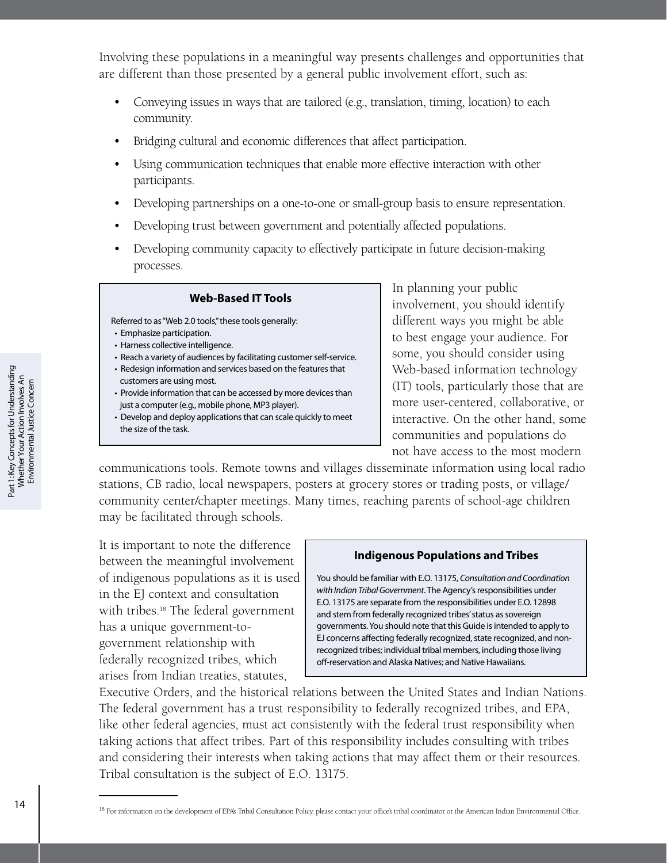Involving these populations in a meaningful way presents challenges and opportunities that are different than those presented by a general public involvement effort, such as:

- Conveying issues in ways that are tailored (e.g., translation, timing, location) to each community.
- Bridging cultural and economic differences that affect participation.
- • Using communication techniques that enable more effective interaction with other participants.
- Developing partnerships on a one-to-one or small-group basis to ensure representation.
- Developing trust between government and potentially affected populations.
- • Developing community capacity to effectively participate in future decision-making processes.

#### **Web-Based IT Tools**

Referred to as"Web 2.0 tools,"these tools generally:

- Emphasize participation.
- Harness collective intelligence.
- Reach a variety of audiences by facilitating customer self-service.
- Redesign information and services based on the features that customers are using most.
- • Provide information that can be accessed by more devices than just a computer (e.g., mobile phone, MP3 player).
- Develop and deploy applications that can scale quickly to meet the size of the task.

In planning your public involvement, you should identify different ways you might be able to best engage your audience. For some, you should consider using Web-based information technology (IT) tools, particularly those that are more user-centered, collaborative, or interactive. On the other hand, some communities and populations do not have access to the most modern

communications tools. Remote towns and villages disseminate information using local radio stations, CB radio, local newspapers, posters at grocery stores or trading posts, or village/ community center/chapter meetings. Many times, reaching parents of school-age children may be facilitated through schools.

It is important to note the difference **Indigenous Populations and Tribes** between the meaningful involvement in the EJ context and consultation with [tribes.18](https://tribes.18) The federal government has a unique government-togovernment relationship with federally recognized tribes, which arises from Indian treaties, statutes,

of indigenous populations as it is used You should be familiar with E.O. 13175, *Consultation and Coordination with Indian Tribal Government*. The Agency's responsibilities under E.O. 13175 are separate from the responsibilities under E.O. 12898 and stem from federally recognized tribes'status as sovereign governments. You should note that this Guide is intended to apply to EJ concerns afecting federally recognized, state recognized, and nonrecognized tribes; individual tribal members, including those living off-reservation and Alaska Natives; and Native Hawaiians.

Executive Orders, and the historical relations between the United States and Indian Nations. The federal government has a trust responsibility to federally recognized tribes, and EPA, like other federal agencies, must act consistently with the federal trust responsibility when taking actions that affect tribes. Part of this responsibility includes consulting with tribes and considering their interests when taking actions that may affect them or their resources. Tribal consultation is the subject of E.O. 13175.

<sup>&</sup>lt;sup>18</sup> For information on the development of EPA's Tribal Consultation Policy, please contact your office's tribal coordinator or the American Indian Environmental Office.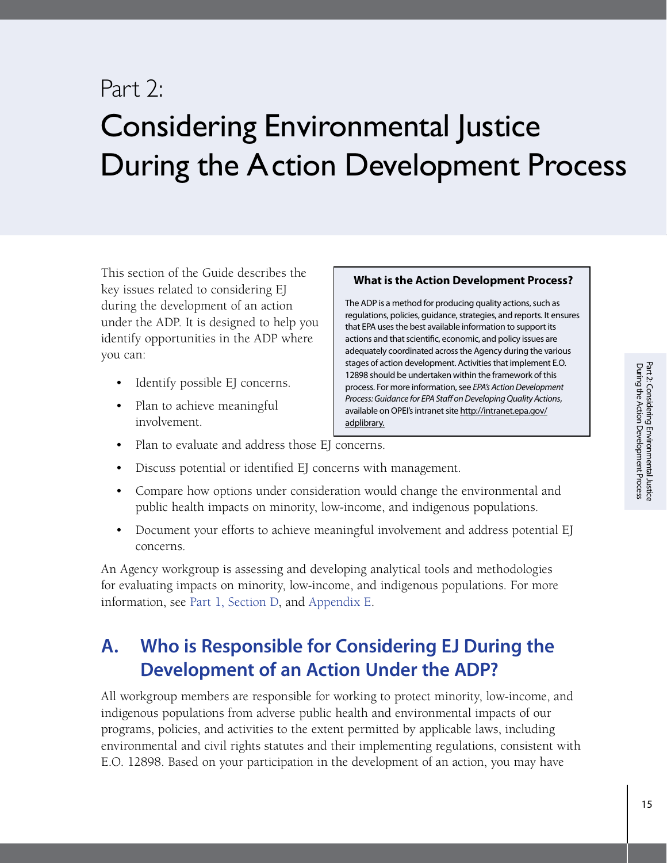## <span id="page-20-0"></span> Considering Environmental Justice During the Action Development Process Part 2:

This section of the Guide describes the key issues related to considering EJ during the development of an action under the ADP. It is designed to help you identify opportunities in the ADP where you can:

- 
- involvement.

#### **What is the Action Development Process?**

 The ADP is a method for producing quality actions, such as regulations, policies, guidance, strategies, and reports. It ensures that EPA uses the best available information to support its actions and that scientifc, economic, and policy issues are adequately coordinated across the Agency during the various stages of action development. Activities that implement E.O. 12898 should be undertaken within the framework of this • Identify possible EJ concerns. process. For more information, see *EPA's Action Development* available on OPEI's intranet site http://intranet.epa.gov/ Process: Guidance for EPA Staff on Developing Quality Actions,<br>Process: Guidance for EPA Staff on Developing Quality Actions,

- Plan to evaluate and address those EI concerns.
- Discuss potential or identified EJ concerns with management.
- Compare how options under consideration would change the environmental and public health impacts on minority, low-income, and indigenous populations.
- Document your efforts to achieve meaningful involvement and address potential EJ concerns.

An Agency workgroup is assessing and developing analytical tools and methodologies for evaluating impacts on minority, low-income, and indigenous populations. For more information, se[e Part 1, Section D,](#page-17-0) and [Appendix E.](#page-18-0) 

#### A. **A. Who is Responsible for Considering EJ During the Development of an Action Under the ADP?**

All workgroup members are responsible for working to protect minority, low-income, and indigenous populations from adverse public health and environmental impacts of our programs, policies, and activities to the extent permitted by applicable laws, including environmental and civil rights statutes and their implementing regulations, consistent with E.O. 12898. Based on your participation in the development of an action, you may have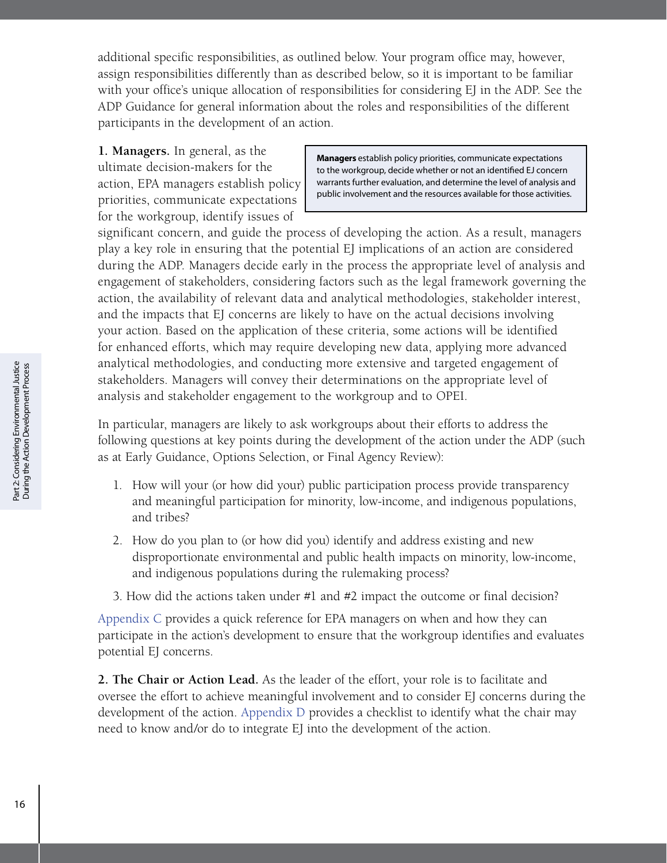additional specific responsibilities, as outlined below. Your program office may, however, assign responsibilities differently than as described below, so it is important to be familiar with your office's unique allocation of responsibilities for considering EJ in the ADP. See the ADP Guidance for general information about the roles and responsibilities of the different participants in the development of an action.

1. Managers. In general, as the ultimate decision-makers for the action, EPA managers establish policy for the workgroup, identify issues of priorities, communicate expectations

**Managers** establish policy priorities, communicate expectations to the workgroup, decide whether or not an identifed EJ concern warrants further evaluation, and determine the level of analysis and public involvement and the resources available for those activities.

 significant concern, and guide the process of developing the action. As a result, managers play a key role in ensuring that the potential EJ implications of an action are considered during the ADP. Managers decide early in the process the appropriate level of analysis and engagement of stakeholders, considering factors such as the legal framework governing the action, the availability of relevant data and analytical methodologies, stakeholder interest, and the impacts that EJ concerns are likely to have on the actual decisions involving your action. Based on the application of these criteria, some actions will be identified for enhanced efforts, which may require developing new data, applying more advanced analytical methodologies, and conducting more extensive and targeted engagement of stakeholders. Managers will convey their determinations on the appropriate level of analysis and stakeholder engagement to the workgroup and to OPEI.

In particular, managers are likely to ask workgroups about their efforts to address the following questions at key points during the development of the action under the ADP (such as at Early Guidance, Options Selection, or Final Agency Review):

- 1. How will your (or how did your) public participation process provide transparency and meaningful participation for minority, low-income, and indigenous populations, and tribes?
- 2. How do you plan to (or how did you) identify and address existing and new disproportionate environmental and public health impacts on minority, low-income, and indigenous populations during the rulemaking process?
- 3. How did the actions taken under #1 and #2 impact the outcome or final decision?

[Appendix C p](#page-45-0)rovides a quick reference for EPA managers on when and how they can participate in the action's development to ensure that the workgroup identifies and evaluates potential EJ concerns.

**2. The Chair or Action Lead.** As the leader of the effort, your role is to facilitate and oversee the effort to achieve meaningful involvement and to consider EJ concerns during the development of the action. [Appendix D](#page-47-0) provides a checklist to identify what the chair may need to know and/or do to integrate EJ into the development of the action.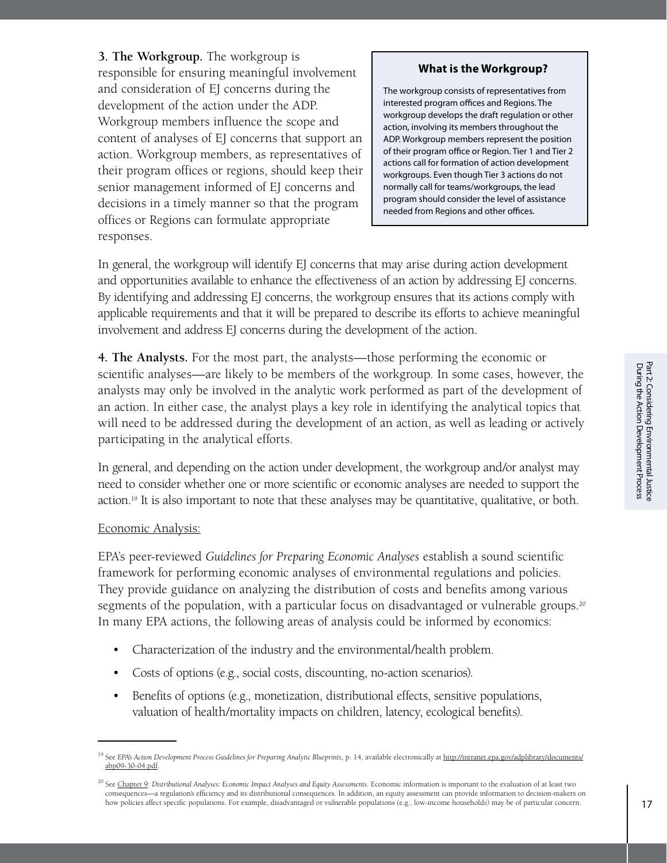**3. The Workgroup.** The workgroup is responsible for ensuring meaningful involvement and consideration of EJ concerns during the development of the action under the ADP. Workgroup members influence the scope and content of analyses of EJ concerns that support an action. Workgroup members, as representatives of their program offices or regions, should keep their senior management informed of EJ concerns and decisions in a timely manner so that the program offices or Regions can formulate appropriate responses.

#### **What is the Workgroup?**

The workgroup consists of representatives from interested program offices and Regions. The workgroup develops the draft regulation or other action, involving its members throughout the ADP. Workgroup members represent the position of their program office or Region. Tier 1 and Tier 2 actions call for formation of action development workgroups. Even though Tier 3 actions do not normally call for teams/workgroups, the lead program should consider the level of assistance needed from Regions and other offices.

 In general, the workgroup will identify EJ concerns that may arise during action development and opportunities available to enhance the effectiveness of an action by addressing EJ concerns. By identifying and addressing EJ concerns, the workgroup ensures that its actions comply with applicable requirements and that it will be prepared to describe its efforts to achieve meaningful involvement and address EJ concerns during the development of the action.

**4. The Analysts.** For the most part, the analysts—those performing the economic or scientific analyses—are likely to be members of the workgroup. In some cases, however, the analysts may only be involved in the analytic work performed as part of the development of an action. In either case, the analyst plays a key role in identifying the analytical topics that will need to be addressed during the development of an action, as well as leading or actively participating in the analytical efforts.

 In general, and depending on the action under development, the workgroup and/or analyst may need to consider whether one or more scientific or economic analyses are needed to support the [action.19](https://action.19) It is also important to note that these analyses may be quantitative, qualitative, or both.

#### Economic Analysis:

EPA's peer-reviewed *Guidelines for Preparing Economic Analyses* establish a sound scientific framework for performing economic analyses of environmental regulations and policies. They provide guidance on analyzing the distribution of costs and benefits among various segments of the population, with a particular focus on disadvantaged or vulnerable groups.<sup>20</sup> In many EPA actions, the following areas of analysis could be informed by economics:

- Characterization of the industry and the environmental/health problem.
- Costs of options (e.g., social costs, discounting, no-action scenarios).
- valuation of health/mortality impacts on children, latency, ecological benefits). • Benefits of options (e.g., monetization, distributional effects, sensitive populations,

<sup>&</sup>lt;sup>19</sup> See *EPA's Action Development Process Guidelines for Preparing Analytic Blueprints*, p. 14, available electronically at [http://intranet.epa.gov/adplibrary/documents/](http://intranet.epa.gov/adplibrary/documents) abp09-30-04.pdf.

 20 See Chapter 9: *Distributional Analyses: Economic Impact Analyses and Equity Assessments*. Economic information is important to the evaluation of at least two consequences—a regulation's effciency and its distributional consequences. In addition, an equity assessment can provide information to decision-makers on how policies affect specifc populations. For example, disadvantaged or vulnerable populations (e.g., low-income households) may be of particular concern.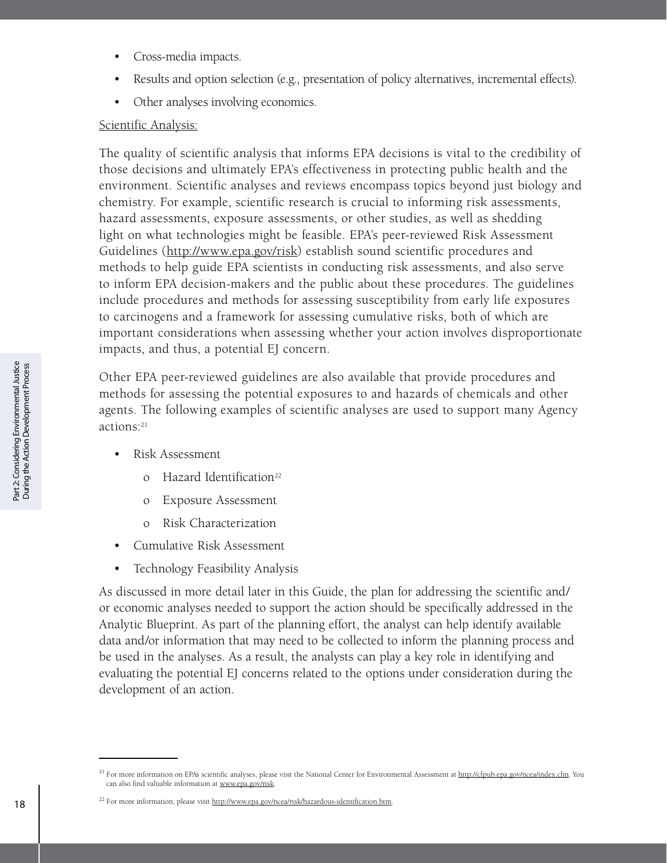- Cross-media impacts.
- Results and option selection (e.g., presentation of policy alternatives, incremental effects).
- Other analyses involving economics.

#### Scientific Analysis:

 The quality of scientific analysis that informs EPA decisions is vital to the credibility of those decisions and ultimately EPA's effectiveness in protecting public health and the environment. Scientific analyses and reviews encompass topics beyond just biology and chemistry. For example, scientific research is crucial to informing risk assessments, hazard assessments, exposure assessments, or other studies, as well as shedding light on what technologies might be feasible. EPA's peer-reviewed Risk Assessment Guidelines (<http://www.epa.gov/risk>) establish sound scientific procedures and methods to help guide EPA scientists in conducting risk assessments, and also serve to inform EPA decision-makers and the public about these procedures. The guidelines include procedures and methods for assessing susceptibility from early life exposures to carcinogens and a framework for assessing cumulative risks, both of which are important considerations when assessing whether your action involves disproportionate impacts, and thus, a potential EJ concern.

 Other EPA peer-reviewed guidelines are also available that provide procedures and methods for assessing the potential exposures to and hazards of chemicals and other agents. The following examples of scientific analyses are used to support many Agency actions:21

- Risk Assessment
	- o Hazard Identification<sup>22</sup>
	- o Exposure Assessment
	- o Risk Characterization
- Cumulative Risk Assessment
- Technology Feasibility Analysis

As discussed in more detail later in this Guide, the plan for addressing the scientific and/ or economic analyses needed to support the action should be specifically addressed in the Analytic Blueprint. As part of the planning effort, the analyst can help identify available data and/or information that may need to be collected to inform the planning process and be used in the analyses. As a result, the analysts can play a key role in identifying and evaluating the potential EJ concerns related to the options under consideration during the development of an action.

<sup>&</sup>lt;sup>21</sup> For more information on EPA's scientific analyses, please visit the National Center for Environmental Assessment at <http://cfpub.epa.gov/ncea/index.cfm>. You can also fnd valuable information at [www.epa.gov/risk.](www.epa.gov/risk)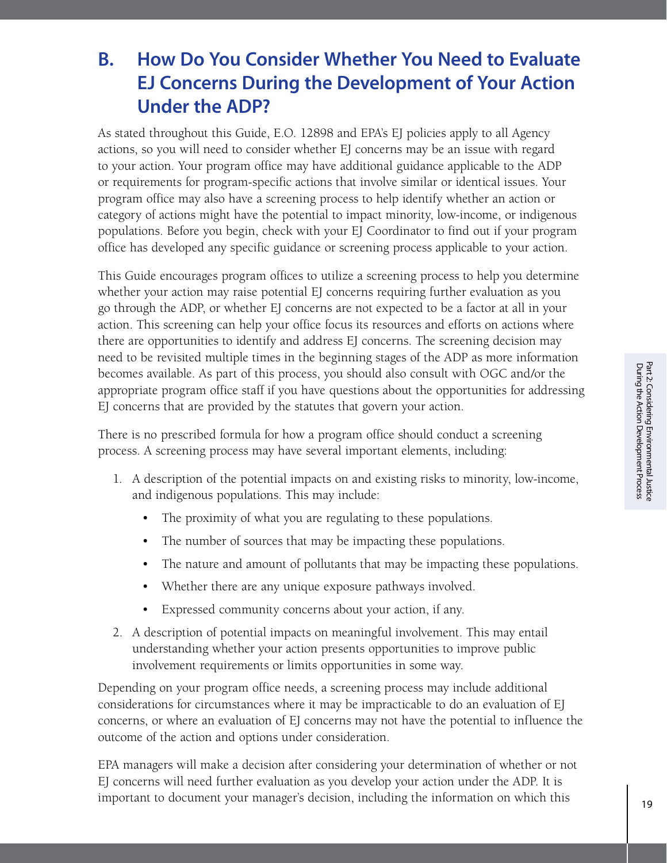#### **B.** How Do You Consider Whether You Need to Evaluate **EJ Concerns During the Development of Your Action Under the ADP?**

As stated throughout this Guide, E.O. 12898 and EPA's EJ policies apply to all Agency actions, so you will need to consider whether EJ concerns may be an issue with regard to your action. Your program office may have additional guidance applicable to the ADP or requirements for program-specific actions that involve similar or identical issues. Your program office may also have a screening process to help identify whether an action or category of actions might have the potential to impact minority, low-income, or indigenous populations. Before you begin, check with your EJ Coordinator to find out if your program office has developed any specific guidance or screening process applicable to your action.

This Guide encourages program offices to utilize a screening process to help you determine whether your action may raise potential EJ concerns requiring further evaluation as you go through the ADP, or whether EJ concerns are not expected to be a factor at all in your action. This screening can help your office focus its resources and efforts on actions where there are opportunities to identify and address EJ concerns. The screening decision may need to be revisited multiple times in the beginning stages of the ADP as more information becomes available. As part of this process, you should also consult with OGC and/or the appropriate program office staff if you have questions about the opportunities for addressing EJ concerns that are provided by the statutes that govern your action.

There is no prescribed formula for how a program office should conduct a screening process. A screening process may have several important elements, including:

- 1. A description of the potential impacts on and existing risks to minority, low-income, and indigenous populations. This may include:
	- The proximity of what you are regulating to these populations.
	- The number of sources that may be impacting these populations.
	- The nature and amount of pollutants that may be impacting these populations.
	- Whether there are any unique exposure pathways involved.
	- Expressed community concerns about your action, if any.
- 2. A description of potential impacts on meaningful involvement. This may entail understanding whether your action presents opportunities to improve public involvement requirements or limits opportunities in some way.

Depending on your program office needs, a screening process may include additional considerations for circumstances where it may be impracticable to do an evaluation of EJ concerns, or where an evaluation of EJ concerns may not have the potential to influence the outcome of the action and options under consideration.

EPA managers will make a decision after considering your determination of whether or not EJ concerns will need further evaluation as you develop your action under the ADP. It is important to document your manager's decision, including the information on which this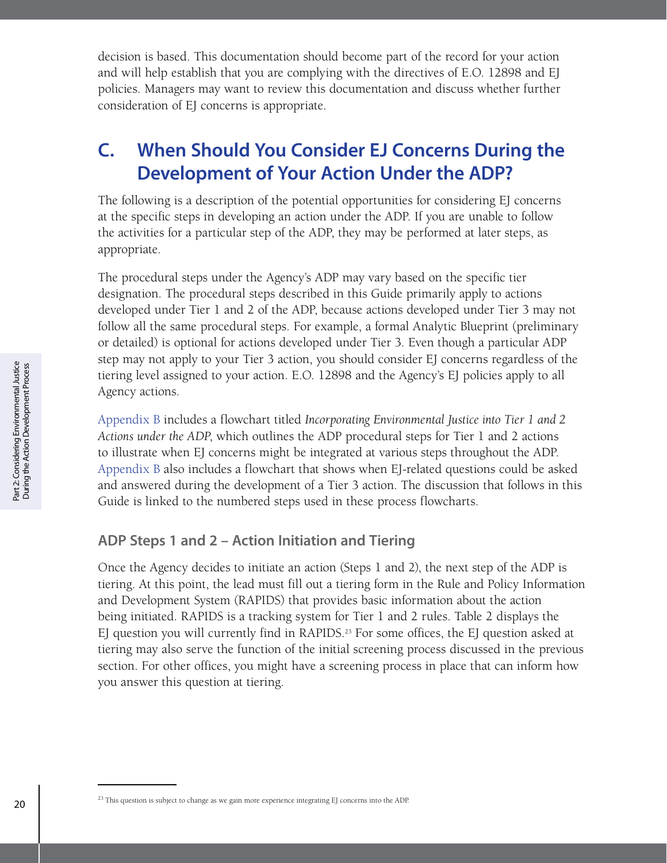decision is based. This documentation should become part of the record for your action and will help establish that you are complying with the directives of E.O. 12898 and EJ policies. Managers may want to review this documentation and discuss whether further consideration of EJ concerns is appropriate.

#### **When Should You Consider EJ Concerns During the Development of Your Action Under the ADP?**

The following is a description of the potential opportunities for considering EJ concerns at the specific steps in developing an action under the ADP. If you are unable to follow the activities for a particular step of the ADP, they may be performed at later steps, as appropriate.

The procedural steps under the Agency's ADP may vary based on the specific tier designation. The procedural steps described in this Guide primarily apply to actions developed under Tier 1 and 2 of the ADP, because actions developed under Tier 3 may not follow all the same procedural steps. For example, a formal Analytic Blueprint (preliminary or detailed) is optional for actions developed under Tier 3. Even though a particular ADP step may not apply to your Tier 3 action, you should consider EJ concerns regardless of the tiering level assigned to your action. E.O. 12898 and the Agency's EJ policies apply to all Agency actions.

[Appendix B i](#page-43-0)ncludes a flowchart titled *Incorporating Environmental Justice into Tier 1 and 2 Actions under the ADP*, which outlines the ADP procedural steps for Tier 1 and 2 actions to illustrate when EJ concerns might be integrated at various steps throughout the ADP. [Appendix B a](#page-43-0)lso includes a flowchart that shows when EJ-related questions could be asked and answered during the development of a Tier 3 action. The discussion that follows in this Guide is linked to the numbered steps used in these process flowcharts.

#### **ADP Steps 1 and 2 – Action Initiation and Tiering**

Once the Agency decides to initiate an action (Steps 1 and 2), the next step of the ADP is tiering. At this point, the lead must fill out a tiering form in the Rule and Policy Information and Development System (RAPIDS) that provides basic information about the action being initiated. RAPIDS is a tracking system for Tier 1 and 2 rules. Table 2 displays the EJ question you will currently find in [RAPIDS.23](https://RAPIDS.23) For some offices, the EJ question asked at tiering may also serve the function of the initial screening process discussed in the previous section. For other offices, you might have a screening process in place that can inform how you answer this question at tiering.

Part 2: Considering Environmental Justice During the Action Development Process

Part 2: Considering Environmental Justice<br>During the Action Development Process

<sup>&</sup>lt;sup>23</sup> This question is subject to change as we gain more experience integrating EJ concerns into the ADP.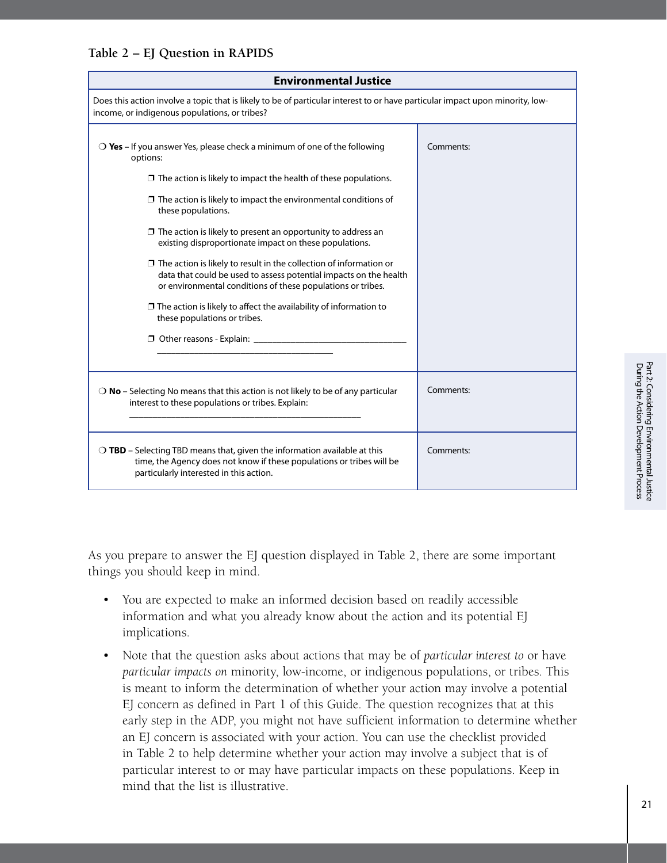#### **Table 2 – EJ Question in RAPIDS**

| <b>Environmental Justice</b>                                                                                                                                                                                                                                                                                                                                                                                                                                                                                                                                                                                                                                                                                                                                                                                                                            |           |
|---------------------------------------------------------------------------------------------------------------------------------------------------------------------------------------------------------------------------------------------------------------------------------------------------------------------------------------------------------------------------------------------------------------------------------------------------------------------------------------------------------------------------------------------------------------------------------------------------------------------------------------------------------------------------------------------------------------------------------------------------------------------------------------------------------------------------------------------------------|-----------|
| Does this action involve a topic that is likely to be of particular interest to or have particular impact upon minority, low-<br>income, or indigenous populations, or tribes?                                                                                                                                                                                                                                                                                                                                                                                                                                                                                                                                                                                                                                                                          |           |
| $\bigcirc$ Yes – If you answer Yes, please check a minimum of one of the following<br>options:<br>$\Box$ The action is likely to impact the health of these populations.<br>$\Box$ The action is likely to impact the environmental conditions of<br>these populations.<br>$\Box$ The action is likely to present an opportunity to address an<br>existing disproportionate impact on these populations.<br>$\Box$ The action is likely to result in the collection of information or<br>data that could be used to assess potential impacts on the health<br>or environmental conditions of these populations or tribes.<br>$\Box$ The action is likely to affect the availability of information to<br>these populations or tribes.<br>Other reasons - Explain: Discovery and Discovery and Discovery and Discovery and Discovery and Discovery and D | Comments: |
|                                                                                                                                                                                                                                                                                                                                                                                                                                                                                                                                                                                                                                                                                                                                                                                                                                                         |           |
| $\bigcirc$ No – Selecting No means that this action is not likely to be of any particular<br>interest to these populations or tribes. Explain:                                                                                                                                                                                                                                                                                                                                                                                                                                                                                                                                                                                                                                                                                                          | Comments: |
| $\bigcirc$ TBD – Selecting TBD means that, given the information available at this<br>time, the Agency does not know if these populations or tribes will be<br>particularly interested in this action.                                                                                                                                                                                                                                                                                                                                                                                                                                                                                                                                                                                                                                                  | Comments: |

As you prepare to answer the EJ question displayed in Table 2, there are some important things you should keep in mind.

- You are expected to make an informed decision based on readily accessible information and what you already know about the action and its potential EJ implications.
- • Note that the question asks about actions that may be of *particular interest to* or have *particular impacts on* minority, low-income, or indigenous populations, or tribes. This is meant to inform the determination of whether your action may involve a potential EJ concern as defined in Part 1 of this Guide. The question recognizes that at this early step in the ADP, you might not have sufficient information to determine whether an EJ concern is associated with your action. You can use the checklist provided in Table 2 to help determine whether your action may involve a subject that is of particular interest to or may have particular impacts on these populations. Keep in mind that the list is illustrative.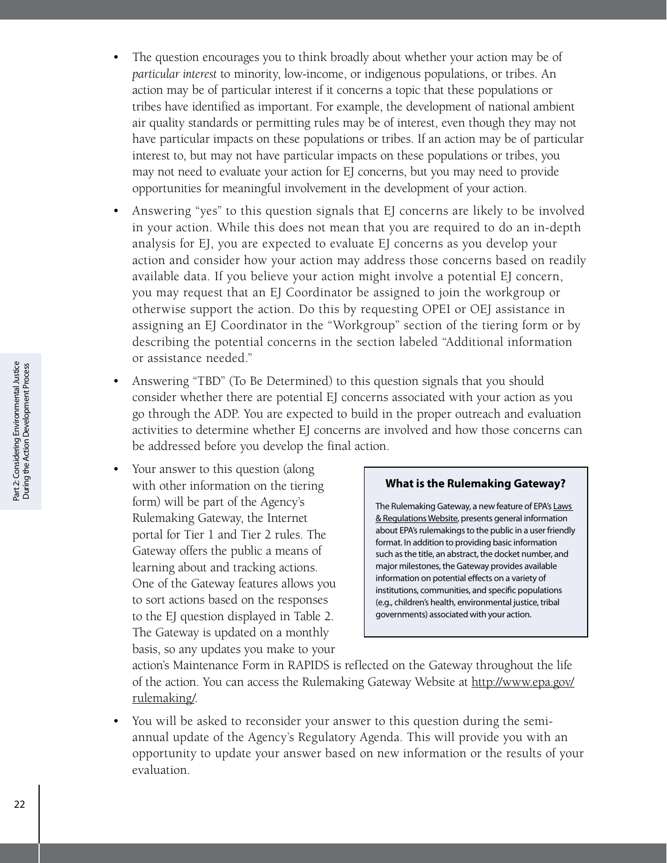- *particular interest* to minority, low-income, or indigenous populations, or tribes. An action may be of particular interest if it concerns a topic that these populations or tribes have identified as important. For example, the development of national ambient air quality standards or permitting rules may be of interest, even though they may not have particular impacts on these populations or tribes. If an action may be of particular interest to, but may not have particular impacts on these populations or tribes, you may not need to evaluate your action for EJ concerns, but you may need to provide opportunities for meaningful involvement in the development of your action. The question encourages you to think broadly about whether your action may be of
- • Answering "yes" to this question signals that EJ concerns are likely to be involved in your action. While this does not mean that you are required to do an in-depth analysis for EJ, you are expected to evaluate EJ concerns as you develop your action and consider how your action may address those concerns based on readily available data. If you believe your action might involve a potential EJ concern, you may request that an EJ Coordinator be assigned to join the workgroup or otherwise support the action. Do this by requesting OPEI or OEJ assistance in assigning an EJ Coordinator in the "Workgroup" section of the tiering form or by describing the potential concerns in the section labeled "Additional information or assistance needed."
- Answering "TBD" (To Be Determined) to this question signals that you should consider whether there are potential EJ concerns associated with your action as you go through the ADP. You are expected to build in the proper outreach and evaluation activities to determine whether EJ concerns are involved and how those concerns can be addressed before you develop the final action.
- with other information on the tiering **What is the Rulemaking Gateway?**  form) will be part of the Agency's The Rulemaking Gateway, a new feature of EPA's Laws Rulemaking Gateway, the Internet **&** <u>& Regulations Website</u>, presents general information portal for Tier 1 and Tier 2 rules. The  $\int$  about EPA's rulemakings to the public in a user friendly format. In addition to providing basic information Gateway offers the public a means of such as the title, an abstract, the docket number, and learning about and tracking actions. One of the Gateway features allows you to sort actions based on the responses to the EJ question displayed in Table 2. The Gateway is updated on a monthly basis, so any updates you make to your • Your answer to this question (along

The Rulemaking Gateway, a new feature of EPA's Laws & Regulations Website, presents general information about EPA's rulemakings to the public in a user friendly format. In addition to providing basic information major milestones, the Gateway provides available information on potential effects on a variety of (e.g., children's health, environmental justice, tribal governments) associated with your action.

 action's Maintenance Form in RAPIDS is reflected on the Gateway throughout the life of the action. You can access the Rulemaking Gateway Website at [http://www.epa.gov/](http://www.epa.gov) rulemaking/.

 • You will be asked to reconsider your answer to this question during the semi- annual update of the Agency's Regulatory Agenda. This will provide you with an opportunity to update your answer based on new information or the results of your evaluation.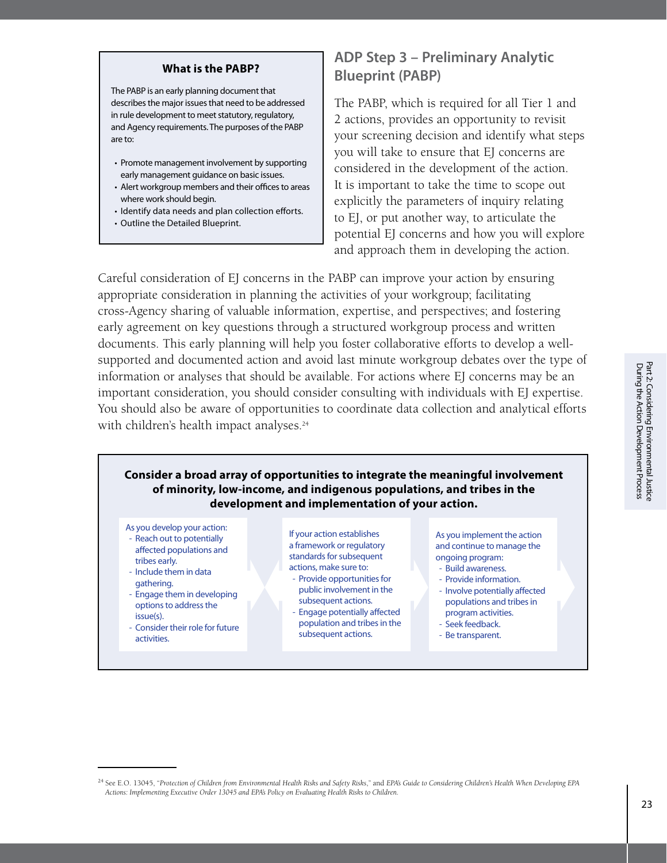#### **What is the PABP?**

 The PABP is an early planning document that describes the major issues that need to be addressed in rule development to meet statutory, regulatory, and Agency requirements. The purposes of the PABP are to:

- Promote management involvement by supporting early management guidance on basic issues.
- Alert workgroup members and their offices to areas where work should begin.
- Identify data needs and plan collection efforts.
- Outline the Detailed Blueprint.

### **ADP Step 3 – Preliminary Analytic What is the PABP? Blueprint (PABP)**

The PABP, which is required for all Tier 1 and 2 actions, provides an opportunity to revisit your screening decision and identify what steps you will take to ensure that EJ concerns are considered in the development of the action. It is important to take the time to scope out explicitly the parameters of inquiry relating to EJ, or put another way, to articulate the potential EJ concerns and how you will explore and approach them in developing the action.

Careful consideration of EJ concerns in the PABP can improve your action by ensuring appropriate consideration in planning the activities of your workgroup; facilitating cross-Agency sharing of valuable information, expertise, and perspectives; and fostering early agreement on key questions through a structured workgroup process and written documents. This early planning will help you foster collaborative efforts to develop a wellsupported and documented action and avoid last minute workgroup debates over the type of information or analyses that should be available. For actions where EJ concerns may be an important consideration, you should consider consulting with individuals with EJ expertise. You should also be aware of opportunities to coordinate data collection and analytical efforts with children's health impact analyses.<sup>24</sup>

#### **Consider a broad array of opportunities to integrate the meaningful involvement of minority, low-income, and indigenous populations, and tribes in the development and implementation of your action.**

As you develop your action:

- Reach out to potentially afected populations and tribes early.
- Include them in data gathering.

 - Engage them in developing options to address the issue(s).

 - Consider their role for future activities.

If your action establishes a framework or regulatory standards for subsequent actions, make sure to:

- Provide opportunities for public involvement in the subsequent actions.
- Engage potentially affected population and tribes in the subsequent actions.

As you implement the action and continue to manage the ongoing program:

- Build awareness.
- Provide information.
- Involve potentially afected populations and tribes in program activities.
- Seek feedback.
- Be transparent.

 24 See E.O. 13045, "*Protection of Children from Environmental Health Risks and Safety Risks*," and *EPA's Guide to Considering Children's Health When Developing EPA Actions: Implementing Executive Order 13045 and EPA's Policy on Evaluating Health Risks to Children.*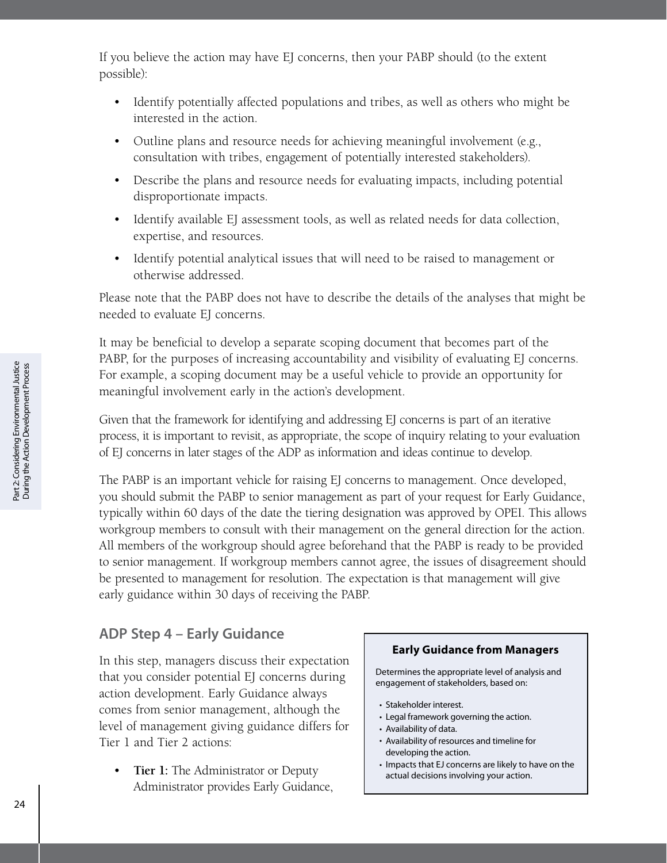If you believe the action may have EJ concerns, then your PABP should (to the extent possible):

- Identify potentially affected populations and tribes, as well as others who might be interested in the action.
- Outline plans and resource needs for achieving meaningful involvement (e.g., consultation with tribes, engagement of potentially interested stakeholders).
- Describe the plans and resource needs for evaluating impacts, including potential disproportionate impacts.
- Identify available EJ assessment tools, as well as related needs for data collection, expertise, and resources.
- Identify potential analytical issues that will need to be raised to management or otherwise addressed.

Please note that the PABP does not have to describe the details of the analyses that might be needed to evaluate EJ concerns.

It may be beneficial to develop a separate scoping document that becomes part of the PABP, for the purposes of increasing accountability and visibility of evaluating EJ concerns. For example, a scoping document may be a useful vehicle to provide an opportunity for meaningful involvement early in the action's development.

 Given that the framework for identifying and addressing EJ concerns is part of an iterative process, it is important to revisit, as appropriate, the scope of inquiry relating to your evaluation of EJ concerns in later stages of the ADP as information and ideas continue to develop.

 The PABP is an important vehicle for raising EJ concerns to management. Once developed, you should submit the PABP to senior management as part of your request for Early Guidance, typically within 60 days of the date the tiering designation was approved by OPEI. This allows workgroup members to consult with their management on the general direction for the action. All members of the workgroup should agree beforehand that the PABP is ready to be provided to senior management. If workgroup members cannot agree, the issues of disagreement should be presented to management for resolution. The expectation is that management will give early guidance within 30 days of receiving the PABP.

#### **ADP Step 4 – Early Guidance**

**Early Guidance from Managers** In this step, managers discuss their expectation that you consider potential EJ concerns during action development. Early Guidance always comes from senior management, although the level of management giving guidance differs for Tier 1 and Tier 2 actions:

• **Tier 1:** The Administrator or Deputy Administrator provides Early Guidance,

#### **Early Guidance from Managers**

Determines the appropriate level of analysis and engagement of stakeholders, based on:

- Stakeholder interest.
- Legal framework governing the action.
- Availability of data.
- Availability of resources and timeline for developing the action.
- Impacts that EJ concerns are likely to have on the actual decisions involving your action.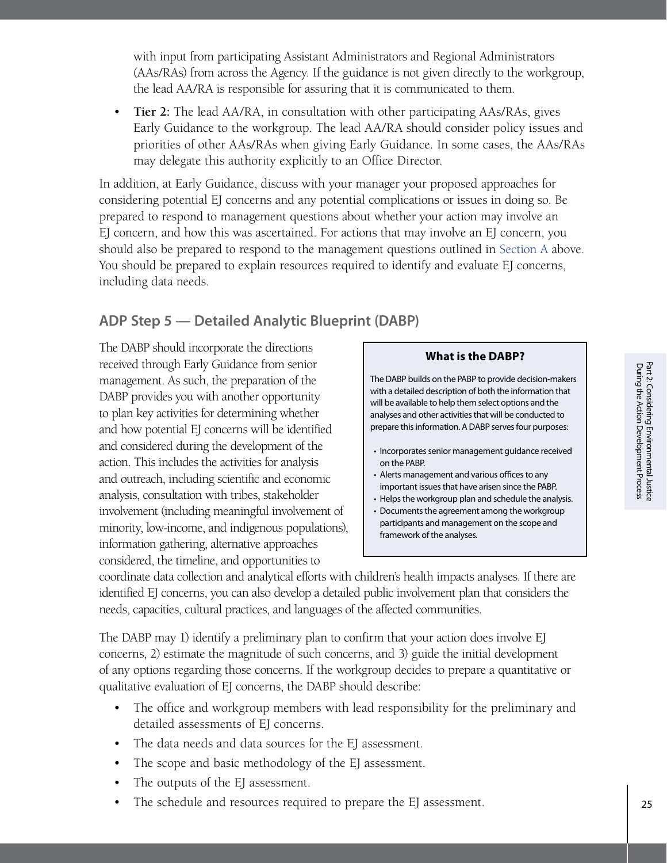with input from participating Assistant Administrators and Regional Administrators (AAs/RAs) from across the Agency. If the guidance is not given directly to the workgroup, the lead AA/RA is responsible for assuring that it is communicated to them.

**Tier 2:** The lead AA/RA, in consultation with other participating AAs/RAs, gives Early Guidance to the workgroup. The lead AA/RA should consider policy issues and priorities of other AAs/RAs when giving Early Guidance. In some cases, the AAs/RAs may delegate this authority explicitly to an Office Director.

 In addition, at Early Guidance, discuss with your manager your proposed approaches for considering potential EJ concerns and any potential complications or issues in doing so. Be prepared to respond to management questions about whether your action may involve an EJ concern, and how this was ascertained. For actions that may involve an EJ concern, you should also be prepared to respond to the management questions outlined i[n Section A](#page-20-0) above. You should be prepared to explain resources required to identify and evaluate EJ concerns, including data needs.

#### **ADP Step 5 — Detailed Analytic Blueprint (DABP)**

 The DABP should incorporate the directions received through Early Guidance from senior management. As such, the preparation of the DABP provides you with another opportunity to plan key activities for determining whether and how potential EJ concerns will be identified and considered during the development of the action. This includes the activities for analysis and outreach, including scientific and economic analysis, consultation with tribes, stakeholder involvement (including meaningful involvement of minority, low-income, and indigenous populations), information gathering, alternative approaches considered, the timeline, and opportunities to

#### **What is the DABP?**

 The DABP builds on the PABP to provide decision-makers with a detailed description of both the information that will be available to help them select options and the analyses and other activities that will be conducted to prepare this information. A DABP serves four purposes:

- on the PABP. • Incorporates senior management guidance received
- important issues that have arisen since the PABP. • Alerts management and various offices to any
- Helps the workgroup plan and schedule the analysis.
- participants and management on the scope and framework of the analyses. • Documents the agreement among the workgroup

 coordinate data collection and analytical efforts with children's health impacts analyses. If there are identified EJ concerns, you can also develop a detailed public involvement plan that considers the needs, capacities, cultural practices, and languages of the affected communities.

 The DABP may 1) identify a preliminary plan to confirm that your action does involve EJ concerns, 2) estimate the magnitude of such concerns, and 3) guide the initial development of any options regarding those concerns. If the workgroup decides to prepare a quantitative or qualitative evaluation of EJ concerns, the DABP should describe:

- The office and workgroup members with lead responsibility for the preliminary and detailed assessments of EJ concerns.
- The data needs and data sources for the EJ assessment.
- The scope and basic methodology of the EJ assessment.
- The outputs of the EJ assessment.
- The schedule and resources required to prepare the EJ assessment.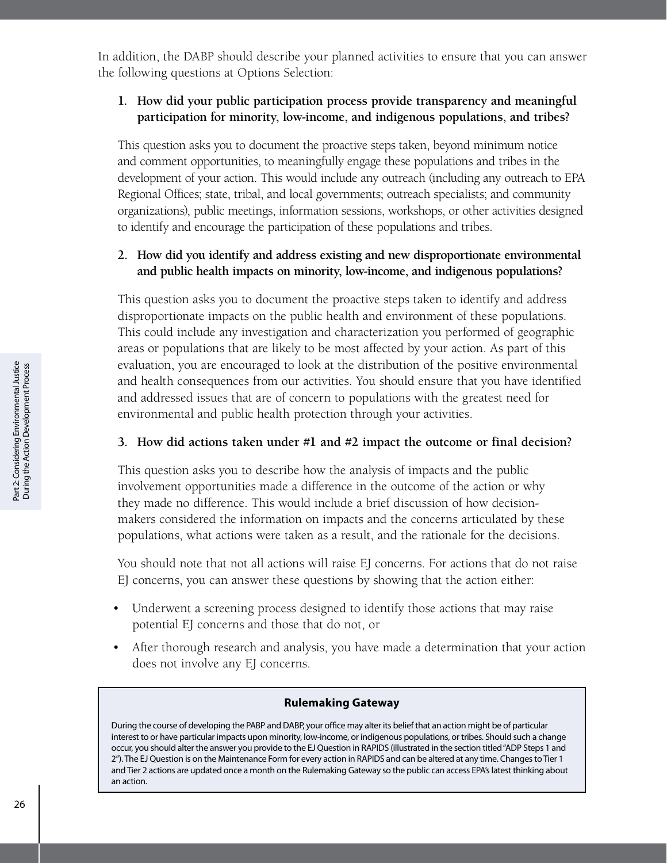In addition, the DABP should describe your planned activities to ensure that you can answer the following questions at Options Selection:

#### **1. How did your public participation process provide transparency and meaningful participation for minority, low-income, and indigenous populations, and tribes?**

 This question asks you to document the proactive steps taken, beyond minimum notice and comment opportunities, to meaningfully engage these populations and tribes in the development of your action. This would include any outreach (including any outreach to EPA Regional Offices; state, tribal, and local governments; outreach specialists; and community organizations), public meetings, information sessions, workshops, or other activities designed to identify and encourage the participation of these populations and tribes.

#### **2. How did you identify and address existing and new disproportionate environmental and public health impacts on minority, low-income, and indigenous populations?**

This question asks you to document the proactive steps taken to identify and address disproportionate impacts on the public health and environment of these populations. This could include any investigation and characterization you performed of geographic areas or populations that are likely to be most affected by your action. As part of this evaluation, you are encouraged to look at the distribution of the positive environmental and health consequences from our activities. You should ensure that you have identified and addressed issues that are of concern to populations with the greatest need for environmental and public health protection through your activities.

#### **3. How did actions taken under #1 and #2 impact the outcome or final decision?**

This question asks you to describe how the analysis of impacts and the public involvement opportunities made a difference in the outcome of the action or why they made no difference. This would include a brief discussion of how decisionmakers considered the information on impacts and the concerns articulated by these populations, what actions were taken as a result, and the rationale for the decisions.

You should note that not all actions will raise EJ concerns. For actions that do not raise EJ concerns, you can answer these questions by showing that the action either:

- Underwent a screening process designed to identify those actions that may raise potential EJ concerns and those that do not, or
- • After thorough research and analysis, you have made a determination that your action does not involve any EJ concerns.

#### **Rulemaking Gateway**

During the course of developing the PABP and DABP, your office may alter its belief that an action might be of particular interest to or have particular impacts upon minority, low-income, or indigenous populations, or tribes. Should such a change occur, you should alter the answer you provide to the EJ Question in RAPIDS (illustrated in the section titled"ADP Steps 1 and 2"). The EJ Question is on the Maintenance Form for every action in RAPIDS and can be altered at any time. Changes to Tier 1 and Tier 2 actions are updated once a month on the Rulemaking Gateway so the public can access EPA's latest thinking about an action.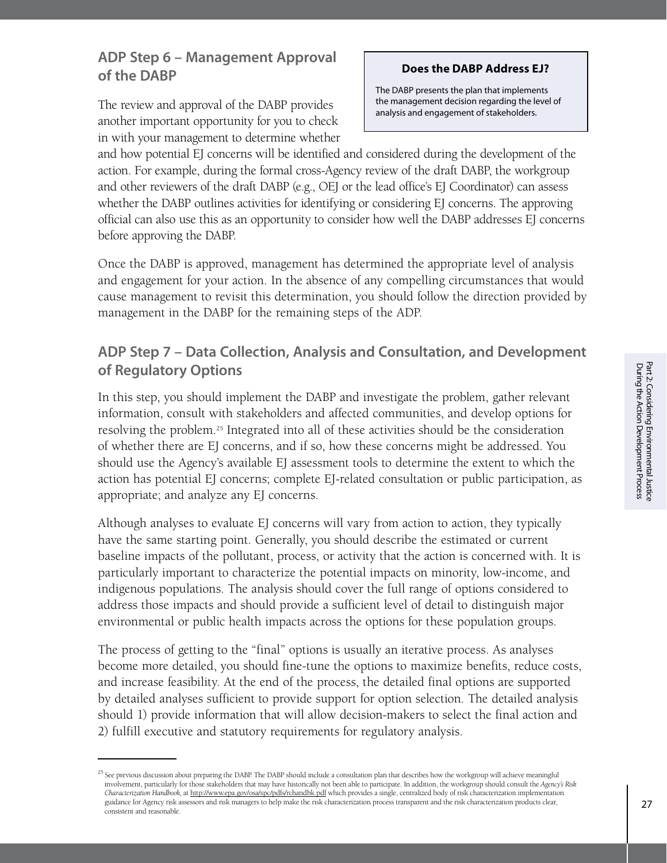### **ADP Step 6 – Management Approval <b>Does the DABP Address EJ? Does the DABP Address EJ?**

The review and approval of the DABP provides the management decision regarding the level of  $\blacksquare$  analysis and engagement of stakeholders. another important opportunity for you to check in with your management to determine whether

The DABP presents the plan that implements

 and how potential EJ concerns will be identified and considered during the development of the action. For example, during the formal cross-Agency review of the draft DABP, the workgroup and other reviewers of the draft DABP (e.g., OEJ or the lead office's EJ Coordinator) can assess whether the DABP outlines activities for identifying or considering EJ concerns. The approving official can also use this as an opportunity to consider how well the DABP addresses EJ concerns before approving the DABP.

Once the DABP is approved, management has determined the appropriate level of analysis and engagement for your action. In the absence of any compelling circumstances that would cause management to revisit this determination, you should follow the direction provided by management in the DABP for the remaining steps of the ADP.

#### **ADP Step 7 – Data Collection, Analysis and Consultation, and Development of Regulatory Options**

In this step, you should implement the DABP and investigate the problem, gather relevant information, consult with stakeholders and affected communities, and develop options for resolving the [problem.25](https://problem.25) Integrated into all of these activities should be the consideration of whether there are EJ concerns, and if so, how these concerns might be addressed. You should use the Agency's available EJ assessment tools to determine the extent to which the action has potential EJ concerns; complete EJ-related consultation or public participation, as appropriate; and analyze any EJ concerns.

Although analyses to evaluate EJ concerns will vary from action to action, they typically have the same starting point. Generally, you should describe the estimated or current baseline impacts of the pollutant, process, or activity that the action is concerned with. It is particularly important to characterize the potential impacts on minority, low-income, and indigenous populations. The analysis should cover the full range of options considered to address those impacts and should provide a sufficient level of detail to distinguish major environmental or public health impacts across the options for these population groups.

The process of getting to the "final" options is usually an iterative process. As analyses become more detailed, you should fine-tune the options to maximize benefits, reduce costs, and increase feasibility. At the end of the process, the detailed final options are supported by detailed analyses sufficient to provide support for option selection. The detailed analysis should 1) provide information that will allow decision-makers to select the final action and 2) fulfill executive and statutory requirements for regulatory analysis.

<sup>&</sup>lt;sup>25</sup> See previous discussion about preparing the DABP. The DABP should include a consultation plan that describes how the workgroup will achieve meaningful involvement, particularly for those stakeholders that may have historically not been able to participate. In addition, the workgroup should consult the *Agency's Risk Characterization Handbook,* at<http://www.epa.gov/osa/spc/pdfs/rchandbk.pdf>which provides a single, centralized body of risk characterization implementation guidance for Agency risk assessors and risk managers to help make the risk characterization process transparent and the risk characterization products clear, consistent and reasonable.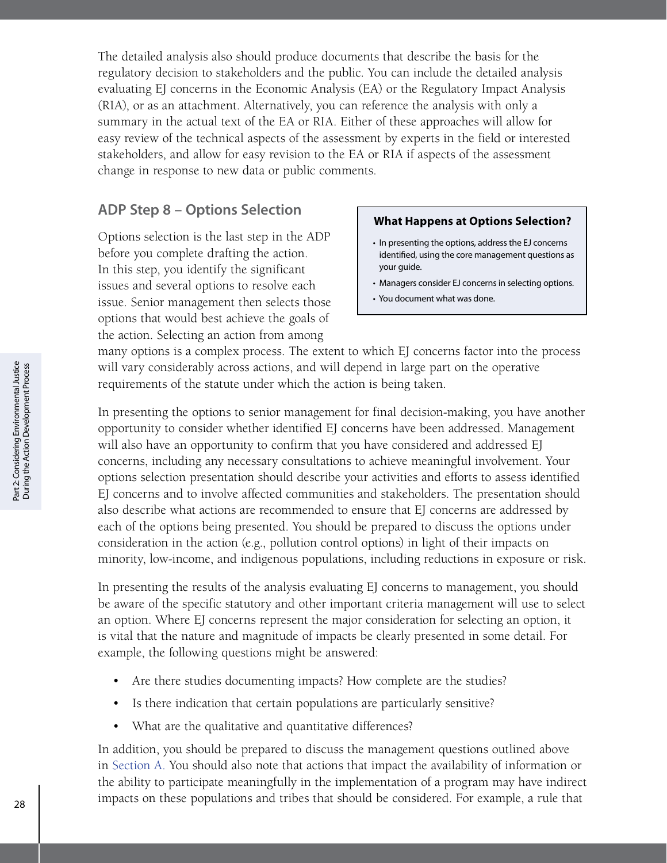The detailed analysis also should produce documents that describe the basis for the regulatory decision to stakeholders and the public. You can include the detailed analysis evaluating EJ concerns in the Economic Analysis (EA) or the Regulatory Impact Analysis (RIA), or as an attachment. Alternatively, you can reference the analysis with only a summary in the actual text of the EA or RIA. Either of these approaches will allow for easy review of the technical aspects of the assessment by experts in the field or interested stakeholders, and allow for easy revision to the EA or RIA if aspects of the assessment change in response to new data or public comments.

#### **ADP Step 8 – Options Selection**

Options selection is the last step in the ADP before you complete drafting the action. In this step, you identify the significant issues and several options to resolve each issue. Senior management then selects those options that would best achieve the goals of the action. Selecting an action from among

#### **What Happens at Options Selection?**

- In presenting the options, address the EJ concerns identifed, using the core management questions as your guide.
- Managers consider EJ concerns in selecting options.
- You document what was done.

many options is a complex process. The extent to which EJ concerns factor into the process will vary considerably across actions, and will depend in large part on the operative requirements of the statute under which the action is being taken.

In presenting the options to senior management for final decision-making, you have another opportunity to consider whether identified EJ concerns have been addressed. Management will also have an opportunity to confirm that you have considered and addressed EJ concerns, including any necessary consultations to achieve meaningful involvement. Your options selection presentation should describe your activities and efforts to assess identified EJ concerns and to involve affected communities and stakeholders. The presentation should also describe what actions are recommended to ensure that EJ concerns are addressed by each of the options being presented. You should be prepared to discuss the options under consideration in the action (e.g., pollution control options) in light of their impacts on minority, low-income, and indigenous populations, including reductions in exposure or risk.

In presenting the results of the analysis evaluating EJ concerns to management, you should be aware of the specific statutory and other important criteria management will use to select an option. Where EJ concerns represent the major consideration for selecting an option, it is vital that the nature and magnitude of impacts be clearly presented in some detail. For example, the following questions might be answered:

- Are there studies documenting impacts? How complete are the studies?
- Is there indication that certain populations are particularly sensitive?
- What are the qualitative and quantitative differences?

In addition, you should be prepared to discuss the management questions outlined above i[n Section A.](#page-20-0) You should also note that actions that impact the availability of information or the ability to participate meaningfully in the implementation of a program may have indirect impacts on these populations and tribes that should be considered. For example, a rule that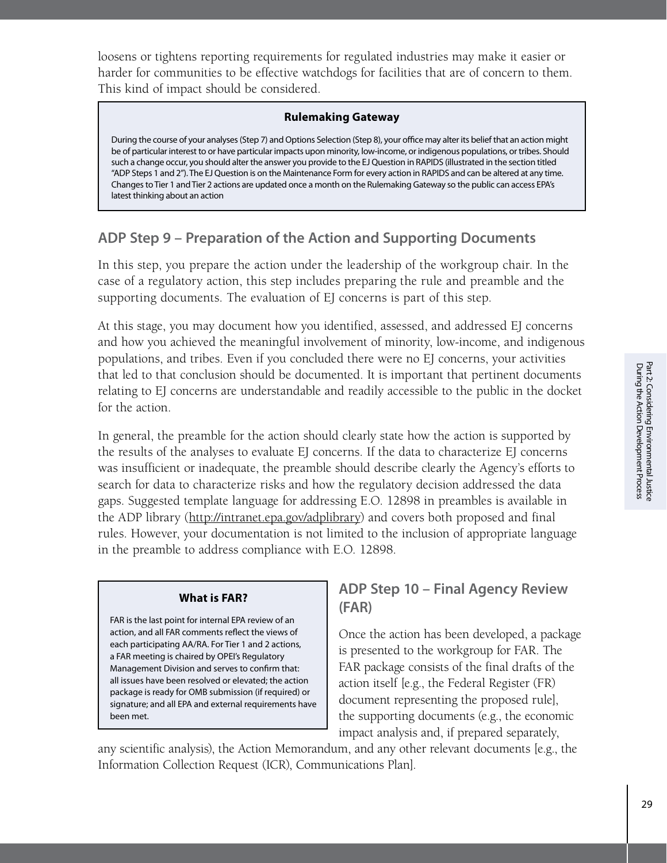loosens or tightens reporting requirements for regulated industries may make it easier or harder for communities to be effective watchdogs for facilities that are of concern to them. This kind of impact should be considered.

#### **Rulemaking Gateway**

During the course of your analyses (Step 7) and Options Selection (Step 8), your office may alter its belief that an action might be of particular interest to or have particular impacts upon minority, low-income, or indigenous populations, or tribes. Should such a change occur, you should alter the answer you provide to the EJ Question in RAPIDS (illustrated in the section titled "ADP Steps 1 and 2"). The EJ Question is on the Maintenance Form for every action in RAPIDS and can be altered at any time. Changes to Tier 1 and Tier 2 actions are updated once a month on the Rulemaking Gateway so the public can access EPA's latest thinking about an action

#### **ADP Step 9 – Preparation of the Action and Supporting Documents**

 In this step, you prepare the action under the leadership of the workgroup chair. In the case of a regulatory action, this step includes preparing the rule and preamble and the supporting documents. The evaluation of EJ concerns is part of this step.

At this stage, you may document how you identified, assessed, and addressed EJ concerns and how you achieved the meaningful involvement of minority, low-income, and indigenous populations, and tribes. Even if you concluded there were no EJ concerns, your activities that led to that conclusion should be documented. It is important that pertinent documents relating to EJ concerns are understandable and readily accessible to the public in the docket for the action.

In general, the preamble for the action should clearly state how the action is supported by the results of the analyses to evaluate EJ concerns. If the data to characterize EJ concerns was insufficient or inadequate, the preamble should describe clearly the Agency's efforts to search for data to characterize risks and how the regulatory decision addressed the data gaps. Suggested template language for addressing E.O. 12898 in preambles is available in the ADP library ([http://intranet.epa.gov/adplibrary\)](http://intranet.epa.gov/adplibrary) and covers both proposed and final rules. However, your documentation is not limited to the inclusion of appropriate language in the preamble to address compliance with E.O. 12898.

#### **What is FAR?**

FAR is the last point for internal EPA review of an action, and all FAR comments refect the views of each participating AA/RA. For Tier 1 and 2 actions, a FAR meeting is chaired by OPEI's Regulatory Management Division and serves to confrm that: all issues have been resolved or elevated; the action package is ready for OMB submission (if required) or signature; and all EPA and external requirements have been met.

### **ADP Step 10 – Final Agency Review <br><b>(FAR)**

 Once the action has been developed, a package is presented to the workgroup for FAR. The FAR package consists of the final drafts of the action itself [e.g., the Federal Register (FR) document representing the proposed rule], the supporting documents (e.g., the economic impact analysis and, if prepared separately,

 any scientific analysis), the Action Memorandum, and any other relevant documents [e.g., the Information Collection Request (ICR), Communications Plan].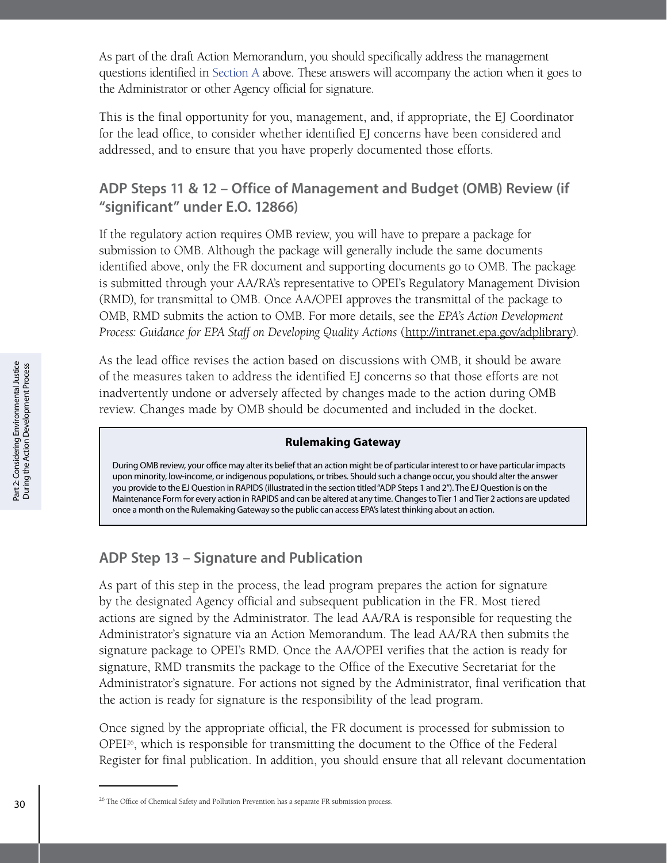As part of the draft Action Memorandum, you should specifically address the management questions identified i[n Section A a](#page-20-0)bove. These answers will accompany the action when it goes to the Administrator or other Agency official for signature.

This is the final opportunity for you, management, and, if appropriate, the EJ Coordinator for the lead office, to consider whether identified EJ concerns have been considered and addressed, and to ensure that you have properly documented those efforts.

#### **ADP Steps 11 & 12 – Office of Management and Budget (OMB) Review (if "significant" under E.O. 12866)**

 If the regulatory action requires OMB review, you will have to prepare a package for submission to OMB. Although the package will generally include the same documents identified above, only the FR document and supporting documents go to OMB. The package is submitted through your AA/RA's representative to OPEI's Regulatory Management Division (RMD), for transmittal to OMB. Once AA/OPEI approves the transmittal of the package to OMB, RMD submits the action to OMB. For more details, see the *EPA's Action Development*  Process: Guidance for EPA Staff on Developing Quality Actions ([http://intranet.epa.gov/adplibrary\)](http://intranet.epa.gov/adplibrary).

As the lead office revises the action based on discussions with OMB, it should be aware of the measures taken to address the identified EJ concerns so that those efforts are not inadvertently undone or adversely affected by changes made to the action during OMB review. Changes made by OMB should be documented and included in the docket.

#### **Rulemaking Gateway**

During OMB review, your office may alter its belief that an action might be of particular interest to or have particular impacts upon minority, low-income, or indigenous populations, or tribes. Should such a change occur, you should alter the answer you provide to the EJ Question in RAPIDS (illustrated in the section titled"ADP Steps 1 and 2"). The EJ Question is on the Maintenance Form for every action in RAPIDS and can be altered at any time. Changes to Tier 1 and Tier 2 actions are updated once a month on the Rulemaking Gateway so the public can access EPA's latest thinking about an action.

#### **ADP Step 13 – Signature and Publication**

As part of this step in the process, the lead program prepares the action for signature by the designated Agency official and subsequent publication in the FR. Most tiered actions are signed by the Administrator. The lead AA/RA is responsible for requesting the Administrator's signature via an Action Memorandum. The lead AA/RA then submits the signature package to OPEI's RMD. Once the AA/OPEI verifies that the action is ready for signature, RMD transmits the package to the Office of the Executive Secretariat for the Administrator's signature. For actions not signed by the Administrator, final verification that the action is ready for signature is the responsibility of the lead program.

Once signed by the appropriate official, the FR document is processed for submission to OPEI26, which is responsible for transmitting the document to the Office of the Federal Register for final publication. In addition, you should ensure that all relevant documentation

<sup>&</sup>lt;sup>26</sup> The Office of Chemical Safety and Pollution Prevention has a separate FR submission process.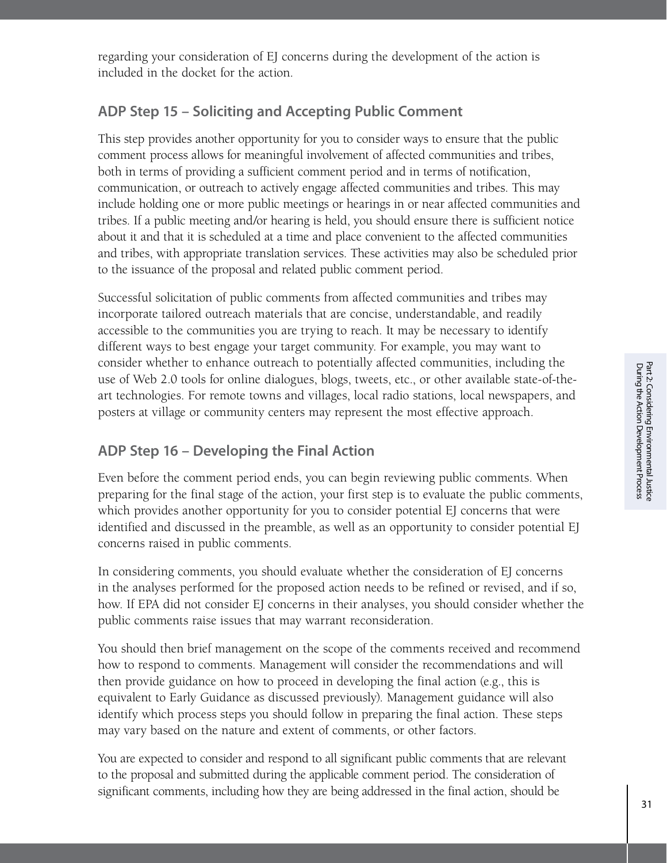regarding your consideration of EJ concerns during the development of the action is included in the docket for the action.

#### **ADP Step 15 – Soliciting and Accepting Public Comment**

 This step provides another opportunity for you to consider ways to ensure that the public comment process allows for meaningful involvement of affected communities and tribes, both in terms of providing a sufficient comment period and in terms of notification, communication, or outreach to actively engage affected communities and tribes. This may include holding one or more public meetings or hearings in or near affected communities and tribes. If a public meeting and/or hearing is held, you should ensure there is sufficient notice about it and that it is scheduled at a time and place convenient to the affected communities and tribes, with appropriate translation services. These activities may also be scheduled prior to the issuance of the proposal and related public comment period.

Successful solicitation of public comments from affected communities and tribes may incorporate tailored outreach materials that are concise, understandable, and readily accessible to the communities you are trying to reach. It may be necessary to identify different ways to best engage your target community. For example, you may want to consider whether to enhance outreach to potentially affected communities, including the use of Web 2.0 tools for online dialogues, blogs, tweets, etc., or other available state-of-theart technologies. For remote towns and villages, local radio stations, local newspapers, and posters at village or community centers may represent the most effective approach.

#### **ADP Step 16 – Developing the Final Action**

Even before the comment period ends, you can begin reviewing public comments. When preparing for the final stage of the action, your first step is to evaluate the public comments, which provides another opportunity for you to consider potential EJ concerns that were identified and discussed in the preamble, as well as an opportunity to consider potential EJ concerns raised in public comments.

In considering comments, you should evaluate whether the consideration of EJ concerns in the analyses performed for the proposed action needs to be refined or revised, and if so, how. If EPA did not consider EJ concerns in their analyses, you should consider whether the public comments raise issues that may warrant reconsideration.

You should then brief management on the scope of the comments received and recommend how to respond to comments. Management will consider the recommendations and will then provide guidance on how to proceed in developing the final action (e.g., this is equivalent to Early Guidance as discussed previously). Management guidance will also identify which process steps you should follow in preparing the final action. These steps may vary based on the nature and extent of comments, or other factors.

 You are expected to consider and respond to all significant public comments that are relevant to the proposal and submitted during the applicable comment period. The consideration of significant comments, including how they are being addressed in the final action, should be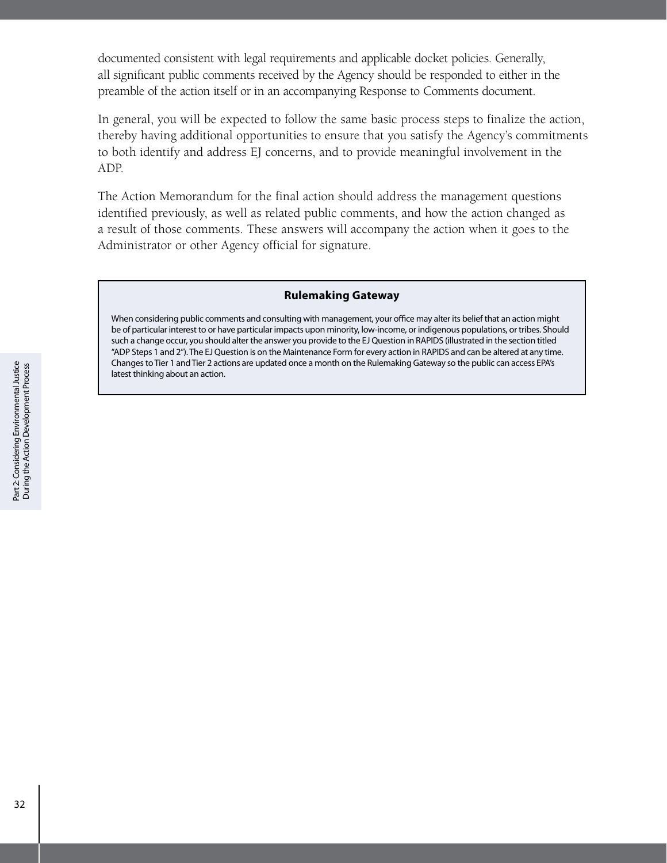documented consistent with legal requirements and applicable docket policies. Generally, all significant public comments received by the Agency should be responded to either in the preamble of the action itself or in an accompanying Response to Comments document.

In general, you will be expected to follow the same basic process steps to finalize the action, thereby having additional opportunities to ensure that you satisfy the Agency's commitments to both identify and address EJ concerns, and to provide meaningful involvement in the ADP.

The Action Memorandum for the final action should address the management questions identified previously, as well as related public comments, and how the action changed as a result of those comments. These answers will accompany the action when it goes to the Administrator or other Agency official for signature.

#### **Rulemaking Gateway**

When considering public comments and consulting with management, your office may alter its belief that an action might be of particular interest to or have particular impacts upon minority, low-income, or indigenous populations, or tribes. Should such a change occur, you should alter the answer you provide to the EJ Question in RAPIDS (illustrated in the section titled "ADP Steps 1 and 2"). The EJ Question is on the Maintenance Form for every action in RAPIDS and can be altered at any time. Changes to Tier 1 and Tier 2 actions are updated once a month on the Rulemaking Gateway so the public can access EPA's latest thinking about an action.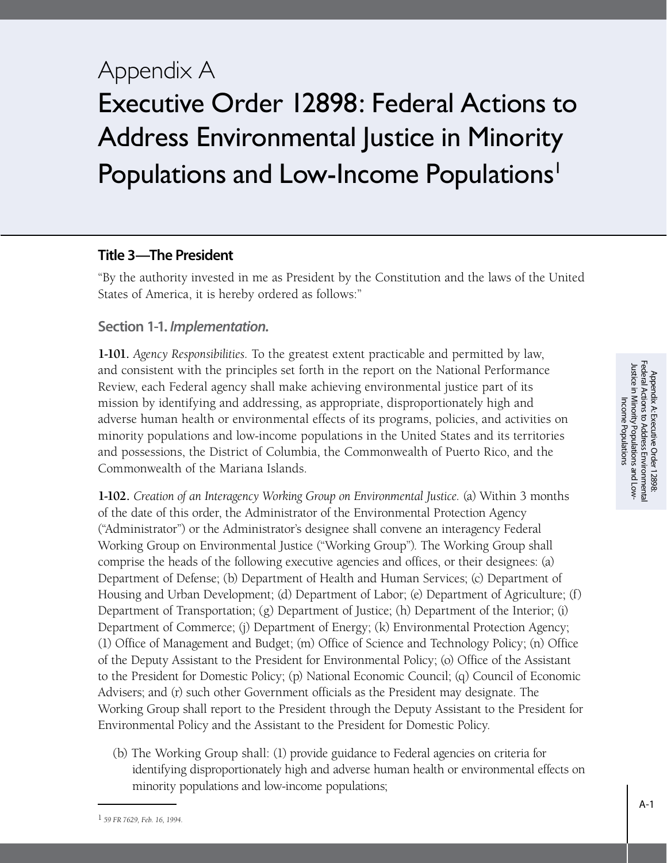### <span id="page-38-0"></span>Appendix A

### Executive Order 12898: Federal Actions to Address Environmental Justice in Minority Populations and Low-Income Populations<sup>1</sup>

#### **Title 3—The President**

"By the authority invested in me as President by the Constitution and the laws of the United States of America, it is hereby ordered as follows:"

#### **Section 1-1.** *Implementation.*

**1-101.** *Agency Responsibilities.* To the greatest extent practicable and permitted by law, and consistent with the principles set forth in the report on the National Performance Review, each Federal agency shall make achieving environmental justice part of its mission by identifying and addressing, as appropriate, disproportionately high and adverse human health or environmental effects of its programs, policies, and activities on minority populations and low-income populations in the United States and its territories and possessions, the District of Columbia, the Commonwealth of Puerto Rico, and the Commonwealth of the Mariana Islands.

 **1-102.** *Creation of an Interagency Working Group on Environmental Justice.* (a) Within 3 months of the date of this order, the Administrator of the Environmental Protection Agency ("Administrator") or the Administrator's designee shall convene an interagency Federal Working Group on Environmental Justice ("Working Group"). The Working Group shall comprise the heads of the following executive agencies and offices, or their designees: (a) Department of Defense; (b) Department of Health and Human Services; (c) Department of Housing and Urban Development; (d) Department of Labor; (e) Department of Agriculture; (f) Department of Transportation; (g) Department of Justice; (h) Department of the Interior; (i) Department of Commerce; (j) Department of Energy; (k) Environmental Protection Agency; (1) Office of Management and Budget; (m) Office of Science and Technology Policy; (n) Office of the Deputy Assistant to the President for Environmental Policy; (o) Office of the Assistant to the President for Domestic Policy; (p) National Economic Council; (q) Council of Economic Advisers; and (r) such other Government officials as the President may designate. The Working Group shall report to the President through the Deputy Assistant to the President for Environmental Policy and the Assistant to the President for Domestic Policy.

(b) The Working Group shall: (1) provide guidance to Federal agencies on criteria for identifying disproportionately high and adverse human health or environmental effects on minority populations and low-income populations;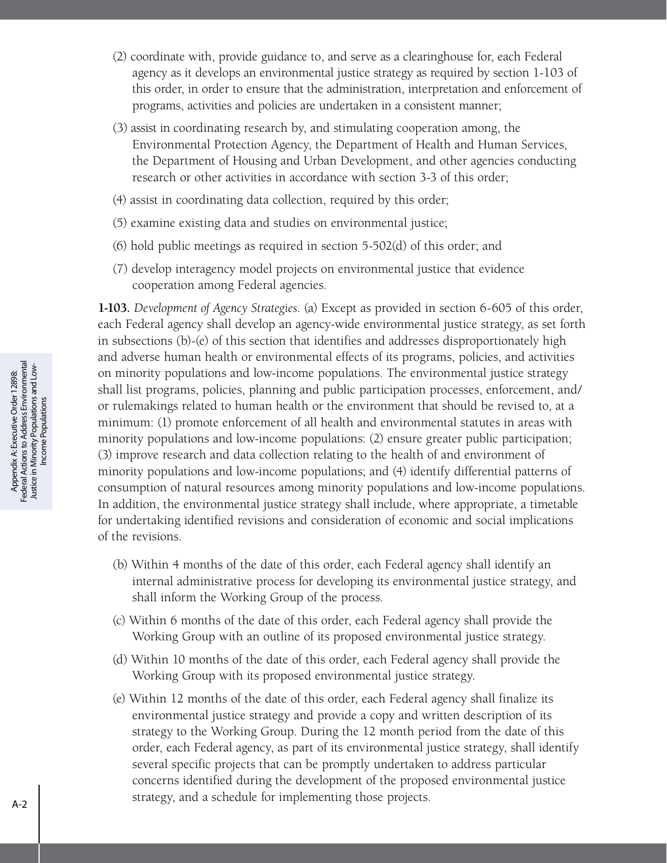- (2) coordinate with, provide guidance to, and serve as a clearinghouse for, each Federal agency as it develops an environmental justice strategy as required by section 1-103 of this order, in order to ensure that the administration, interpretation and enforcement of programs, activities and policies are undertaken in a consistent manner;
- (3) assist in coordinating research by, and stimulating cooperation among, the Environmental Protection Agency, the Department of Health and Human Services, the Department of Housing and Urban Development, and other agencies conducting research or other activities in accordance with section 3-3 of this order;
- (4) assist in coordinating data collection, required by this order;
- (5) examine existing data and studies on environmental justice;
- (6) hold public meetings as required in section 5-502(d) of this order; and
- (7) develop interagency model projects on environmental justice that evidence cooperation among Federal agencies.

**1-103.** *Development of Agency Strategies.* (a) Except as provided in section 6-605 of this order, each Federal agency shall develop an agency-wide environmental justice strategy, as set forth in subsections (b)-(e) of this section that identifies and addresses disproportionately high and adverse human health or environmental effects of its programs, policies, and activities on minority populations and low-income populations. The environmental justice strategy shall list programs, policies, planning and public participation processes, enforcement, and/ or rulemakings related to human health or the environment that should be revised to, at a minimum: (1) promote enforcement of all health and environmental statutes in areas with minority populations and low-income populations: (2) ensure greater public participation; (3) improve research and data collection relating to the health of and environment of minority populations and low-income populations; and (4) identify differential patterns of consumption of natural resources among minority populations and low-income populations. In addition, the environmental justice strategy shall include, where appropriate, a timetable for undertaking identified revisions and consideration of economic and social implications of the revisions.

- (b) Within 4 months of the date of this order, each Federal agency shall identify an internal administrative process for developing its environmental justice strategy, and shall inform the Working Group of the process.
- (c) Within 6 months of the date of this order, each Federal agency shall provide the Working Group with an outline of its proposed environmental justice strategy.
- (d) Within 10 months of the date of this order, each Federal agency shall provide the Working Group with its proposed environmental justice strategy.
- (e) Within 12 months of the date of this order, each Federal agency shall finalize its environmental justice strategy and provide a copy and written description of its strategy to the Working Group. During the 12 month period from the date of this order, each Federal agency, as part of its environmental justice strategy, shall identify several specific projects that can be promptly undertaken to address particular concerns identified during the development of the proposed environmental justice A-2 Strategy, and a schedule for implementing those projects.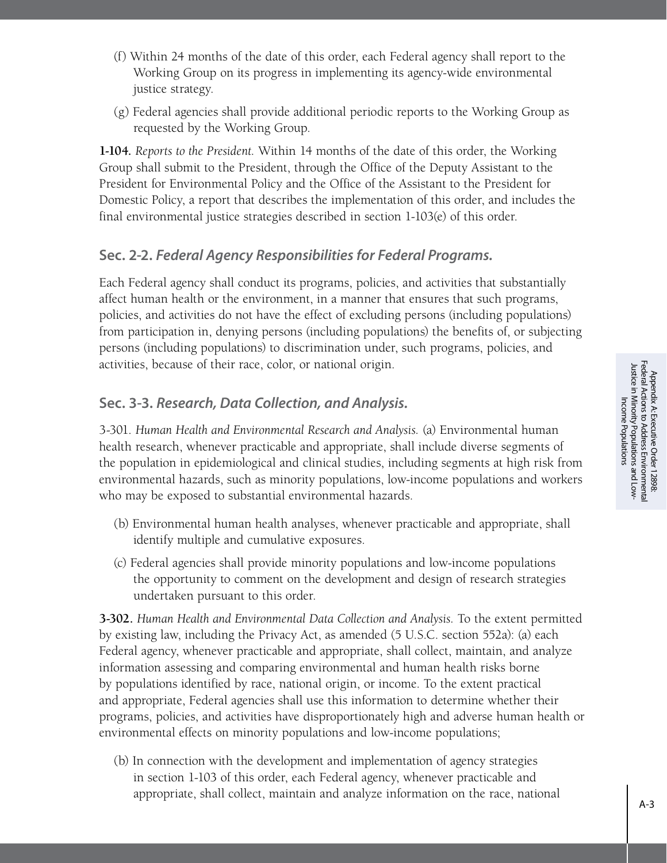- (f) Within 24 months of the date of this order, each Federal agency shall report to the Working Group on its progress in implementing its agency-wide environmental justice strategy.
- (g) Federal agencies shall provide additional periodic reports to the Working Group as requested by the Working Group.

**1-104.** *Reports to the President.* Within 14 months of the date of this order, the Working Group shall submit to the President, through the Office of the Deputy Assistant to the President for Environmental Policy and the Office of the Assistant to the President for Domestic Policy, a report that describes the implementation of this order, and includes the final environmental justice strategies described in section 1-103(e) of this order.

#### **Sec. 2-2.** *Federal Agency Responsibilities for Federal Programs.*

Each Federal agency shall conduct its programs, policies, and activities that substantially affect human health or the environment, in a manner that ensures that such programs, policies, and activities do not have the effect of excluding persons (including populations) from participation in, denying persons (including populations) the benefits of, or subjecting persons (including populations) to discrimination under, such programs, policies, and activities, because of their race, color, or national origin.

#### **Sec. 3-3.** *Research, Data Collection, and Analysis.*

3-301. *Human Health and Environmental Research and Analysis.* (a) Environmental human health research, whenever practicable and appropriate, shall include diverse segments of the population in epidemiological and clinical studies, including segments at high risk from environmental hazards, such as minority populations, low-income populations and workers who may be exposed to substantial environmental hazards.

- (b) Environmental human health analyses, whenever practicable and appropriate, shall identify multiple and cumulative exposures.
- (c) Federal agencies shall provide minority populations and low-income populations the opportunity to comment on the development and design of research strategies undertaken pursuant to this order.

**3-302.** *Human Health and Environmental Data Collection and Analysis.* To the extent permitted by existing law, including the Privacy Act, as amended (5 U.S.C. section 552a): (a) each Federal agency, whenever practicable and appropriate, shall collect, maintain, and analyze information assessing and comparing environmental and human health risks borne by populations identified by race, national origin, or income. To the extent practical and appropriate, Federal agencies shall use this information to determine whether their programs, policies, and activities have disproportionately high and adverse human health or environmental effects on minority populations and low-income populations;

(b) In connection with the development and implementation of agency strategies in section 1-103 of this order, each Federal agency, whenever practicable and appropriate, shall collect, maintain and analyze information on the race, national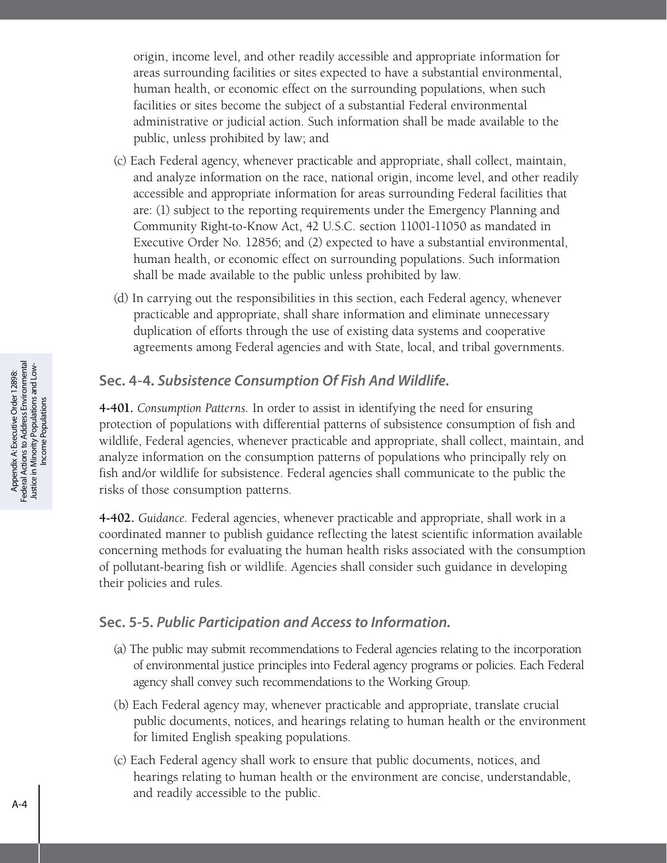origin, income level, and other readily accessible and appropriate information for areas surrounding facilities or sites expected to have a substantial environmental, human health, or economic effect on the surrounding populations, when such facilities or sites become the subject of a substantial Federal environmental administrative or judicial action. Such information shall be made available to the public, unless prohibited by law; and

- (c) Each Federal agency, whenever practicable and appropriate, shall collect, maintain, and analyze information on the race, national origin, income level, and other readily accessible and appropriate information for areas surrounding Federal facilities that are: (1) subject to the reporting requirements under the Emergency Planning and Community Right-to-Know Act, 42 U.S.C. section 11001-11050 as mandated in Executive Order No. 12856; and (2) expected to have a substantial environmental, human health, or economic effect on surrounding populations. Such information shall be made available to the public unless prohibited by law.
- (d) In carrying out the responsibilities in this section, each Federal agency, whenever practicable and appropriate, shall share information and eliminate unnecessary duplication of efforts through the use of existing data systems and cooperative agreements among Federal agencies and with State, local, and tribal governments.

#### **Sec. 4-4.** *Subsistence Consumption Of Fish And Wildlife.*

**4-401.** *Consumption Patterns.* In order to assist in identifying the need for ensuring protection of populations with differential patterns of subsistence consumption of fish and wildlife, Federal agencies, whenever practicable and appropriate, shall collect, maintain, and analyze information on the consumption patterns of populations who principally rely on fish and/or wildlife for subsistence. Federal agencies shall communicate to the public the risks of those consumption patterns.

**4-402.** *Guidance.* Federal agencies, whenever practicable and appropriate, shall work in a coordinated manner to publish guidance reflecting the latest scientific information available concerning methods for evaluating the human health risks associated with the consumption of pollutant-bearing fish or wildlife. Agencies shall consider such guidance in developing their policies and rules.

#### **Sec. 5-5.** *Public Participation and Access to Information.*

- (a) The public may submit recommendations to Federal agencies relating to the incorporation of environmental justice principles into Federal agency programs or policies. Each Federal agency shall convey such recommendations to the Working Group.
- (b) Each Federal agency may, whenever practicable and appropriate, translate crucial public documents, notices, and hearings relating to human health or the environment for limited English speaking populations.
- (c) Each Federal agency shall work to ensure that public documents, notices, and hearings relating to human health or the environment are concise, understandable, and readily accessible to the public.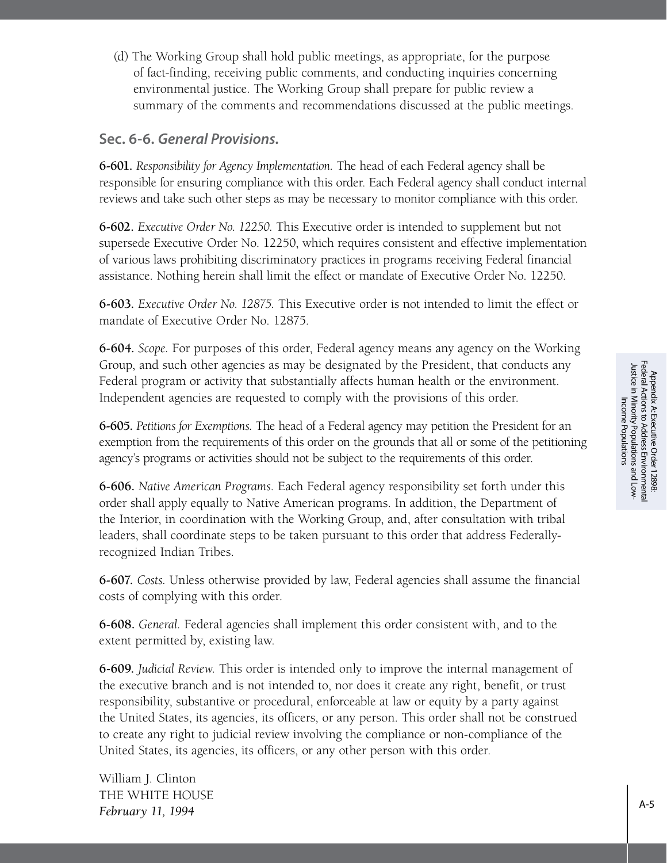(d) The Working Group shall hold public meetings, as appropriate, for the purpose of fact-finding, receiving public comments, and conducting inquiries concerning environmental justice. The Working Group shall prepare for public review a summary of the comments and recommendations discussed at the public meetings.

#### **Sec. 6-6.** *General Provisions.*

 **6-601.** *Responsibility for Agency Implementation.* The head of each Federal agency shall be responsible for ensuring compliance with this order. Each Federal agency shall conduct internal reviews and take such other steps as may be necessary to monitor compliance with this order.

 **6-602.** *Executive Order No. 12250.* This Executive order is intended to supplement but not supersede Executive Order No. 12250, which requires consistent and effective implementation of various laws prohibiting discriminatory practices in programs receiving Federal financial assistance. Nothing herein shall limit the effect or mandate of Executive Order No. 12250.

**6-603.** *Executive Order No. 12875.* This Executive order is not intended to limit the effect or mandate of Executive Order No. 12875.

 **6-604.** *Scope.* For purposes of this order, Federal agency means any agency on the Working Group, and such other agencies as may be designated by the President, that conducts any Federal program or activity that substantially affects human health or the environment. Independent agencies are requested to comply with the provisions of this order.

 **6-605.** *Petitions for Exemptions.* The head of a Federal agency may petition the President for an exemption from the requirements of this order on the grounds that all or some of the petitioning agency's programs or activities should not be subject to the requirements of this order.

**6-606.** *Native American Programs.* Each Federal agency responsibility set forth under this order shall apply equally to Native American programs. In addition, the Department of the Interior, in coordination with the Working Group, and, after consultation with tribal leaders, shall coordinate steps to be taken pursuant to this order that address Federallyrecognized Indian Tribes.

**6-607.** *Costs.* Unless otherwise provided by law, Federal agencies shall assume the financial costs of complying with this order.

 **6-608.** *General.* Federal agencies shall implement this order consistent with, and to the extent permitted by, existing law.

**6-609.** *Judicial Review.* This order is intended only to improve the internal management of the executive branch and is not intended to, nor does it create any right, benefit, or trust responsibility, substantive or procedural, enforceable at law or equity by a party against the United States, its agencies, its officers, or any person. This order shall not be construed to create any right to judicial review involving the compliance or non-compliance of the United States, its agencies, its officers, or any other person with this order.

William J. Clinton THE WHITE HOUSE *February 11, 1994*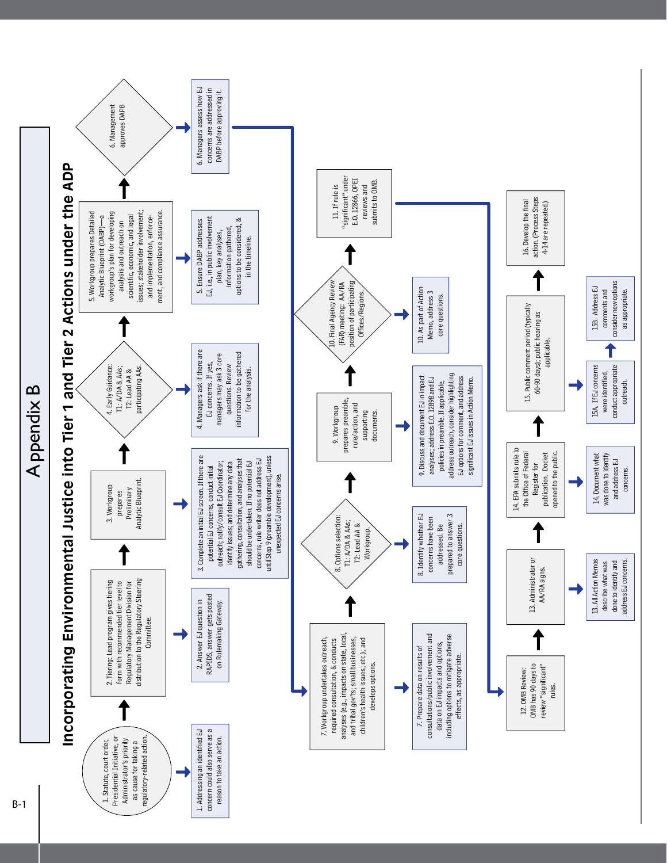<span id="page-43-0"></span>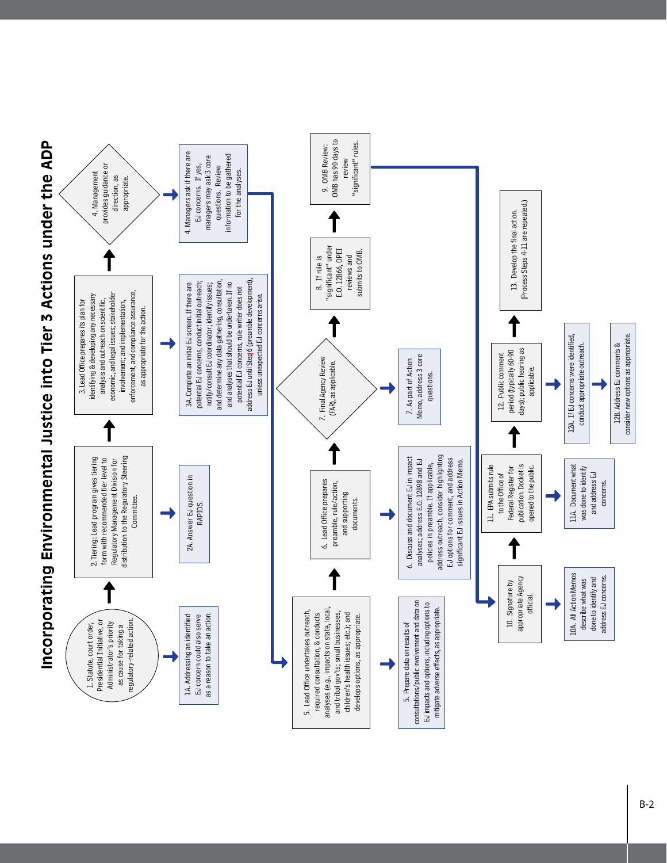

#### B-2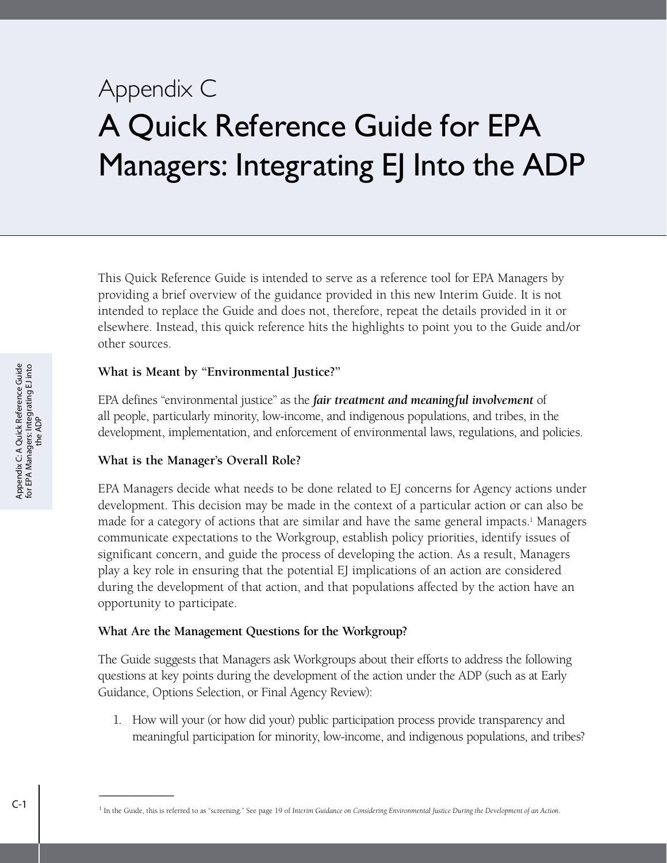### <span id="page-45-0"></span> A Quick Reference Guide for EPA Managers: Integrating EJ Into the ADP Appendix C

This Quick Reference Guide is intended to serve as a reference tool for EPA Managers by providing a brief overview of the guidance provided in this new Interim Guide. It is not intended to replace the Guide and does not, therefore, repeat the details provided in it or elsewhere. Instead, this quick reference hits the highlights to point you to the Guide and/or other sources.

#### **What is Meant by "Environmental Justice?"**

 EPA defines "environmental justice" as the *fair treatment and meaningful involvement* of all people, particularly minority, low-income, and indigenous populations, and tribes, in the development, implementation, and enforcement of environmental laws, regulations, and policies.

#### **What is the Manager's Overall Role?**

EPA Managers decide what needs to be done related to EJ concerns for Agency actions under development. This decision may be made in the context of a particular action or can also be made for a category of actions that are similar and have the same general impacts.<sup>1</sup> Managers communicate expectations to the Workgroup, establish policy priorities, identify issues of significant concern, and guide the process of developing the action. As a result, Managers play a key role in ensuring that the potential EJ implications of an action are considered during the development of that action, and that populations affected by the action have an opportunity to participate.

#### **What Are the Management Questions for the Workgroup?**

 The Guide suggests that Managers ask Workgroups about their efforts to address the following questions at key points during the development of the action under the ADP (such as at Early Guidance, Options Selection, or Final Agency Review):

 1. How will your (or how did your) public participation process provide transparency and meaningful participation for minority, low-income, and indigenous populations, and tribes?

 $\overline{\phantom{a}}$   $\overline{\phantom{a}}$   $\overline{\phantom{a}}$   $\overline{\phantom{a}}$   $\overline{\phantom{a}}$   $\overline{\phantom{a}}$   $\overline{\phantom{a}}$   $\overline{\phantom{a}}$   $\overline{\phantom{a}}$   $\overline{\phantom{a}}$   $\overline{\phantom{a}}$   $\overline{\phantom{a}}$   $\overline{\phantom{a}}$   $\overline{\phantom{a}}$   $\overline{\phantom{a}}$   $\overline{\phantom{a}}$   $\overline{\phantom{a}}$   $\overline{\phantom{a}}$   $\overline{\$ 

<sup>&</sup>lt;sup>1</sup> In the Guide, this is referred to as "screening." See page 19 of *Interim Guidance on Considering Environmental Justice During the Development of an Action.*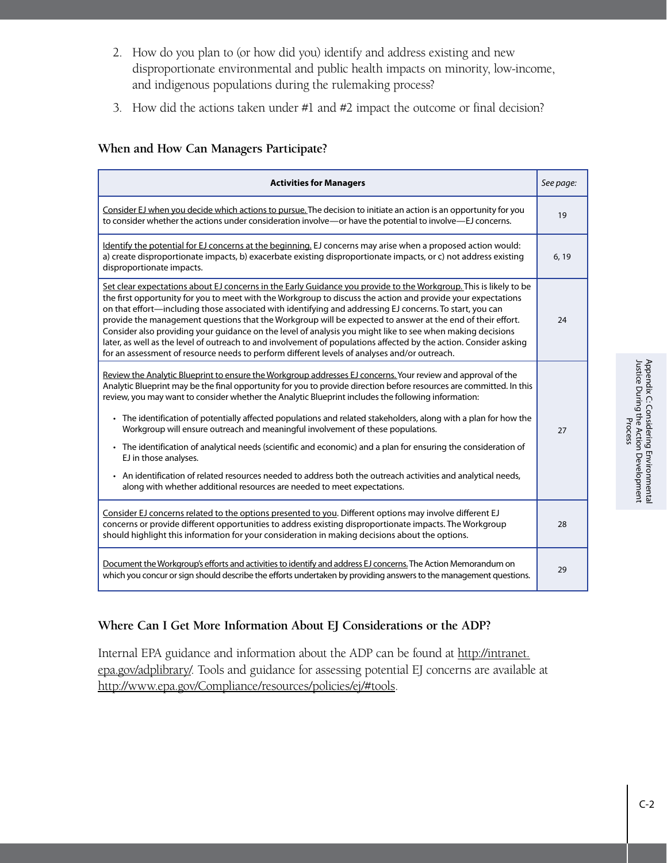- 2. How do you plan to (or how did you) identify and address existing and new disproportionate environmental and public health impacts on minority, low-income, and indigenous populations during the rulemaking process?
- 3. How did the actions taken under #1 and #2 impact the outcome or final decision?

#### **When and How Can Managers Participate?**

| <b>Activities for Managers</b>                                                                                                                                                                                                                                                                                                                                                                                                                                                                                                                                                                                                                                                                                                                                                                                                                                                              | See page: |
|---------------------------------------------------------------------------------------------------------------------------------------------------------------------------------------------------------------------------------------------------------------------------------------------------------------------------------------------------------------------------------------------------------------------------------------------------------------------------------------------------------------------------------------------------------------------------------------------------------------------------------------------------------------------------------------------------------------------------------------------------------------------------------------------------------------------------------------------------------------------------------------------|-----------|
| Consider EJ when you decide which actions to pursue. The decision to initiate an action is an opportunity for you<br>to consider whether the actions under consideration involve-or have the potential to involve-EJ concerns.                                                                                                                                                                                                                                                                                                                                                                                                                                                                                                                                                                                                                                                              | 19        |
| Identify the potential for EJ concerns at the beginning. EJ concerns may arise when a proposed action would:<br>a) create disproportionate impacts, b) exacerbate existing disproportionate impacts, or c) not address existing<br>disproportionate impacts.                                                                                                                                                                                                                                                                                                                                                                                                                                                                                                                                                                                                                                | 6, 19     |
| Set clear expectations about EJ concerns in the Early Guidance you provide to the Workgroup. This is likely to be<br>the first opportunity for you to meet with the Workgroup to discuss the action and provide your expectations<br>on that effort—including those associated with identifying and addressing EJ concerns. To start, you can<br>provide the management questions that the Workgroup will be expected to answer at the end of their effort.<br>Consider also providing your guidance on the level of analysis you might like to see when making decisions<br>later, as well as the level of outreach to and involvement of populations affected by the action. Consider asking<br>for an assessment of resource needs to perform different levels of analyses and/or outreach.                                                                                              | 24        |
| Review the Analytic Blueprint to ensure the Workgroup addresses EJ concerns. Your review and approval of the<br>Analytic Blueprint may be the final opportunity for you to provide direction before resources are committed. In this<br>review, you may want to consider whether the Analytic Blueprint includes the following information:<br>• The identification of potentially affected populations and related stakeholders, along with a plan for how the<br>Workgroup will ensure outreach and meaningful involvement of these populations.<br>• The identification of analytical needs (scientific and economic) and a plan for ensuring the consideration of<br>EJ in those analyses.<br>• An identification of related resources needed to address both the outreach activities and analytical needs,<br>along with whether additional resources are needed to meet expectations. | 27        |
| Consider EJ concerns related to the options presented to you. Different options may involve different EJ<br>concerns or provide different opportunities to address existing disproportionate impacts. The Workgroup<br>should highlight this information for your consideration in making decisions about the options.                                                                                                                                                                                                                                                                                                                                                                                                                                                                                                                                                                      | 28        |
| Document the Workgroup's efforts and activities to identify and address EJ concerns. The Action Memorandum on<br>which you concur or sign should describe the efforts undertaken by providing answers to the management questions.                                                                                                                                                                                                                                                                                                                                                                                                                                                                                                                                                                                                                                                          | 29        |

#### **Where Can I Get More Information About EJ Considerations or the ADP?**

Internal EPA guidance and information about the ADP can be found at [http://intranet.](http://intranet) [epa.gov/adplibrary/](https://epa.gov/adplibrary). Tools and guidance for assessing potential EJ concerns are available at [http://www.epa.gov/Compliance/resources/policies/ej/#tools.](http://www.epa.gov/Compliance/resources/policies/ej/#tools)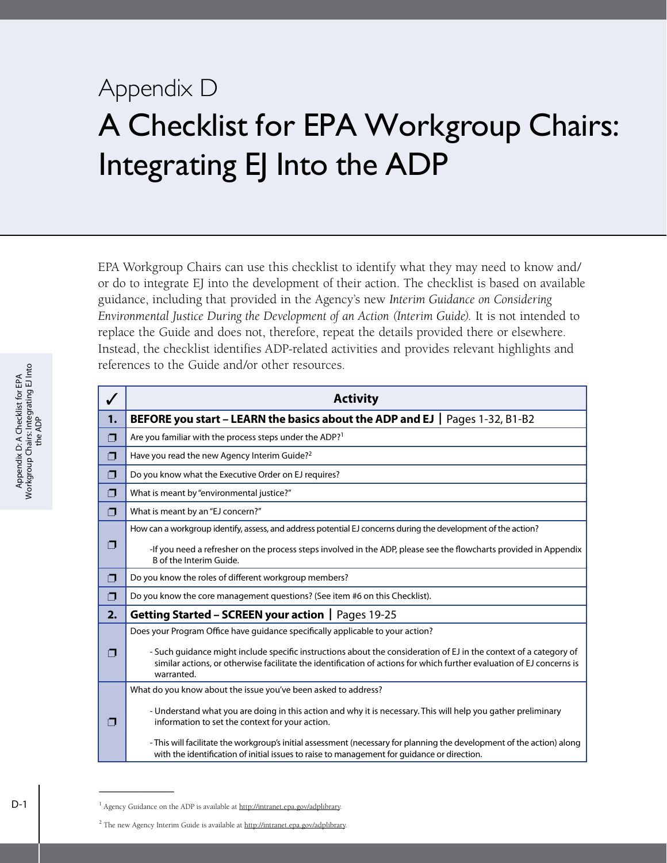### <span id="page-47-0"></span> A Checklist for EPA Workgroup Chairs: Integrating EJ Into the ADP Appendix D

EPA Workgroup Chairs can use this checklist to identify what they may need to know and/ or do to integrate EJ into the development of their action. The checklist is based on available guidance, including that provided in the Agency's new *Interim Guidance on Considering Environmental Justice During the Development of an Action (Interim Guide).* It is not intended to replace the Guide and does not, therefore, repeat the details provided there or elsewhere. Instead, the checklist identifies ADP-related activities and provides relevant highlights and references to the Guide and/or other resources.

|    | <b>Activity</b>                                                                                                                                                                                                                                          |
|----|----------------------------------------------------------------------------------------------------------------------------------------------------------------------------------------------------------------------------------------------------------|
| 1. | BEFORE you start - LEARN the basics about the ADP and EJ   Pages 1-32, B1-B2                                                                                                                                                                             |
| Π  | Are you familiar with the process steps under the ADP? <sup>1</sup>                                                                                                                                                                                      |
| Π  | Have you read the new Agency Interim Guide? <sup>2</sup>                                                                                                                                                                                                 |
| O  | Do you know what the Executive Order on EJ requires?                                                                                                                                                                                                     |
| O  | What is meant by "environmental justice?"                                                                                                                                                                                                                |
| Π  | What is meant by an "EJ concern?"                                                                                                                                                                                                                        |
|    | How can a workgroup identify, assess, and address potential EJ concerns during the development of the action?                                                                                                                                            |
| O  | -If you need a refresher on the process steps involved in the ADP, please see the flowcharts provided in Appendix<br>B of the Interim Guide.                                                                                                             |
| O  | Do you know the roles of different workgroup members?                                                                                                                                                                                                    |
| Π  | Do you know the core management questions? (See item #6 on this Checklist).                                                                                                                                                                              |
| 2. | Getting Started - SCREEN your action   Pages 19-25                                                                                                                                                                                                       |
|    | Does your Program Office have guidance specifically applicable to your action?                                                                                                                                                                           |
| ⊓  | - Such guidance might include specific instructions about the consideration of EJ in the context of a category of<br>similar actions, or otherwise facilitate the identification of actions for which further evaluation of EJ concerns is<br>warranted. |
|    | What do you know about the issue you've been asked to address?                                                                                                                                                                                           |
| ⊓  | - Understand what you are doing in this action and why it is necessary. This will help you gather preliminary<br>information to set the context for your action.                                                                                         |
|    | - This will facilitate the workgroup's initial assessment (necessary for planning the development of the action) along<br>with the identification of initial issues to raise to management for guidance or direction.                                    |

 $\overline{\phantom{a}}$   $\overline{\phantom{a}}$   $\overline{\phantom{a}}$   $\overline{\phantom{a}}$   $\overline{\phantom{a}}$   $\overline{\phantom{a}}$   $\overline{\phantom{a}}$   $\overline{\phantom{a}}$   $\overline{\phantom{a}}$   $\overline{\phantom{a}}$   $\overline{\phantom{a}}$   $\overline{\phantom{a}}$   $\overline{\phantom{a}}$   $\overline{\phantom{a}}$   $\overline{\phantom{a}}$   $\overline{\phantom{a}}$   $\overline{\phantom{a}}$   $\overline{\phantom{a}}$   $\overline{\$ 

<sup>&</sup>lt;sup>2</sup> The new Agency Interim Guide is available at [http://intranet.epa.gov/adplibrary.](http://intranet.epa.gov/adplibrary)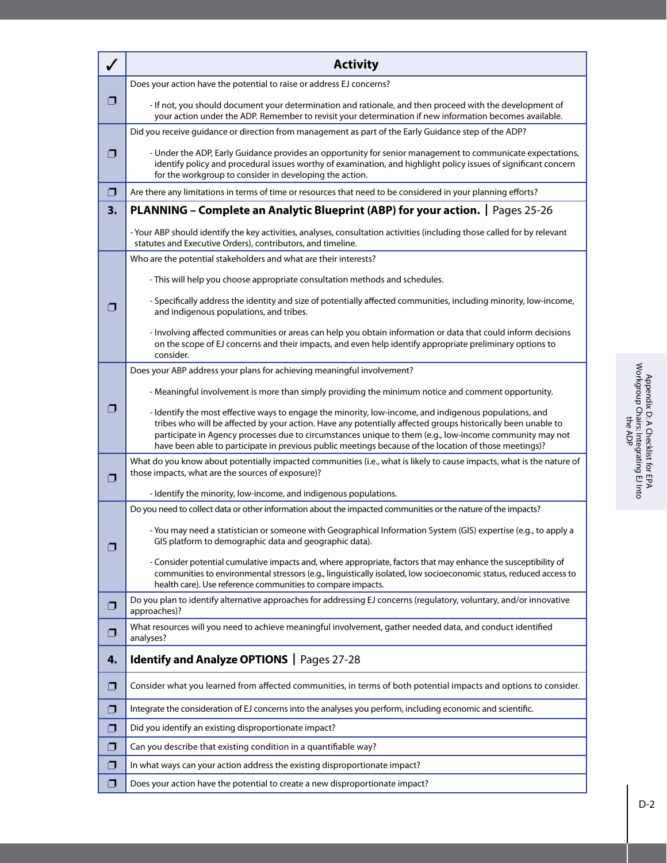| $\checkmark$ | <b>Activity</b>                                                                                                                                                                                                                                                                                                                                                                                                                            |
|--------------|--------------------------------------------------------------------------------------------------------------------------------------------------------------------------------------------------------------------------------------------------------------------------------------------------------------------------------------------------------------------------------------------------------------------------------------------|
|              | Does your action have the potential to raise or address EJ concerns?                                                                                                                                                                                                                                                                                                                                                                       |
| $\Box$       | - If not, you should document your determination and rationale, and then proceed with the development of<br>your action under the ADP. Remember to revisit your determination if new information becomes available.                                                                                                                                                                                                                        |
|              | Did you receive guidance or direction from management as part of the Early Guidance step of the ADP?                                                                                                                                                                                                                                                                                                                                       |
| ⊓            | - Under the ADP, Early Guidance provides an opportunity for senior management to communicate expectations,<br>identify policy and procedural issues worthy of examination, and highlight policy issues of significant concern<br>for the workgroup to consider in developing the action.                                                                                                                                                   |
| Π            | Are there any limitations in terms of time or resources that need to be considered in your planning efforts?                                                                                                                                                                                                                                                                                                                               |
| 3.           | PLANNING - Complete an Analytic Blueprint (ABP) for your action.   Pages 25-26                                                                                                                                                                                                                                                                                                                                                             |
|              | - Your ABP should identify the key activities, analyses, consultation activities (including those called for by relevant<br>statutes and Executive Orders), contributors, and timeline.                                                                                                                                                                                                                                                    |
|              | Who are the potential stakeholders and what are their interests?                                                                                                                                                                                                                                                                                                                                                                           |
|              | - This will help you choose appropriate consultation methods and schedules.                                                                                                                                                                                                                                                                                                                                                                |
| ⊓            | - Specifically address the identity and size of potentially affected communities, including minority, low-income,<br>and indigenous populations, and tribes.                                                                                                                                                                                                                                                                               |
|              | - Involving affected communities or areas can help you obtain information or data that could inform decisions<br>on the scope of EJ concerns and their impacts, and even help identify appropriate preliminary options to<br>consider.                                                                                                                                                                                                     |
|              | Does your ABP address your plans for achieving meaningful involvement?                                                                                                                                                                                                                                                                                                                                                                     |
|              | - Meaningful involvement is more than simply providing the minimum notice and comment opportunity.                                                                                                                                                                                                                                                                                                                                         |
| ⊓            | - Identify the most effective ways to engage the minority, low-income, and indigenous populations, and<br>tribes who will be affected by your action. Have any potentially affected groups historically been unable to<br>participate in Agency processes due to circumstances unique to them (e.g., low-income community may not<br>have been able to participate in previous public meetings because of the location of those meetings)? |
| α            | What do you know about potentially impacted communities (i.e., what is likely to cause impacts, what is the nature of<br>those impacts, what are the sources of exposure)?                                                                                                                                                                                                                                                                 |
|              | - Identify the minority, low-income, and indigenous populations.                                                                                                                                                                                                                                                                                                                                                                           |
|              | Do you need to collect data or other information about the impacted communities or the nature of the impacts?                                                                                                                                                                                                                                                                                                                              |
| ⊓            | - You may need a statistician or someone with Geographical Information System (GIS) expertise (e.g., to apply a<br>GIS platform to demographic data and geographic data).                                                                                                                                                                                                                                                                  |
|              | - Consider potential cumulative impacts and, where appropriate, factors that may enhance the susceptibility of<br>communities to environmental stressors (e.g., linguistically isolated, low socioeconomic status, reduced access to<br>health care). Use reference communities to compare impacts.                                                                                                                                        |
| σ            | Do you plan to identify alternative approaches for addressing EJ concerns (regulatory, voluntary, and/or innovative<br>approaches)?                                                                                                                                                                                                                                                                                                        |
| $\Box$       | What resources will you need to achieve meaningful involvement, gather needed data, and conduct identified<br>analyses?                                                                                                                                                                                                                                                                                                                    |
| 4.           | Identify and Analyze OPTIONS   Pages 27-28                                                                                                                                                                                                                                                                                                                                                                                                 |
| σ            | Consider what you learned from affected communities, in terms of both potential impacts and options to consider.                                                                                                                                                                                                                                                                                                                           |
| σ            | Integrate the consideration of EJ concerns into the analyses you perform, including economic and scientific.                                                                                                                                                                                                                                                                                                                               |
| σ            | Did you identify an existing disproportionate impact?                                                                                                                                                                                                                                                                                                                                                                                      |
| σ            | Can you describe that existing condition in a quantifiable way?                                                                                                                                                                                                                                                                                                                                                                            |
| ⊓            | In what ways can your action address the existing disproportionate impact?                                                                                                                                                                                                                                                                                                                                                                 |
| ⊓            | Does your action have the potential to create a new disproportionate impact?                                                                                                                                                                                                                                                                                                                                                               |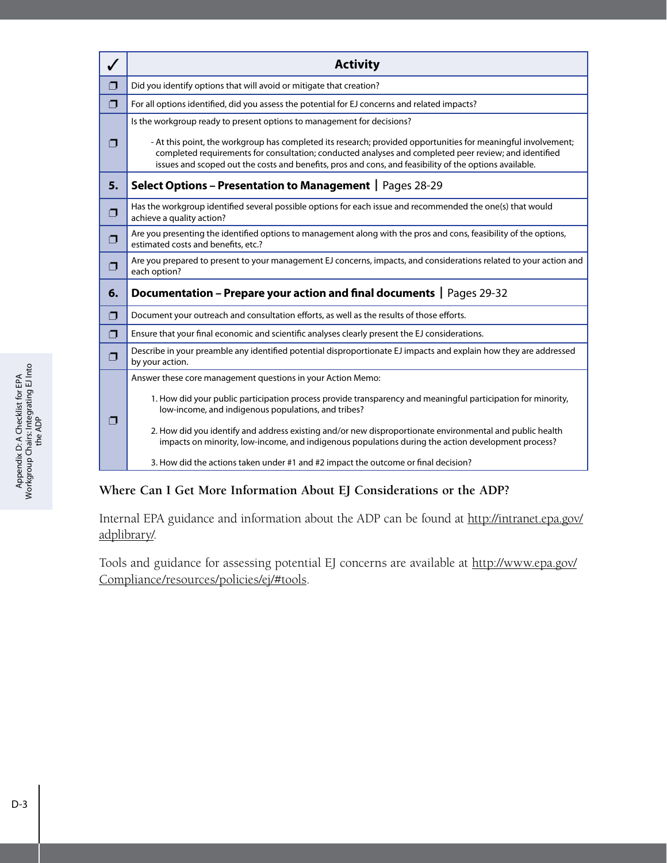|        | <b>Activity</b>                                                                                                                                                                                                                                                                                                                                                                                                                                                                                                                            |
|--------|--------------------------------------------------------------------------------------------------------------------------------------------------------------------------------------------------------------------------------------------------------------------------------------------------------------------------------------------------------------------------------------------------------------------------------------------------------------------------------------------------------------------------------------------|
| $\Box$ | Did you identify options that will avoid or mitigate that creation?                                                                                                                                                                                                                                                                                                                                                                                                                                                                        |
| ⊓      | For all options identified, did you assess the potential for EJ concerns and related impacts?                                                                                                                                                                                                                                                                                                                                                                                                                                              |
| Π      | Is the workgroup ready to present options to management for decisions?<br>- At this point, the workgroup has completed its research; provided opportunities for meaningful involvement;<br>completed requirements for consultation; conducted analyses and completed peer review; and identified<br>issues and scoped out the costs and benefits, pros and cons, and feasibility of the options available.                                                                                                                                 |
| 5.     | Select Options - Presentation to Management   Pages 28-29                                                                                                                                                                                                                                                                                                                                                                                                                                                                                  |
| $\Box$ | Has the workgroup identified several possible options for each issue and recommended the one(s) that would<br>achieve a quality action?                                                                                                                                                                                                                                                                                                                                                                                                    |
| $\Box$ | Are you presenting the identified options to management along with the pros and cons, feasibility of the options,<br>estimated costs and benefits, etc.?                                                                                                                                                                                                                                                                                                                                                                                   |
| $\Box$ | Are you prepared to present to your management EJ concerns, impacts, and considerations related to your action and<br>each option?                                                                                                                                                                                                                                                                                                                                                                                                         |
| 6.     | <b>Documentation - Prepare your action and final documents</b>   Pages 29-32                                                                                                                                                                                                                                                                                                                                                                                                                                                               |
| ⊓      | Document your outreach and consultation efforts, as well as the results of those efforts.                                                                                                                                                                                                                                                                                                                                                                                                                                                  |
| $\Box$ | Ensure that your final economic and scientific analyses clearly present the EJ considerations.                                                                                                                                                                                                                                                                                                                                                                                                                                             |
| ⊓      | Describe in your preamble any identified potential disproportionate EJ impacts and explain how they are addressed<br>by your action.                                                                                                                                                                                                                                                                                                                                                                                                       |
| ⊓      | Answer these core management questions in your Action Memo:<br>1. How did your public participation process provide transparency and meaningful participation for minority,<br>low-income, and indigenous populations, and tribes?<br>2. How did you identify and address existing and/or new disproportionate environmental and public health<br>impacts on minority, low-income, and indigenous populations during the action development process?<br>3. How did the actions taken under #1 and #2 impact the outcome or final decision? |

#### **Where Can I Get More Information About EJ Considerations or the ADP?**

Internal EPA guidance and information about the ADP can be found at [http://intranet.epa.gov/](http://intranet.epa.gov) adplibrary/.

Tools and guidance for assessing potential EJ concerns are available at [http://www.epa.gov/](http://www.epa.gov) Compliance/resources/policies/ej/#tools.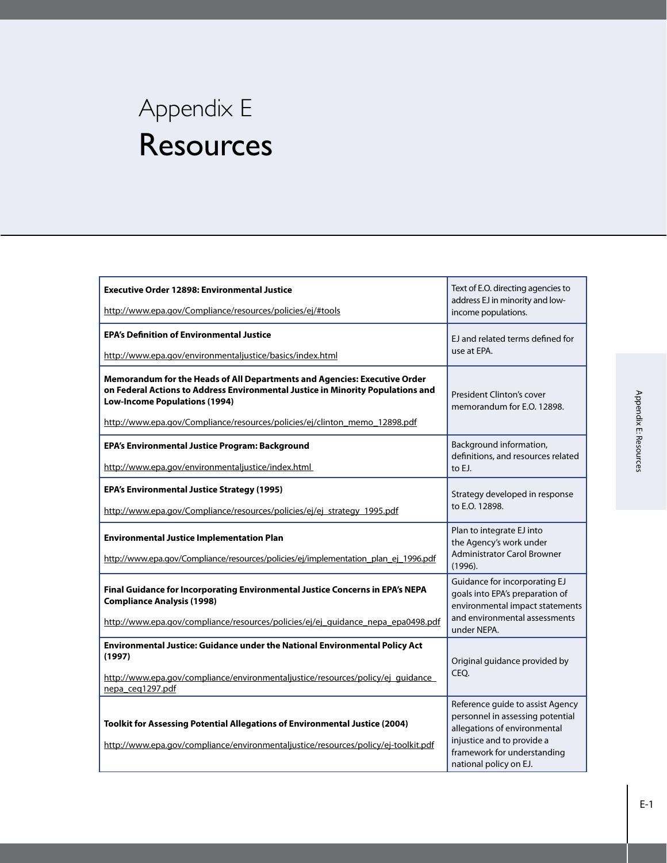### Appendix E **Resources**

| <b>Executive Order 12898: Environmental Justice</b><br>http://www.epa.gov/Compliance/resources/policies/ej/#tools                                                                                                                                                                  | Text of E.O. directing agencies to<br>address EJ in minority and low-<br>income populations.                                                                                                |
|------------------------------------------------------------------------------------------------------------------------------------------------------------------------------------------------------------------------------------------------------------------------------------|---------------------------------------------------------------------------------------------------------------------------------------------------------------------------------------------|
| <b>EPA's Definition of Environmental Justice</b><br>http://www.epa.gov/environmentaljustice/basics/index.html                                                                                                                                                                      | EJ and related terms defined for<br>use at EPA.                                                                                                                                             |
| Memorandum for the Heads of All Departments and Agencies: Executive Order<br>on Federal Actions to Address Environmental Justice in Minority Populations and<br><b>Low-Income Populations (1994)</b><br>http://www.epa.gov/Compliance/resources/policies/ej/clinton_memo_12898.pdf | <b>President Clinton's cover</b><br>memorandum for E.O. 12898.                                                                                                                              |
| EPA's Environmental Justice Program: Background<br>http://www.epa.gov/environmentaljustice/index.html                                                                                                                                                                              | Background information,<br>definitions, and resources related<br>to EJ.                                                                                                                     |
| <b>EPA's Environmental Justice Strategy (1995)</b><br>http://www.epa.gov/Compliance/resources/policies/ej/ej_strategy_1995.pdf                                                                                                                                                     | Strategy developed in response<br>to E.O. 12898.                                                                                                                                            |
| <b>Environmental Justice Implementation Plan</b><br>http://www.epa.gov/Compliance/resources/policies/ej/implementation_plan_ej_1996.pdf                                                                                                                                            | Plan to integrate EJ into<br>the Agency's work under<br><b>Administrator Carol Browner</b><br>(1996).                                                                                       |
| Final Guidance for Incorporating Environmental Justice Concerns in EPA's NEPA<br><b>Compliance Analysis (1998)</b><br>http://www.epa.gov/compliance/resources/policies/ej/ej_guidance_nepa_epa0498.pdf                                                                             | Guidance for incorporating EJ<br>goals into EPA's preparation of<br>environmental impact statements<br>and environmental assessments<br>under NEPA.                                         |
| Environmental Justice: Guidance under the National Environmental Policy Act<br>(1997)<br>http://www.epa.gov/compliance/environmentaljustice/resources/policy/ej_guidance_<br>nepa_ceq1297.pdf                                                                                      | Original guidance provided by<br>CEO.                                                                                                                                                       |
| Toolkit for Assessing Potential Allegations of Environmental Justice (2004)<br>http://www.epa.gov/compliance/environmentaljustice/resources/policy/ej-toolkit.pdf                                                                                                                  | Reference guide to assist Agency<br>personnel in assessing potential<br>allegations of environmental<br>injustice and to provide a<br>framework for understanding<br>national policy on EJ. |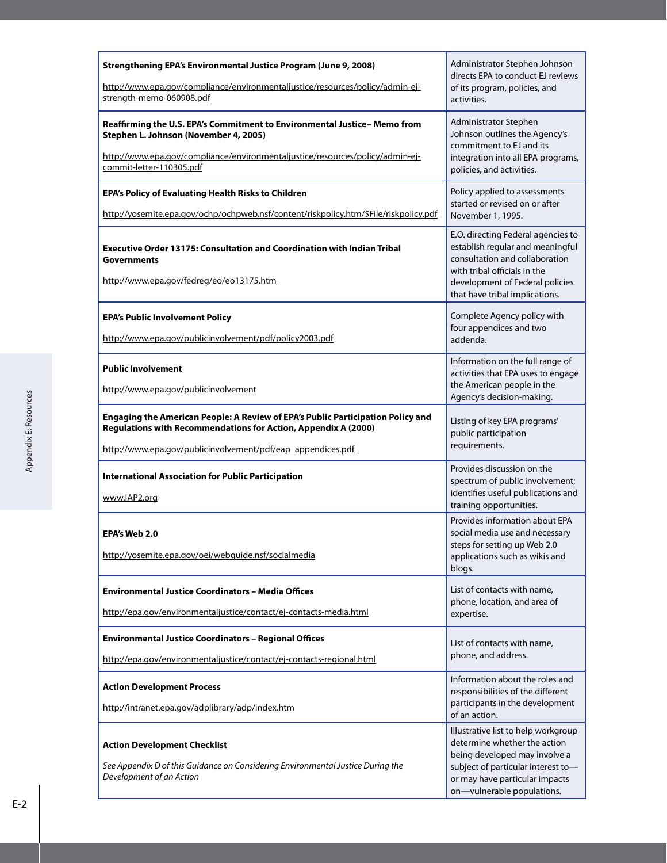| <b>Strengthening EPA's Environmental Justice Program (June 9, 2008)</b><br>http://www.epa.gov/compliance/environmentaljustice/resources/policy/admin-ej-<br>strength-memo-060908.pdf                                            | Administrator Stephen Johnson<br>directs EPA to conduct EJ reviews<br>of its program, policies, and<br>activities.                                                                                            |
|---------------------------------------------------------------------------------------------------------------------------------------------------------------------------------------------------------------------------------|---------------------------------------------------------------------------------------------------------------------------------------------------------------------------------------------------------------|
| Reaffirming the U.S. EPA's Commitment to Environmental Justice- Memo from<br>Stephen L. Johnson (November 4, 2005)<br>http://www.epa.gov/compliance/environmentaljustice/resources/policy/admin-ej-<br>commit-letter-110305.pdf | Administrator Stephen<br>Johnson outlines the Agency's<br>commitment to EJ and its<br>integration into all EPA programs,                                                                                      |
| EPA's Policy of Evaluating Health Risks to Children<br>http://yosemite.epa.gov/ochp/ochpweb.nsf/content/riskpolicy.htm/\$File/riskpolicy.pdf                                                                                    | policies, and activities.<br>Policy applied to assessments<br>started or revised on or after<br>November 1, 1995.                                                                                             |
| <b>Executive Order 13175: Consultation and Coordination with Indian Tribal</b><br>Governments<br>http://www.epa.gov/fedreg/eo/eo13175.htm                                                                                       | E.O. directing Federal agencies to<br>establish regular and meaningful<br>consultation and collaboration<br>with tribal officials in the<br>development of Federal policies<br>that have tribal implications. |
| <b>EPA's Public Involvement Policy</b><br>http://www.epa.gov/publicinvolvement/pdf/policy2003.pdf                                                                                                                               | Complete Agency policy with<br>four appendices and two<br>addenda.                                                                                                                                            |
| <b>Public Involvement</b><br>http://www.epa.gov/publicinvolvement                                                                                                                                                               | Information on the full range of<br>activities that EPA uses to engage<br>the American people in the<br>Agency's decision-making.                                                                             |
| Engaging the American People: A Review of EPA's Public Participation Policy and<br>Regulations with Recommendations for Action, Appendix A (2000)<br>http://www.epa.gov/publicinvolvement/pdf/eap_appendices.pdf                | Listing of key EPA programs'<br>public participation<br>requirements.                                                                                                                                         |
| <b>International Association for Public Participation</b><br>www.IAP2.org                                                                                                                                                       | Provides discussion on the<br>spectrum of public involvement;<br>identifies useful publications and<br>training opportunities.                                                                                |
| EPA's Web 2.0<br>http://yosemite.epa.gov/oei/webguide.nsf/socialmedia                                                                                                                                                           | Provides information about EPA<br>social media use and necessary<br>steps for setting up Web 2.0<br>applications such as wikis and<br>blogs.                                                                  |
| <b>Environmental Justice Coordinators - Media Offices</b><br>http://epa.gov/environmentaljustice/contact/ej-contacts-media.html                                                                                                 | List of contacts with name,<br>phone, location, and area of<br>expertise.                                                                                                                                     |
| <b>Environmental Justice Coordinators - Regional Offices</b><br>http://epa.gov/environmentaljustice/contact/ej-contacts-regional.html                                                                                           | List of contacts with name,<br>phone, and address.                                                                                                                                                            |
| <b>Action Development Process</b><br>http://intranet.epa.gov/adplibrary/adp/index.htm                                                                                                                                           | Information about the roles and<br>responsibilities of the different<br>participants in the development<br>of an action.                                                                                      |
| <b>Action Development Checklist</b><br>See Appendix D of this Guidance on Considering Environmental Justice During the<br>Development of an Action                                                                              | Illustrative list to help workgroup<br>determine whether the action<br>being developed may involve a<br>subject of particular interest to-<br>or may have particular impacts<br>on-vulnerable populations.    |